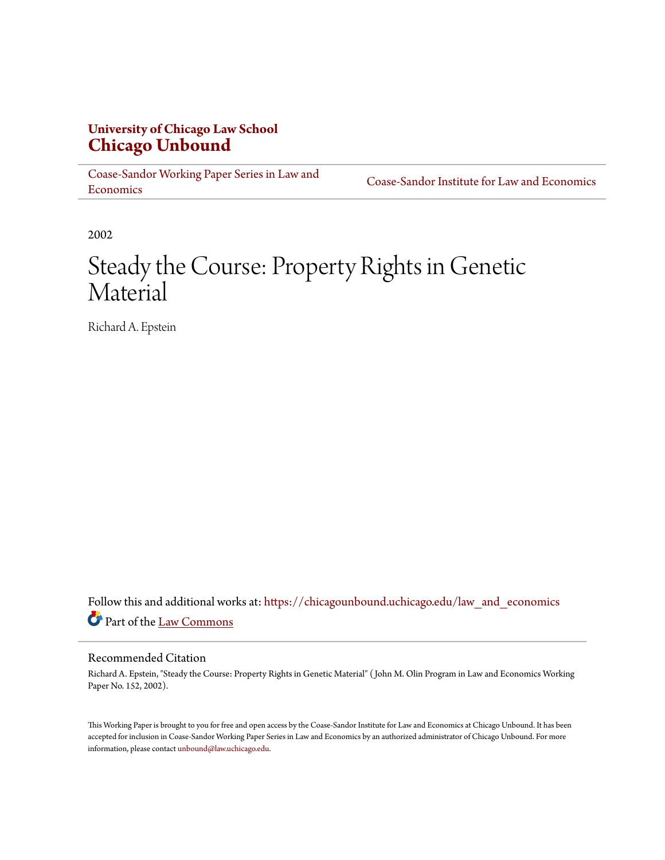#### **University of Chicago Law School [Chicago Unbound](https://chicagounbound.uchicago.edu?utm_source=chicagounbound.uchicago.edu%2Flaw_and_economics%2F465&utm_medium=PDF&utm_campaign=PDFCoverPages)**

[Coase-Sandor Working Paper Series in Law and](https://chicagounbound.uchicago.edu/law_and_economics?utm_source=chicagounbound.uchicago.edu%2Flaw_and_economics%2F465&utm_medium=PDF&utm_campaign=PDFCoverPages) [Economics](https://chicagounbound.uchicago.edu/law_and_economics?utm_source=chicagounbound.uchicago.edu%2Flaw_and_economics%2F465&utm_medium=PDF&utm_campaign=PDFCoverPages)

[Coase-Sandor Institute for Law and Economics](https://chicagounbound.uchicago.edu/coase_sandor_institute?utm_source=chicagounbound.uchicago.edu%2Flaw_and_economics%2F465&utm_medium=PDF&utm_campaign=PDFCoverPages)

2002

## Steady the Course: Property Rights in Genetic Material

Richard A. Epstein

Follow this and additional works at: [https://chicagounbound.uchicago.edu/law\\_and\\_economics](https://chicagounbound.uchicago.edu/law_and_economics?utm_source=chicagounbound.uchicago.edu%2Flaw_and_economics%2F465&utm_medium=PDF&utm_campaign=PDFCoverPages) Part of the [Law Commons](http://network.bepress.com/hgg/discipline/578?utm_source=chicagounbound.uchicago.edu%2Flaw_and_economics%2F465&utm_medium=PDF&utm_campaign=PDFCoverPages)

#### Recommended Citation

Richard A. Epstein, "Steady the Course: Property Rights in Genetic Material" ( John M. Olin Program in Law and Economics Working Paper No. 152, 2002).

This Working Paper is brought to you for free and open access by the Coase-Sandor Institute for Law and Economics at Chicago Unbound. It has been accepted for inclusion in Coase-Sandor Working Paper Series in Law and Economics by an authorized administrator of Chicago Unbound. For more information, please contact [unbound@law.uchicago.edu.](mailto:unbound@law.uchicago.edu)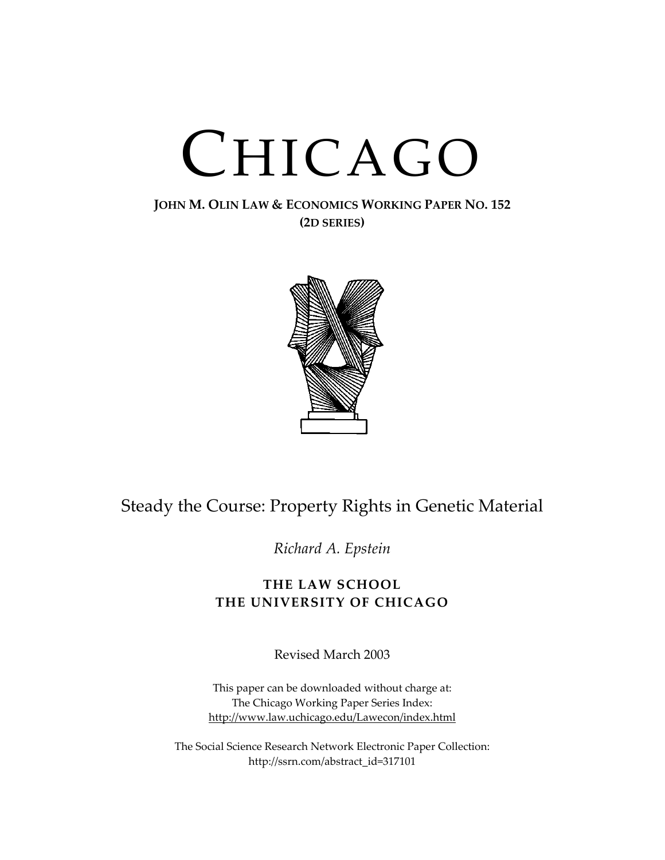# CHICAGO

#### **JOHN M. OLIN LAW & ECONOMICS WORKING PAPER NO. 152 (2D SERIES)**



### Steady the Course: Property Rights in Genetic Material

*Richard A. Epstein*

#### **THE LAW SCHOOL THE UNIVERSITY OF CHICAGO**

Revised March 2003

This paper can be downloaded without charge at: The Chicago Working Paper Series Index: [http://www.law.uchicago.edu/Lawecon/index.html](http://www.law.uchicago.edu/Publications/Working/index.html)

The Social Science Research Network Electronic Paper Collection: [http://ssrn.com/abstract\\_id=3](http://papers.ssrn.com/sol3/search.taf)17101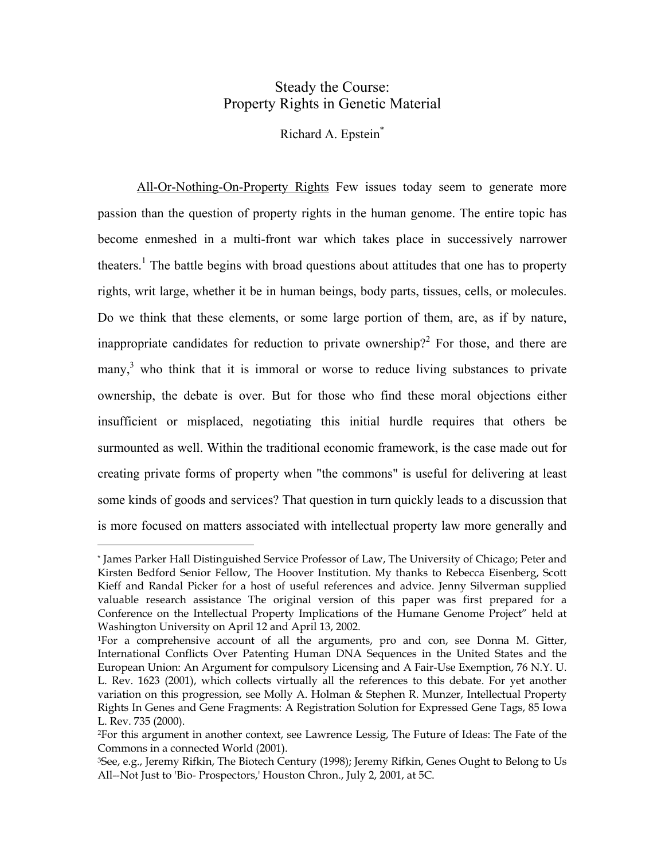#### Steady the Course: Property Rights in Genetic Material

Richard A. Epstei[n\\*](#page-2-0)

All-Or-Nothing-On-Property Rights Few issues today seem to generate more passion than the question of property rights in the human genome. The entire topic has become enmeshed in a multi-front war which takes place in successively narrower theaters.<sup>[1](#page-2-1)</sup> The battle begins with broad questions about attitudes that one has to property rights, writ large, whether it be in human beings, body parts, tissues, cells, or molecules. Do we think that these elements, or some large portion of them, are, as if by nature, inappropriate candidates for reduction to private ownership?<sup>[2](#page-2-2)</sup> For those, and there are many, $3$  who think that it is immoral or worse to reduce living substances to private ownership, the debate is over. But for those who find these moral objections either insufficient or misplaced, negotiating this initial hurdle requires that others be surmounted as well. Within the traditional economic framework, is the case made out for creating private forms of property when "the commons" is useful for delivering at least some kinds of goods and services? That question in turn quickly leads to a discussion that is more focused on matters associated with intellectual property law more generally and

<span id="page-2-0"></span> $\overline{a}$ \* James Parker Hall Distinguished Service Professor of Law, The University of Chicago; Peter and Kirsten Bedford Senior Fellow, The Hoover Institution. My thanks to Rebecca Eisenberg, Scott Kieff and Randal Picker for a host of useful references and advice. Jenny Silverman supplied valuable research assistance The original version of this paper was first prepared for a Conference on the Intellectual Property Implications of the Humane Genome Project" held at Washington University on April 12 and April 13, 2002.

<span id="page-2-1"></span><sup>1</sup>For a comprehensive account of all the arguments, pro and con, see Donna M. Gitter, International Conflicts Over Patenting Human DNA Sequences in the United States and the European Union: An Argument for compulsory Licensing and A Fair-Use Exemption, 76 N.Y. U. L. Rev. 1623 (2001), which collects virtually all the references to this debate. For yet another variation on this progression, see Molly A. Holman & Stephen R. Munzer, Intellectual Property Rights In Genes and Gene Fragments: A Registration Solution for Expressed Gene Tags, 85 Iowa L. Rev. 735 (2000).

<span id="page-2-2"></span><sup>2</sup>For this argument in another context, see Lawrence Lessig, The Future of Ideas: The Fate of the Commons in a connected World (2001).

<span id="page-2-3"></span><sup>3</sup>See, e.g., Jeremy Rifkin, The Biotech Century (1998); Jeremy Rifkin, Genes Ought to Belong to Us All--Not Just to 'Bio- Prospectors,' Houston Chron., July 2, 2001, at 5C.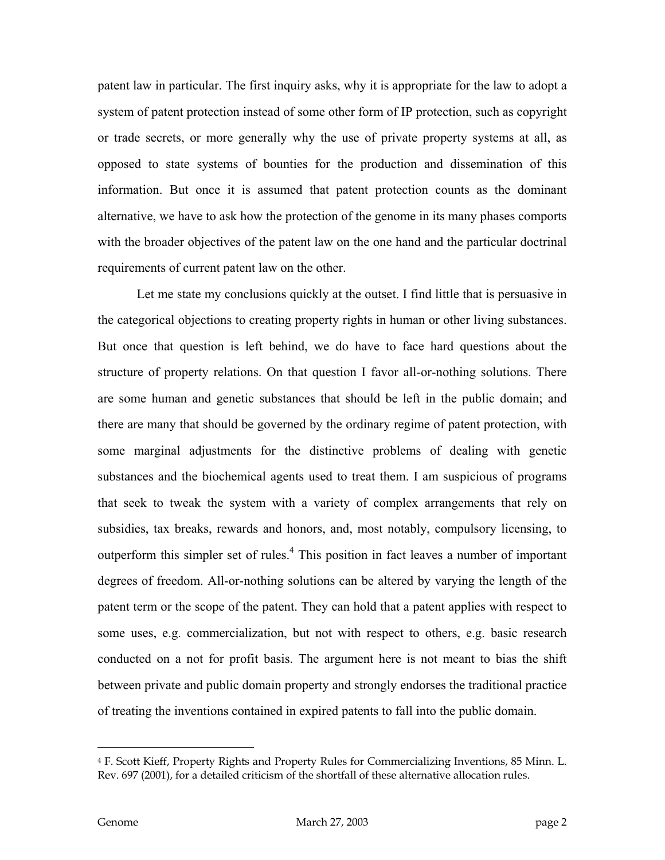patent law in particular. The first inquiry asks, why it is appropriate for the law to adopt a system of patent protection instead of some other form of IP protection, such as copyright or trade secrets, or more generally why the use of private property systems at all, as opposed to state systems of bounties for the production and dissemination of this information. But once it is assumed that patent protection counts as the dominant alternative, we have to ask how the protection of the genome in its many phases comports with the broader objectives of the patent law on the one hand and the particular doctrinal requirements of current patent law on the other.

Let me state my conclusions quickly at the outset. I find little that is persuasive in the categorical objections to creating property rights in human or other living substances. But once that question is left behind, we do have to face hard questions about the structure of property relations. On that question I favor all-or-nothing solutions. There are some human and genetic substances that should be left in the public domain; and there are many that should be governed by the ordinary regime of patent protection, with some marginal adjustments for the distinctive problems of dealing with genetic substances and the biochemical agents used to treat them. I am suspicious of programs that seek to tweak the system with a variety of complex arrangements that rely on subsidies, tax breaks, rewards and honors, and, most notably, compulsory licensing, to outperform this simpler set of rules. $4$  This position in fact leaves a number of important degrees of freedom. All-or-nothing solutions can be altered by varying the length of the patent term or the scope of the patent. They can hold that a patent applies with respect to some uses, e.g. commercialization, but not with respect to others, e.g. basic research conducted on a not for profit basis. The argument here is not meant to bias the shift between private and public domain property and strongly endorses the traditional practice of treating the inventions contained in expired patents to fall into the public domain.

<span id="page-3-0"></span><sup>4</sup> F. Scott Kieff, Property Rights and Property Rules for Commercializing Inventions, 85 Minn. L. Rev. 697 (2001), for a detailed criticism of the shortfall of these alternative allocation rules.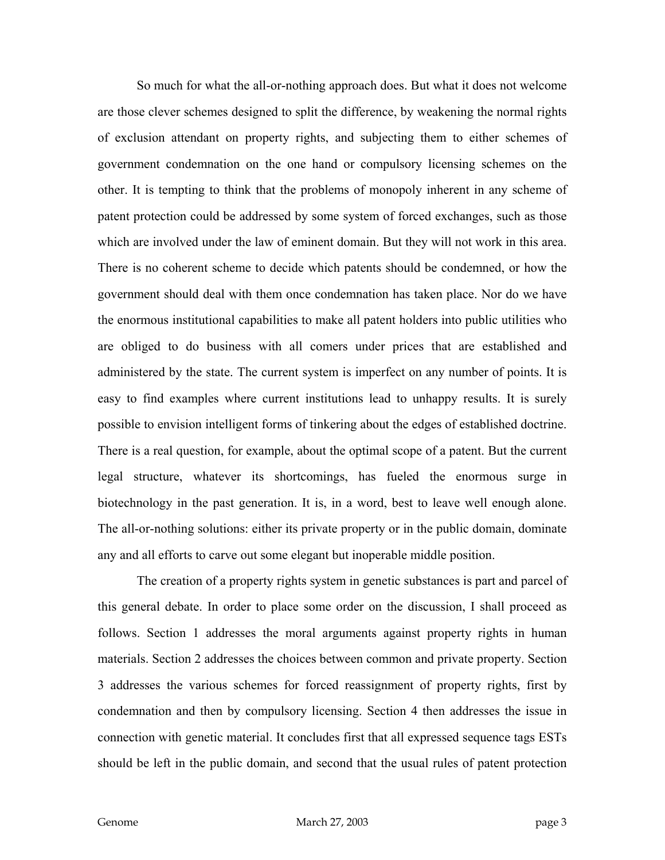So much for what the all-or-nothing approach does. But what it does not welcome are those clever schemes designed to split the difference, by weakening the normal rights of exclusion attendant on property rights, and subjecting them to either schemes of government condemnation on the one hand or compulsory licensing schemes on the other. It is tempting to think that the problems of monopoly inherent in any scheme of patent protection could be addressed by some system of forced exchanges, such as those which are involved under the law of eminent domain. But they will not work in this area. There is no coherent scheme to decide which patents should be condemned, or how the government should deal with them once condemnation has taken place. Nor do we have the enormous institutional capabilities to make all patent holders into public utilities who are obliged to do business with all comers under prices that are established and administered by the state. The current system is imperfect on any number of points. It is easy to find examples where current institutions lead to unhappy results. It is surely possible to envision intelligent forms of tinkering about the edges of established doctrine. There is a real question, for example, about the optimal scope of a patent. But the current legal structure, whatever its shortcomings, has fueled the enormous surge in biotechnology in the past generation. It is, in a word, best to leave well enough alone. The all-or-nothing solutions: either its private property or in the public domain, dominate any and all efforts to carve out some elegant but inoperable middle position.

The creation of a property rights system in genetic substances is part and parcel of this general debate. In order to place some order on the discussion, I shall proceed as follows. Section 1 addresses the moral arguments against property rights in human materials. Section 2 addresses the choices between common and private property. Section 3 addresses the various schemes for forced reassignment of property rights, first by condemnation and then by compulsory licensing. Section 4 then addresses the issue in connection with genetic material. It concludes first that all expressed sequence tags ESTs should be left in the public domain, and second that the usual rules of patent protection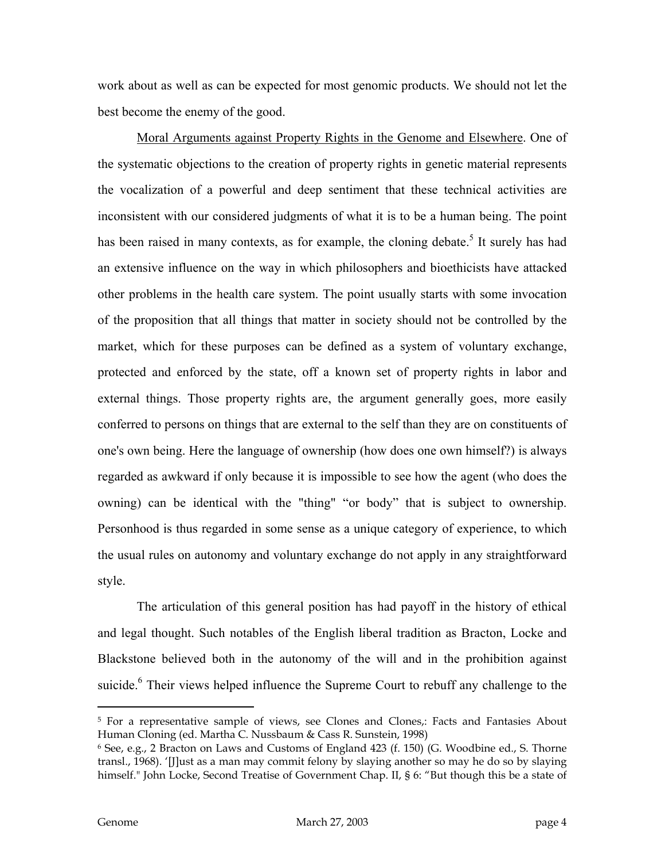<span id="page-5-1"></span>work about as well as can be expected for most genomic products. We should not let the best become the enemy of the good.

Moral Arguments against Property Rights in the Genome and Elsewhere. One of the systematic objections to the creation of property rights in genetic material represents the vocalization of a powerful and deep sentiment that these technical activities are inconsistent with our considered judgments of what it is to be a human being. The point has been raised in many contexts, as for example, the cloning debate.<sup>[5](#page-5-0)</sup> It surely has had an extensive influence on the way in which philosophers and bioethicists have attacked other problems in the health care system. The point usually starts with some invocation of the proposition that all things that matter in society should not be controlled by the market, which for these purposes can be defined as a system of voluntary exchange, protected and enforced by the state, off a known set of property rights in labor and external things. Those property rights are, the argument generally goes, more easily conferred to persons on things that are external to the self than they are on constituents of one's own being. Here the language of ownership (how does one own himself?) is always regarded as awkward if only because it is impossible to see how the agent (who does the owning) can be identical with the "thing" "or body" that is subject to ownership. Personhood is thus regarded in some sense as a unique category of experience, to which the usual rules on autonomy and voluntary exchange do not apply in any straightforward style.

The articulation of this general position has had payoff in the history of ethical and legal thought. Such notables of the English liberal tradition as Bracton, Locke and Blackstone believed both in the autonomy of the will and in the prohibition against suicide.<sup>[6](#page-5-1)</sup> Their views helped influence the Supreme Court to rebuff any challenge to the

<span id="page-5-0"></span><sup>&</sup>lt;sup>5</sup> For a representative sample of views, see Clones and Clones,: Facts and Fantasies About Human Cloning (ed. Martha C. Nussbaum & Cass R. Sunstein, 1998)

 $6$  See, e.g., 2 Bracton on Laws and Customs of England 423 (f. 150) (G. Woodbine ed., S. Thorne transl., 1968). '[J]ust as a man may commit felony by slaying another so may he do so by slaying himself." John Locke, Second Treatise of Government Chap. II, § 6: "But though this be a state of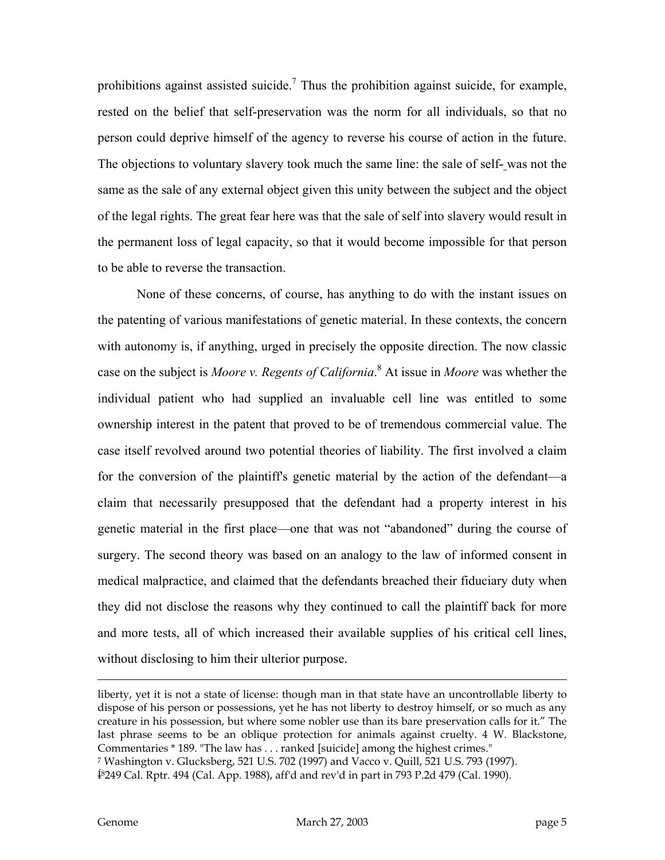prohibitions against assisted suicide.<sup>[7](#page-6-0)</sup> Thus the prohibition against suicide, for example, rested on the belief that self-preservation was the norm for all individuals, so that no person could deprive himself of the agency to reverse his course of action in the future. The objections to voluntary slavery took much the same line: the sale of self- was not the same as the sale of any external object given this unity between the subject and the object of the legal rights. The great fear here was that the sale of self into slavery would result in the permanent loss of legal capacity, so that it would become impossible for that person to be able to reverse the transaction.

None of these concerns, of course, has anything to do with the instant issues on the patenting of various manifestations of genetic material. In these contexts, the concern with autonomy is, if anything, urged in precisely the opposite direction. The now classic case on the subject is *Moore v. Regents of California*. [8](#page-6-1) At issue in *Moore* was whether the individual patient who had supplied an invaluable cell line was entitled to some ownership interest in the patent that proved to be of tremendous commercial value. The case itself revolved around two potential theories of liability. The first involved a claim for the conversion of the plaintiff's genetic material by the action of the defendant—a claim that necessarily presupposed that the defendant had a property interest in his genetic material in the first place—one that was not "abandoned" during the course of surgery. The second theory was based on an analogy to the law of informed consent in medical malpractice, and claimed that the defendants breached their fiduciary duty when they did not disclose the reasons why they continued to call the plaintiff back for more and more tests, all of which increased their available supplies of his critical cell lines, without disclosing to him their ulterior purpose.

<span id="page-6-1"></span><span id="page-6-0"></span>liberty, yet it is not a state of license: though man in that state have an uncontrollable liberty to dispose of his person or possessions, yet he has not liberty to destroy himself, or so much as any creature in his possession, but where some nobler use than its bare preservation calls for it." The last phrase seems to be an oblique protection for animals against cruelty. 4 W. Blackstone, Commentaries \* 189. "The law has . . . ranked [suicide] among the highest crimes." 7 Washington v. Glucksberg, 521 U.S. 702 (1997) and Vacco v. Quill, 521 U.S. 793 (1997). Í8249 Cal. Rptr. 494 (Cal. App. 1988), aff'd and rev'd in part in 793 P.2d 479 (Cal. 1990).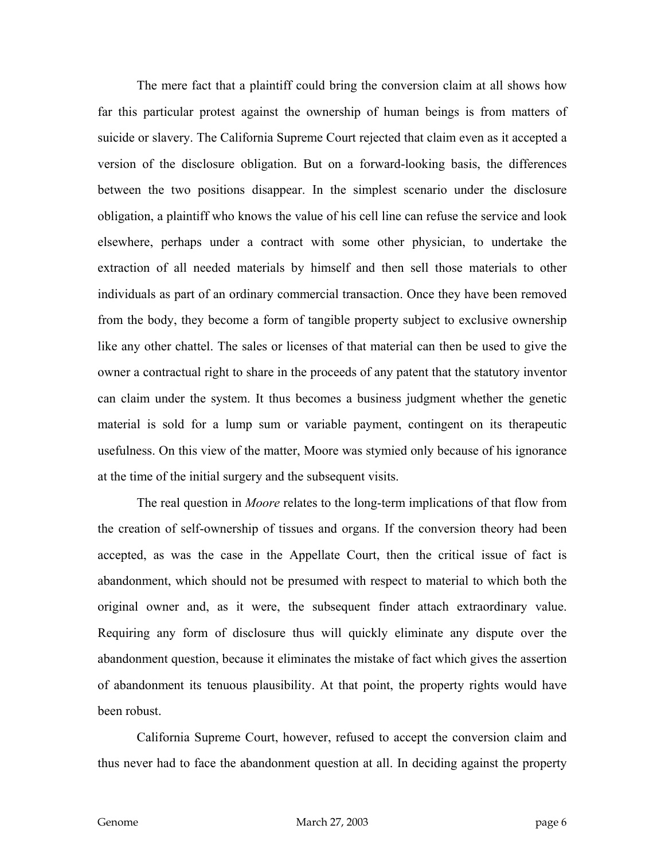The mere fact that a plaintiff could bring the conversion claim at all shows how far this particular protest against the ownership of human beings is from matters of suicide or slavery. The California Supreme Court rejected that claim even as it accepted a version of the disclosure obligation. But on a forward-looking basis, the differences between the two positions disappear. In the simplest scenario under the disclosure obligation, a plaintiff who knows the value of his cell line can refuse the service and look elsewhere, perhaps under a contract with some other physician, to undertake the extraction of all needed materials by himself and then sell those materials to other individuals as part of an ordinary commercial transaction. Once they have been removed from the body, they become a form of tangible property subject to exclusive ownership like any other chattel. The sales or licenses of that material can then be used to give the owner a contractual right to share in the proceeds of any patent that the statutory inventor can claim under the system. It thus becomes a business judgment whether the genetic material is sold for a lump sum or variable payment, contingent on its therapeutic usefulness. On this view of the matter, Moore was stymied only because of his ignorance at the time of the initial surgery and the subsequent visits.

The real question in *Moore* relates to the long-term implications of that flow from the creation of self-ownership of tissues and organs. If the conversion theory had been accepted, as was the case in the Appellate Court, then the critical issue of fact is abandonment, which should not be presumed with respect to material to which both the original owner and, as it were, the subsequent finder attach extraordinary value. Requiring any form of disclosure thus will quickly eliminate any dispute over the abandonment question, because it eliminates the mistake of fact which gives the assertion of abandonment its tenuous plausibility. At that point, the property rights would have been robust.

California Supreme Court, however, refused to accept the conversion claim and thus never had to face the abandonment question at all. In deciding against the property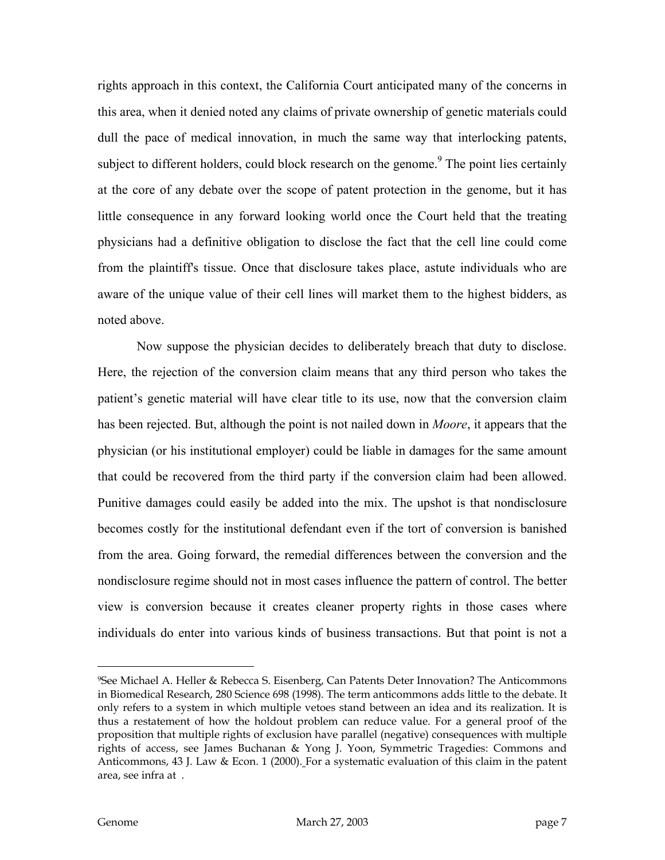rights approach in this context, the California Court anticipated many of the concerns in this area, when it denied noted any claims of private ownership of genetic materials could dull the pace of medical innovation, in much the same way that interlocking patents, subject to different holders, could block research on the genome.<sup>[9](#page-8-0)</sup> The point lies certainly at the core of any debate over the scope of patent protection in the genome, but it has little consequence in any forward looking world once the Court held that the treating physicians had a definitive obligation to disclose the fact that the cell line could come from the plaintiff's tissue. Once that disclosure takes place, astute individuals who are aware of the unique value of their cell lines will market them to the highest bidders, as noted above.

Now suppose the physician decides to deliberately breach that duty to disclose. Here, the rejection of the conversion claim means that any third person who takes the patient's genetic material will have clear title to its use, now that the conversion claim has been rejected. But, although the point is not nailed down in *Moore*, it appears that the physician (or his institutional employer) could be liable in damages for the same amount that could be recovered from the third party if the conversion claim had been allowed. Punitive damages could easily be added into the mix. The upshot is that nondisclosure becomes costly for the institutional defendant even if the tort of conversion is banished from the area. Going forward, the remedial differences between the conversion and the nondisclosure regime should not in most cases influence the pattern of control. The better view is conversion because it creates cleaner property rights in those cases where individuals do enter into various kinds of business transactions. But that point is not a

<span id="page-8-0"></span><sup>9</sup>See Michael A. Heller & Rebecca S. Eisenberg, Can Patents Deter Innovation? The Anticommons in Biomedical Research, 280 Science 698 (1998). The term anticommons adds little to the debate. It only refers to a system in which multiple vetoes stand between an idea and its realization. It is thus a restatement of how the holdout problem can reduce value. For a general proof of the proposition that multiple rights of exclusion have parallel (negative) consequences with multiple rights of access, see James Buchanan & Yong J. Yoon, Symmetric Tragedies: Commons and Anticommons, 43 J. Law & Econ. 1 (2000). For a systematic evaluation of this claim in the patent area, see infra at .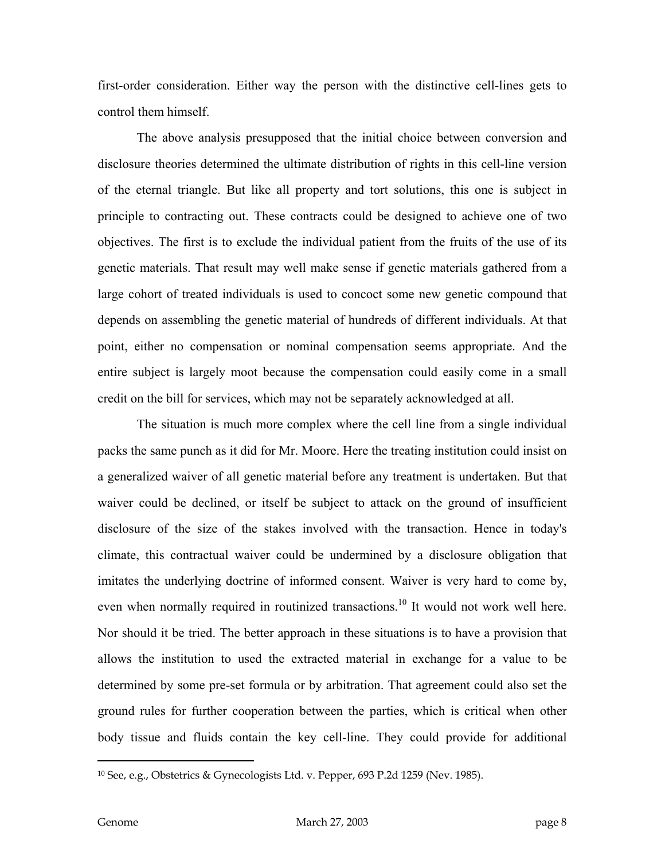first-order consideration. Either way the person with the distinctive cell-lines gets to control them himself.

The above analysis presupposed that the initial choice between conversion and disclosure theories determined the ultimate distribution of rights in this cell-line version of the eternal triangle. But like all property and tort solutions, this one is subject in principle to contracting out. These contracts could be designed to achieve one of two objectives. The first is to exclude the individual patient from the fruits of the use of its genetic materials. That result may well make sense if genetic materials gathered from a large cohort of treated individuals is used to concoct some new genetic compound that depends on assembling the genetic material of hundreds of different individuals. At that point, either no compensation or nominal compensation seems appropriate. And the entire subject is largely moot because the compensation could easily come in a small credit on the bill for services, which may not be separately acknowledged at all.

The situation is much more complex where the cell line from a single individual packs the same punch as it did for Mr. Moore. Here the treating institution could insist on a generalized waiver of all genetic material before any treatment is undertaken. But that waiver could be declined, or itself be subject to attack on the ground of insufficient disclosure of the size of the stakes involved with the transaction. Hence in today's climate, this contractual waiver could be undermined by a disclosure obligation that imitates the underlying doctrine of informed consent. Waiver is very hard to come by, even when normally required in routinized transactions.<sup>[10](#page-9-0)</sup> It would not work well here. Nor should it be tried. The better approach in these situations is to have a provision that allows the institution to used the extracted material in exchange for a value to be determined by some pre-set formula or by arbitration. That agreement could also set the ground rules for further cooperation between the parties, which is critical when other body tissue and fluids contain the key cell-line. They could provide for additional

<span id="page-9-0"></span><sup>10</sup> See, e.g., Obstetrics & Gynecologists Ltd. v. Pepper, 693 P.2d 1259 (Nev. 1985).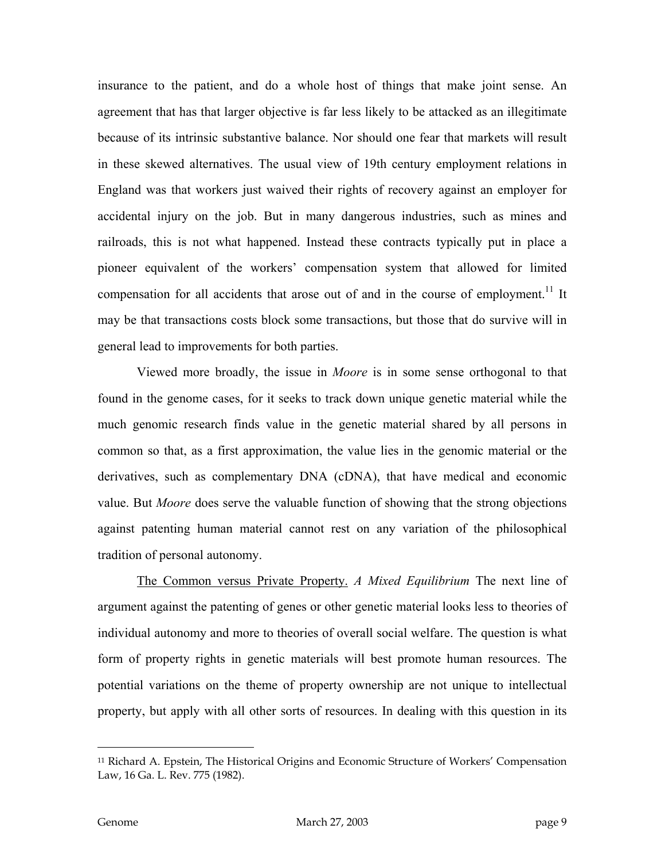insurance to the patient, and do a whole host of things that make joint sense. An agreement that has that larger objective is far less likely to be attacked as an illegitimate because of its intrinsic substantive balance. Nor should one fear that markets will result in these skewed alternatives. The usual view of 19th century employment relations in England was that workers just waived their rights of recovery against an employer for accidental injury on the job. But in many dangerous industries, such as mines and railroads, this is not what happened. Instead these contracts typically put in place a pioneer equivalent of the workers' compensation system that allowed for limited compensation for all accidents that arose out of and in the course of employment.<sup>[11](#page-10-0)</sup> It may be that transactions costs block some transactions, but those that do survive will in general lead to improvements for both parties.

Viewed more broadly, the issue in *Moore* is in some sense orthogonal to that found in the genome cases, for it seeks to track down unique genetic material while the much genomic research finds value in the genetic material shared by all persons in common so that, as a first approximation, the value lies in the genomic material or the derivatives, such as complementary DNA (cDNA), that have medical and economic value. But *Moore* does serve the valuable function of showing that the strong objections against patenting human material cannot rest on any variation of the philosophical tradition of personal autonomy.

The Common versus Private Property. *A Mixed Equilibrium* The next line of argument against the patenting of genes or other genetic material looks less to theories of individual autonomy and more to theories of overall social welfare. The question is what form of property rights in genetic materials will best promote human resources. The potential variations on the theme of property ownership are not unique to intellectual property, but apply with all other sorts of resources. In dealing with this question in its

<span id="page-10-0"></span><sup>11</sup> Richard A. Epstein, The Historical Origins and Economic Structure of Workers' Compensation Law, 16 Ga. L. Rev. 775 (1982).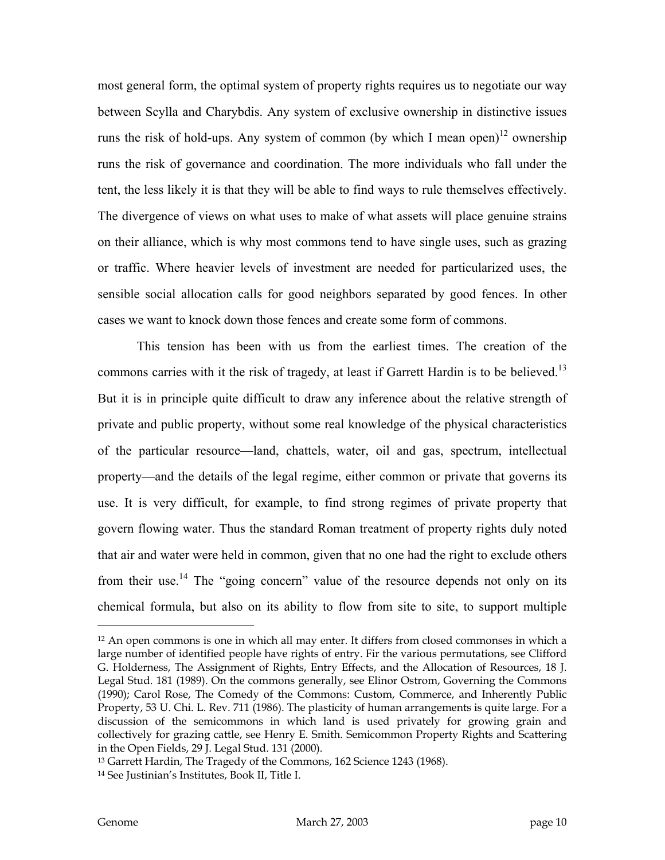most general form, the optimal system of property rights requires us to negotiate our way between Scylla and Charybdis. Any system of exclusive ownership in distinctive issues runs the risk of hold-ups. Any system of common (by which I mean open)<sup>[12](#page-11-0)</sup> ownership runs the risk of governance and coordination. The more individuals who fall under the tent, the less likely it is that they will be able to find ways to rule themselves effectively. The divergence of views on what uses to make of what assets will place genuine strains on their alliance, which is why most commons tend to have single uses, such as grazing or traffic. Where heavier levels of investment are needed for particularized uses, the sensible social allocation calls for good neighbors separated by good fences. In other cases we want to knock down those fences and create some form of commons.

This tension has been with us from the earliest times. The creation of the commons carries with it the risk of tragedy, at least if Garrett Hardin is to be believed.<sup>[13](#page-11-1)</sup> But it is in principle quite difficult to draw any inference about the relative strength of private and public property, without some real knowledge of the physical characteristics of the particular resource—land, chattels, water, oil and gas, spectrum, intellectual property—and the details of the legal regime, either common or private that governs its use. It is very difficult, for example, to find strong regimes of private property that govern flowing water. Thus the standard Roman treatment of property rights duly noted that air and water were held in common, given that no one had the right to exclude others from their use.<sup>[14](#page-11-2)</sup> The "going concern" value of the resource depends not only on its chemical formula, but also on its ability to flow from site to site, to support multiple

<span id="page-11-0"></span> $12$  An open commons is one in which all may enter. It differs from closed commonses in which a large number of identified people have rights of entry. Fir the various permutations, see Clifford G. Holderness, The Assignment of Rights, Entry Effects, and the Allocation of Resources, 18 J. Legal Stud. 181 (1989). On the commons generally, see Elinor Ostrom, Governing the Commons (1990); Carol Rose, The Comedy of the Commons: Custom, Commerce, and Inherently Public Property, 53 U. Chi. L. Rev. 711 (1986). The plasticity of human arrangements is quite large. For a discussion of the semicommons in which land is used privately for growing grain and collectively for grazing cattle, see Henry E. Smith. Semicommon Property Rights and Scattering in the Open Fields, 29 J. Legal Stud. 131 (2000).

<span id="page-11-1"></span><sup>13</sup> Garrett Hardin, The Tragedy of the Commons, 162 Science 1243 (1968).

<span id="page-11-2"></span><sup>14</sup> See Justinian's Institutes, Book II, Title I.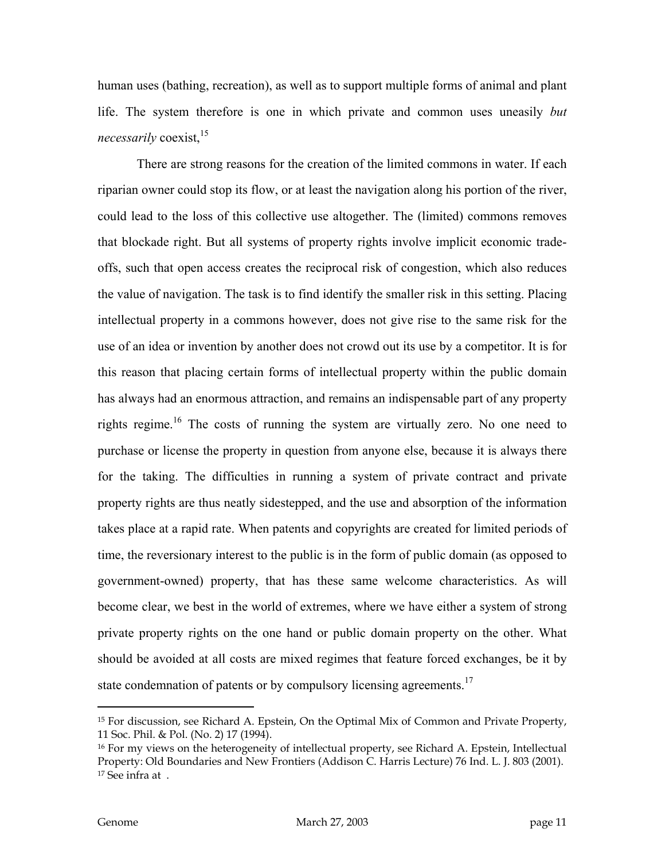human uses (bathing, recreation), as well as to support multiple forms of animal and plant life. The system therefore is one in which private and common uses uneasily *but necessarily* coexist, <sup>[15](#page-12-0)</sup>

There are strong reasons for the creation of the limited commons in water. If each riparian owner could stop its flow, or at least the navigation along his portion of the river, could lead to the loss of this collective use altogether. The (limited) commons removes that blockade right. But all systems of property rights involve implicit economic tradeoffs, such that open access creates the reciprocal risk of congestion, which also reduces the value of navigation. The task is to find identify the smaller risk in this setting. Placing intellectual property in a commons however, does not give rise to the same risk for the use of an idea or invention by another does not crowd out its use by a competitor. It is for this reason that placing certain forms of intellectual property within the public domain has always had an enormous attraction, and remains an indispensable part of any property rights regime. [16](#page-12-1) The costs of running the system are virtually zero. No one need to purchase or license the property in question from anyone else, because it is always there for the taking. The difficulties in running a system of private contract and private property rights are thus neatly sidestepped, and the use and absorption of the information takes place at a rapid rate. When patents and copyrights are created for limited periods of time, the reversionary interest to the public is in the form of public domain (as opposed to government-owned) property, that has these same welcome characteristics. As will become clear, we best in the world of extremes, where we have either a system of strong private property rights on the one hand or public domain property on the other. What should be avoided at all costs are mixed regimes that feature forced exchanges, be it by state condemnation of patents or by compulsory licensing agreements.<sup>[17](#page-12-2)</sup>

<span id="page-12-0"></span><sup>15</sup> For discussion, see Richard A. Epstein, On the Optimal Mix of Common and Private Property, 11 Soc. Phil. & Pol. (No. 2) 17 (1994).

<span id="page-12-2"></span><span id="page-12-1"></span><sup>16</sup> For my views on the heterogeneity of intellectual property, see Richard A. Epstein, Intellectual Property: Old Boundaries and New Frontiers (Addison C. Harris Lecture) 76 Ind. L. J. 803 (2001). 17 See infra at .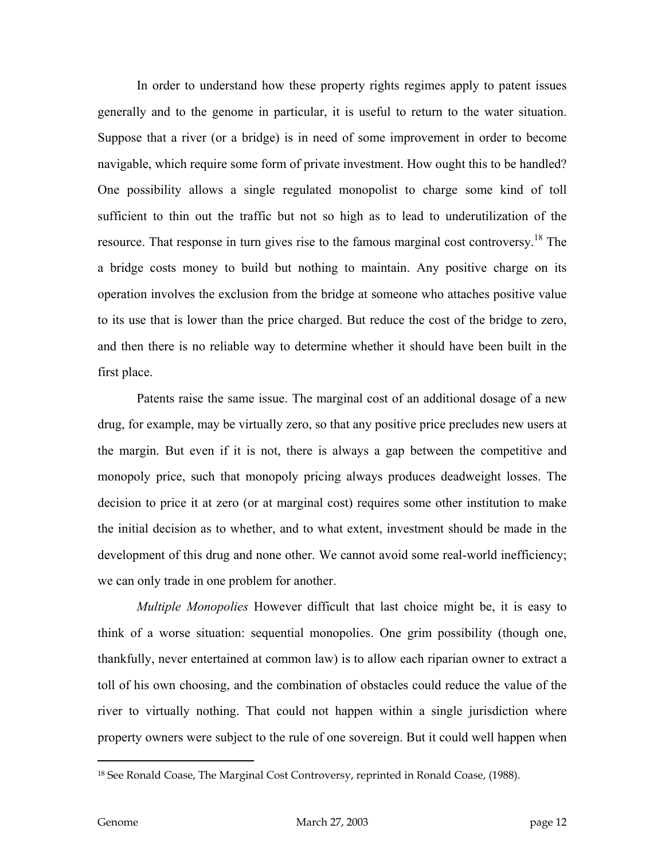In order to understand how these property rights regimes apply to patent issues generally and to the genome in particular, it is useful to return to the water situation. Suppose that a river (or a bridge) is in need of some improvement in order to become navigable, which require some form of private investment. How ought this to be handled? One possibility allows a single regulated monopolist to charge some kind of toll sufficient to thin out the traffic but not so high as to lead to underutilization of the resource. That response in turn gives rise to the famous marginal cost controversy.[18](#page-13-0) The a bridge costs money to build but nothing to maintain. Any positive charge on its operation involves the exclusion from the bridge at someone who attaches positive value to its use that is lower than the price charged. But reduce the cost of the bridge to zero, and then there is no reliable way to determine whether it should have been built in the first place.

Patents raise the same issue. The marginal cost of an additional dosage of a new drug, for example, may be virtually zero, so that any positive price precludes new users at the margin. But even if it is not, there is always a gap between the competitive and monopoly price, such that monopoly pricing always produces deadweight losses. The decision to price it at zero (or at marginal cost) requires some other institution to make the initial decision as to whether, and to what extent, investment should be made in the development of this drug and none other. We cannot avoid some real-world inefficiency; we can only trade in one problem for another.

*Multiple Monopolies* However difficult that last choice might be, it is easy to think of a worse situation: sequential monopolies. One grim possibility (though one, thankfully, never entertained at common law) is to allow each riparian owner to extract a toll of his own choosing, and the combination of obstacles could reduce the value of the river to virtually nothing. That could not happen within a single jurisdiction where property owners were subject to the rule of one sovereign. But it could well happen when

<span id="page-13-0"></span><sup>&</sup>lt;sup>18</sup> See Ronald Coase, The Marginal Cost Controversy, reprinted in Ronald Coase, (1988).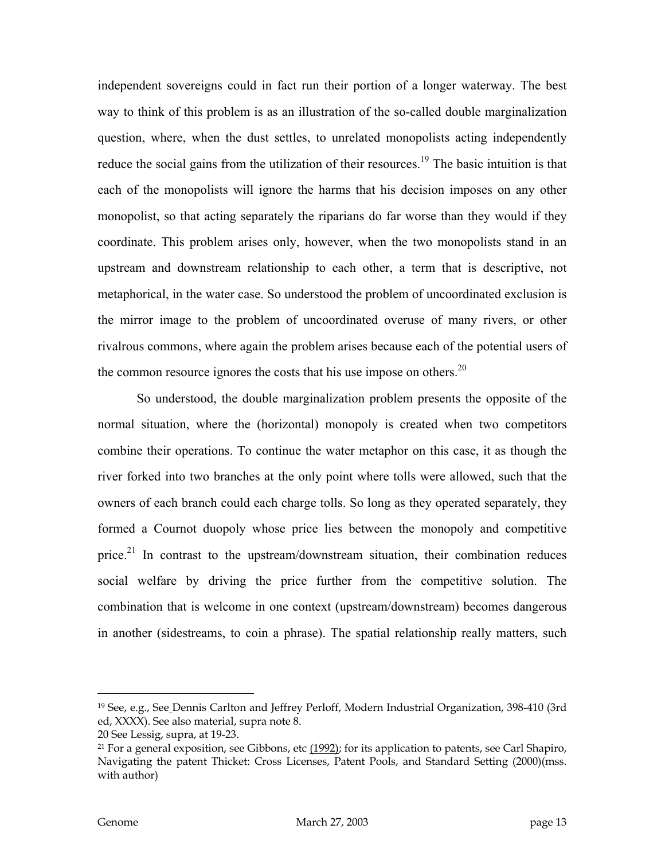independent sovereigns could in fact run their portion of a longer waterway. The best way to think of this problem is as an illustration of the so-called double marginalization question, where, when the dust settles, to unrelated monopolists acting independently reduce the social gains from the utilization of their resources.<sup>[19](#page-14-0)</sup> The basic intuition is that each of the monopolists will ignore the harms that his decision imposes on any other monopolist, so that acting separately the riparians do far worse than they would if they coordinate. This problem arises only, however, when the two monopolists stand in an upstream and downstream relationship to each other, a term that is descriptive, not metaphorical, in the water case. So understood the problem of uncoordinated exclusion is the mirror image to the problem of uncoordinated overuse of many rivers, or other rivalrous commons, where again the problem arises because each of the potential users of the common resource ignores the costs that his use impose on others.<sup>[20](#page-14-1)</sup>

So understood, the double marginalization problem presents the opposite of the normal situation, where the (horizontal) monopoly is created when two competitors combine their operations. To continue the water metaphor on this case, it as though the river forked into two branches at the only point where tolls were allowed, such that the owners of each branch could each charge tolls. So long as they operated separately, they formed a Cournot duopoly whose price lies between the monopoly and competitive price.<sup>[21](#page-14-2)</sup> In contrast to the upstream/downstream situation, their combination reduces social welfare by driving the price further from the competitive solution. The combination that is welcome in one context (upstream/downstream) becomes dangerous in another (sidestreams, to coin a phrase). The spatial relationship really matters, such

<span id="page-14-0"></span><sup>19</sup> See, e.g., See Dennis Carlton and Jeffrey Perloff, Modern Industrial Organization, 398-410 (3rd ed, XXXX). See also material, supra note 8.

<span id="page-14-1"></span><sup>20</sup> See Lessig, supra, at 19-23.

<span id="page-14-2"></span><sup>21</sup> For a general exposition, see Gibbons, etc (1992); for its application to patents, see Carl Shapiro, Navigating the patent Thicket: Cross Licenses, Patent Pools, and Standard Setting (2000)(mss. with author)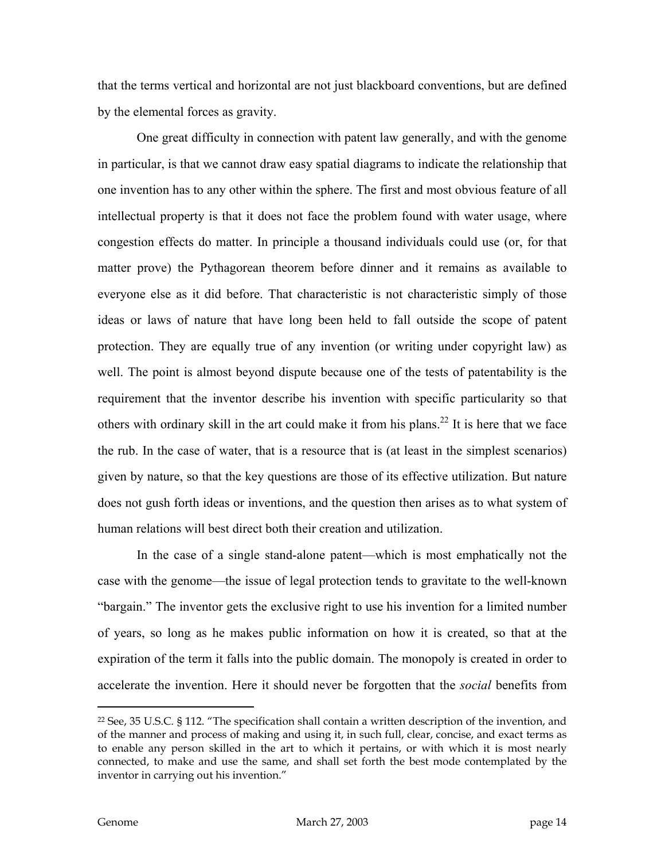that the terms vertical and horizontal are not just blackboard conventions, but are defined by the elemental forces as gravity.

One great difficulty in connection with patent law generally, and with the genome in particular, is that we cannot draw easy spatial diagrams to indicate the relationship that one invention has to any other within the sphere. The first and most obvious feature of all intellectual property is that it does not face the problem found with water usage, where congestion effects do matter. In principle a thousand individuals could use (or, for that matter prove) the Pythagorean theorem before dinner and it remains as available to everyone else as it did before. That characteristic is not characteristic simply of those ideas or laws of nature that have long been held to fall outside the scope of patent protection. They are equally true of any invention (or writing under copyright law) as well. The point is almost beyond dispute because one of the tests of patentability is the requirement that the inventor describe his invention with specific particularity so that others with ordinary skill in the art could make it from his plans.<sup>[22](#page-15-0)</sup> It is here that we face the rub. In the case of water, that is a resource that is (at least in the simplest scenarios) given by nature, so that the key questions are those of its effective utilization. But nature does not gush forth ideas or inventions, and the question then arises as to what system of human relations will best direct both their creation and utilization.

In the case of a single stand-alone patent—which is most emphatically not the case with the genome—the issue of legal protection tends to gravitate to the well-known "bargain." The inventor gets the exclusive right to use his invention for a limited number of years, so long as he makes public information on how it is created, so that at the expiration of the term it falls into the public domain. The monopoly is created in order to accelerate the invention. Here it should never be forgotten that the *social* benefits from

-

<span id="page-15-0"></span> $22$  See, 35 U.S.C. § 112. "The specification shall contain a written description of the invention, and of the manner and process of making and using it, in such full, clear, concise, and exact terms as to enable any person skilled in the art to which it pertains, or with which it is most nearly connected, to make and use the same, and shall set forth the best mode contemplated by the inventor in carrying out his invention."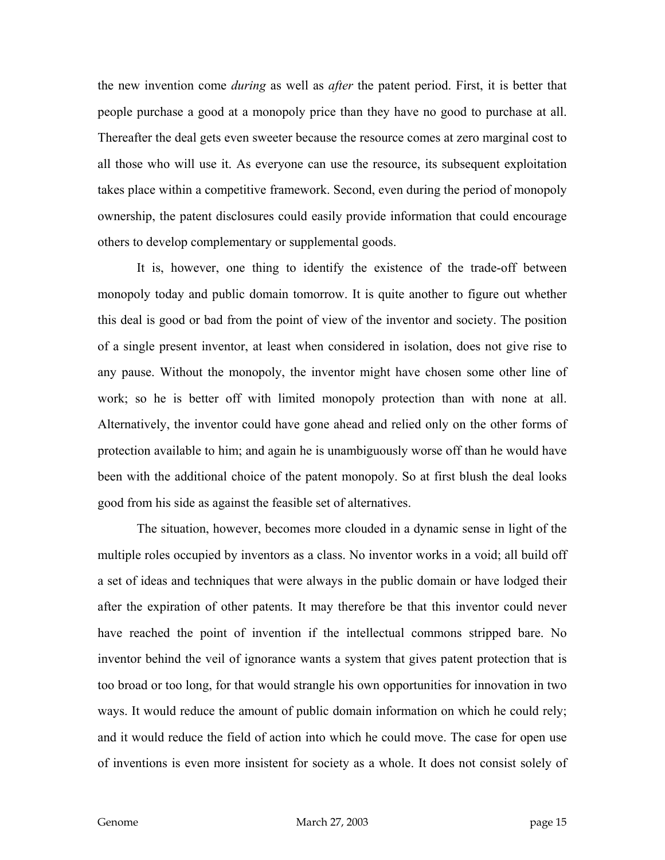the new invention come *during* as well as *after* the patent period. First, it is better that people purchase a good at a monopoly price than they have no good to purchase at all. Thereafter the deal gets even sweeter because the resource comes at zero marginal cost to all those who will use it. As everyone can use the resource, its subsequent exploitation takes place within a competitive framework. Second, even during the period of monopoly ownership, the patent disclosures could easily provide information that could encourage others to develop complementary or supplemental goods.

It is, however, one thing to identify the existence of the trade-off between monopoly today and public domain tomorrow. It is quite another to figure out whether this deal is good or bad from the point of view of the inventor and society. The position of a single present inventor, at least when considered in isolation, does not give rise to any pause. Without the monopoly, the inventor might have chosen some other line of work; so he is better off with limited monopoly protection than with none at all. Alternatively, the inventor could have gone ahead and relied only on the other forms of protection available to him; and again he is unambiguously worse off than he would have been with the additional choice of the patent monopoly. So at first blush the deal looks good from his side as against the feasible set of alternatives.

The situation, however, becomes more clouded in a dynamic sense in light of the multiple roles occupied by inventors as a class. No inventor works in a void; all build off a set of ideas and techniques that were always in the public domain or have lodged their after the expiration of other patents. It may therefore be that this inventor could never have reached the point of invention if the intellectual commons stripped bare. No inventor behind the veil of ignorance wants a system that gives patent protection that is too broad or too long, for that would strangle his own opportunities for innovation in two ways. It would reduce the amount of public domain information on which he could rely; and it would reduce the field of action into which he could move. The case for open use of inventions is even more insistent for society as a whole. It does not consist solely of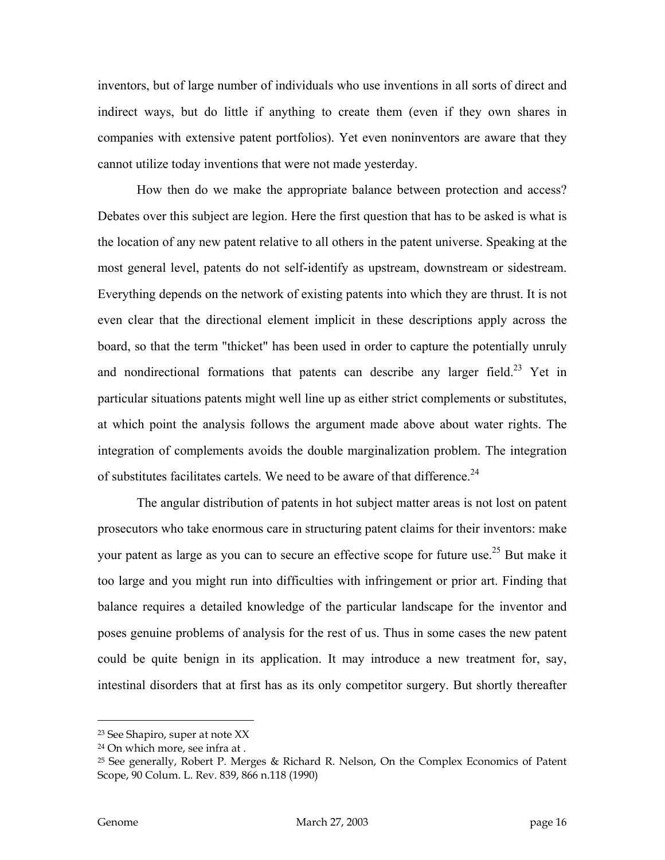inventors, but of large number of individuals who use inventions in all sorts of direct and indirect ways, but do little if anything to create them (even if they own shares in companies with extensive patent portfolios). Yet even noninventors are aware that they cannot utilize today inventions that were not made yesterday.

How then do we make the appropriate balance between protection and access? Debates over this subject are legion. Here the first question that has to be asked is what is the location of any new patent relative to all others in the patent universe. Speaking at the most general level, patents do not self-identify as upstream, downstream or sidestream. Everything depends on the network of existing patents into which they are thrust. It is not even clear that the directional element implicit in these descriptions apply across the board, so that the term "thicket" has been used in order to capture the potentially unruly and nondirectional formations that patents can describe any larger field.<sup>[23](#page-17-0)</sup> Yet in particular situations patents might well line up as either strict complements or substitutes, at which point the analysis follows the argument made above about water rights. The integration of complements avoids the double marginalization problem. The integration of substitutes facilitates cartels. We need to be aware of that difference.<sup>[24](#page-17-1)</sup>

The angular distribution of patents in hot subject matter areas is not lost on patent prosecutors who take enormous care in structuring patent claims for their inventors: make your patent as large as you can to secure an effective scope for future use.<sup>[25](#page-17-2)</sup> But make it too large and you might run into difficulties with infringement or prior art. Finding that balance requires a detailed knowledge of the particular landscape for the inventor and poses genuine problems of analysis for the rest of us. Thus in some cases the new patent could be quite benign in its application. It may introduce a new treatment for, say, intestinal disorders that at first has as its only competitor surgery. But shortly thereafter

<span id="page-17-0"></span><sup>23</sup> See Shapiro, super at note XX

<span id="page-17-1"></span><sup>24</sup> On which more, see infra at .

<span id="page-17-2"></span><sup>25</sup> See generally, Robert P. Merges & Richard R. Nelson, On the Complex Economics of Patent Scope, 90 Colum. L. Rev. 839, 866 n.118 (1990)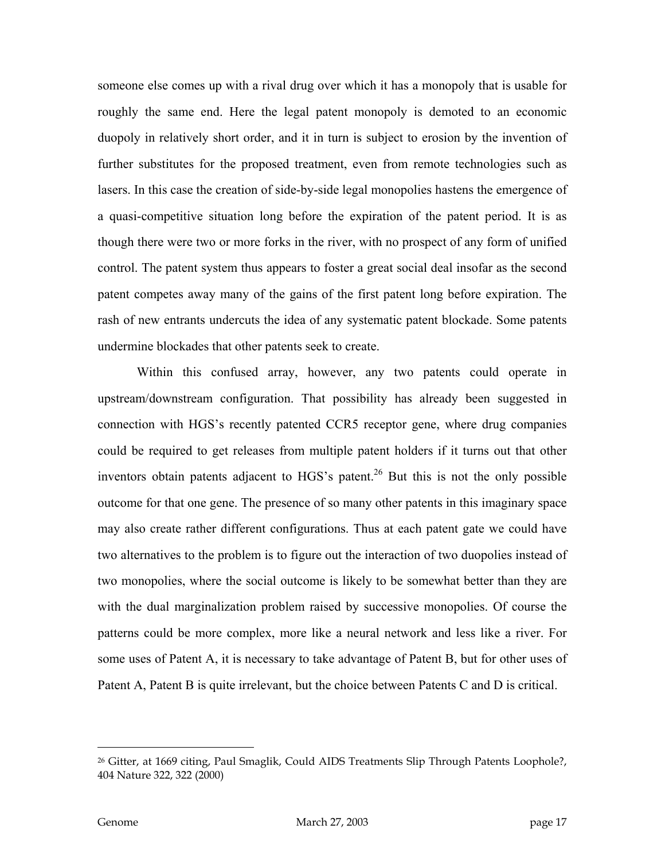someone else comes up with a rival drug over which it has a monopoly that is usable for roughly the same end. Here the legal patent monopoly is demoted to an economic duopoly in relatively short order, and it in turn is subject to erosion by the invention of further substitutes for the proposed treatment, even from remote technologies such as lasers. In this case the creation of side-by-side legal monopolies hastens the emergence of a quasi-competitive situation long before the expiration of the patent period. It is as though there were two or more forks in the river, with no prospect of any form of unified control. The patent system thus appears to foster a great social deal insofar as the second patent competes away many of the gains of the first patent long before expiration. The rash of new entrants undercuts the idea of any systematic patent blockade. Some patents undermine blockades that other patents seek to create.

Within this confused array, however, any two patents could operate in upstream/downstream configuration. That possibility has already been suggested in connection with HGS's recently patented CCR5 receptor gene, where drug companies could be required to get releases from multiple patent holders if it turns out that other inventors obtain patents adjacent to  $HGS's$  patent.<sup>[26](#page-18-0)</sup> But this is not the only possible outcome for that one gene. The presence of so many other patents in this imaginary space may also create rather different configurations. Thus at each patent gate we could have two alternatives to the problem is to figure out the interaction of two duopolies instead of two monopolies, where the social outcome is likely to be somewhat better than they are with the dual marginalization problem raised by successive monopolies. Of course the patterns could be more complex, more like a neural network and less like a river. For some uses of Patent A, it is necessary to take advantage of Patent B, but for other uses of Patent A, Patent B is quite irrelevant, but the choice between Patents C and D is critical.

-

<span id="page-18-0"></span><sup>&</sup>lt;sup>26</sup> Gitter, at 1669 citing, Paul Smaglik, Could AIDS Treatments Slip Through Patents Loophole?, 404 Nature 322, 322 (2000)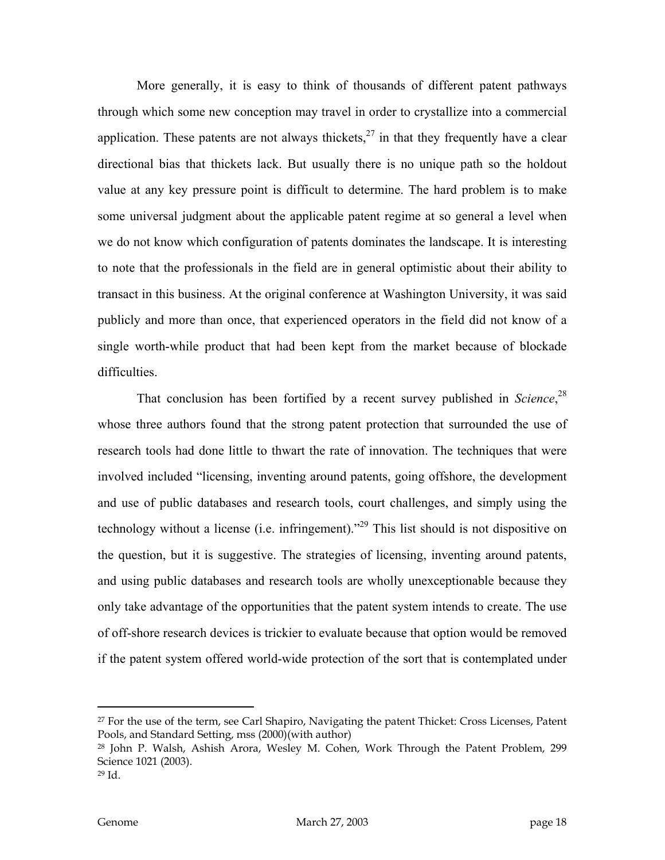More generally, it is easy to think of thousands of different patent pathways through which some new conception may travel in order to crystallize into a commercial application. These patents are not always thickets,  $27$  in that they frequently have a clear directional bias that thickets lack. But usually there is no unique path so the holdout value at any key pressure point is difficult to determine. The hard problem is to make some universal judgment about the applicable patent regime at so general a level when we do not know which configuration of patents dominates the landscape. It is interesting to note that the professionals in the field are in general optimistic about their ability to transact in this business. At the original conference at Washington University, it was said publicly and more than once, that experienced operators in the field did not know of a single worth-while product that had been kept from the market because of blockade difficulties.

That conclusion has been fortified by a recent survey published in *Science*<sup>[28](#page-19-1)</sup>, whose three authors found that the strong patent protection that surrounded the use of research tools had done little to thwart the rate of innovation. The techniques that were involved included "licensing, inventing around patents, going offshore, the development and use of public databases and research tools, court challenges, and simply using the technology without a license (i.e. infringement)."[29](#page-19-2) This list should is not dispositive on the question, but it is suggestive. The strategies of licensing, inventing around patents, and using public databases and research tools are wholly unexceptionable because they only take advantage of the opportunities that the patent system intends to create. The use of off-shore research devices is trickier to evaluate because that option would be removed if the patent system offered world-wide protection of the sort that is contemplated under

<span id="page-19-0"></span><sup>&</sup>lt;sup>27</sup> For the use of the term, see Carl Shapiro, Navigating the patent Thicket: Cross Licenses, Patent Pools, and Standard Setting, mss (2000)(with author)

<span id="page-19-1"></span><sup>28</sup> John P. Walsh, Ashish Arora, Wesley M. Cohen, Work Through the Patent Problem, 299 Science 1021 (2003).

<span id="page-19-2"></span><sup>29</sup> Id.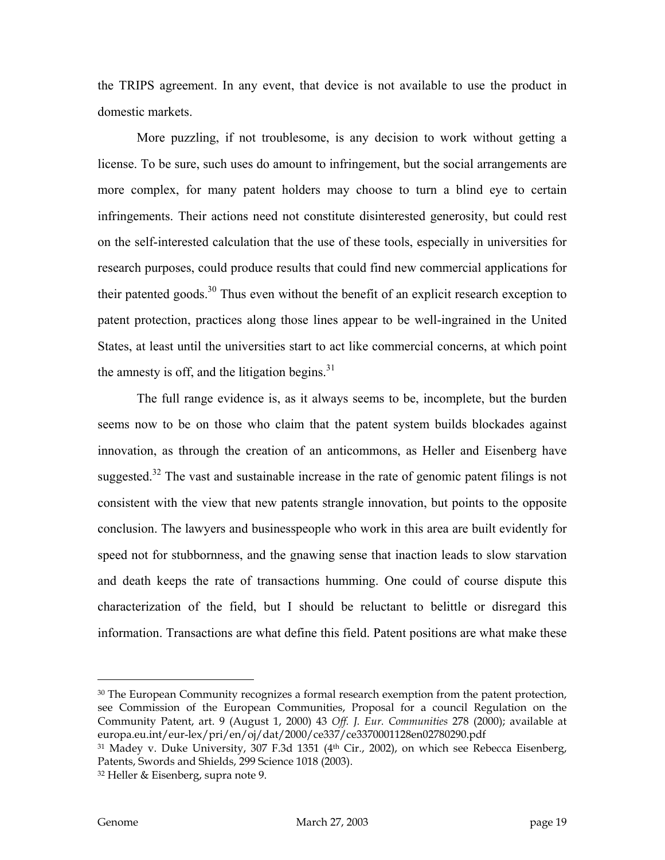the TRIPS agreement. In any event, that device is not available to use the product in domestic markets.

More puzzling, if not troublesome, is any decision to work without getting a license. To be sure, such uses do amount to infringement, but the social arrangements are more complex, for many patent holders may choose to turn a blind eye to certain infringements. Their actions need not constitute disinterested generosity, but could rest on the self-interested calculation that the use of these tools, especially in universities for research purposes, could produce results that could find new commercial applications for their patented goods.<sup>[30](#page-20-0)</sup> Thus even without the benefit of an explicit research exception to patent protection, practices along those lines appear to be well-ingrained in the United States, at least until the universities start to act like commercial concerns, at which point the amnesty is off, and the litigation begins. $31$ 

The full range evidence is, as it always seems to be, incomplete, but the burden seems now to be on those who claim that the patent system builds blockades against innovation, as through the creation of an anticommons, as Heller and Eisenberg have suggested.<sup>[32](#page-20-2)</sup> The vast and sustainable increase in the rate of genomic patent filings is not consistent with the view that new patents strangle innovation, but points to the opposite conclusion. The lawyers and businesspeople who work in this area are built evidently for speed not for stubbornness, and the gnawing sense that inaction leads to slow starvation and death keeps the rate of transactions humming. One could of course dispute this characterization of the field, but I should be reluctant to belittle or disregard this information. Transactions are what define this field. Patent positions are what make these

-

<span id="page-20-0"></span> $30$  The European Community recognizes a formal research exemption from the patent protection, see Commission of the European Communities, Proposal for a council Regulation on the Community Patent, art. 9 (August 1, 2000) 43 *Off. J. Eur. Communities* 278 (2000); available at europa.eu.int/eur-lex/pri/en/oj/dat/2000/ce337/ce3370001128en02780290.pdf

<span id="page-20-1"></span><sup>31</sup> Madey v. Duke University, 307 F.3d 1351 (4th Cir., 2002), on which see Rebecca Eisenberg, Patents, Swords and Shields, 299 Science 1018 (2003).

<span id="page-20-2"></span><sup>32</sup> Heller & Eisenberg, supra note 9.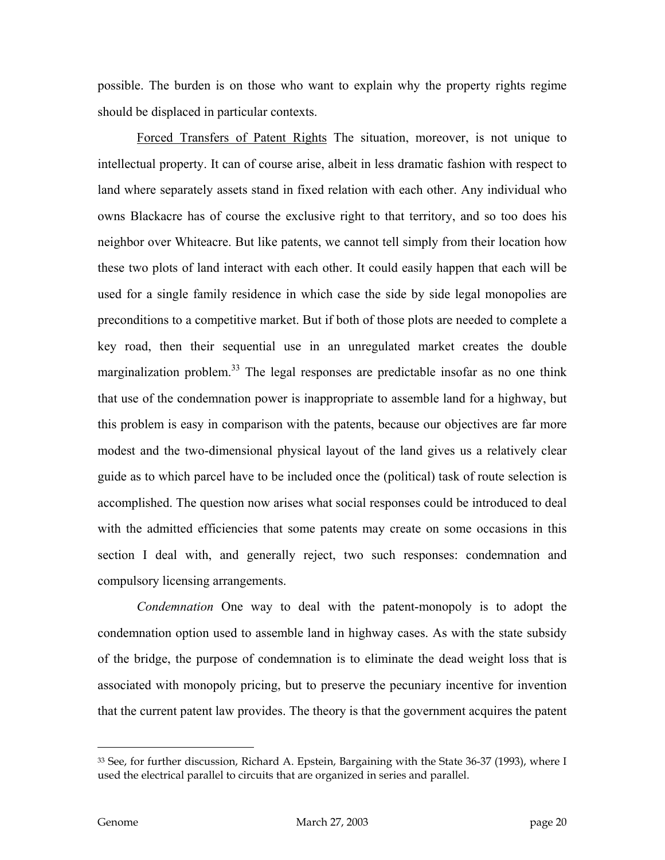possible. The burden is on those who want to explain why the property rights regime should be displaced in particular contexts.

Forced Transfers of Patent Rights The situation, moreover, is not unique to intellectual property. It can of course arise, albeit in less dramatic fashion with respect to land where separately assets stand in fixed relation with each other. Any individual who owns Blackacre has of course the exclusive right to that territory, and so too does his neighbor over Whiteacre. But like patents, we cannot tell simply from their location how these two plots of land interact with each other. It could easily happen that each will be used for a single family residence in which case the side by side legal monopolies are preconditions to a competitive market. But if both of those plots are needed to complete a key road, then their sequential use in an unregulated market creates the double marginalization problem.<sup>[33](#page-21-0)</sup> The legal responses are predictable insofar as no one think that use of the condemnation power is inappropriate to assemble land for a highway, but this problem is easy in comparison with the patents, because our objectives are far more modest and the two-dimensional physical layout of the land gives us a relatively clear guide as to which parcel have to be included once the (political) task of route selection is accomplished. The question now arises what social responses could be introduced to deal with the admitted efficiencies that some patents may create on some occasions in this section I deal with, and generally reject, two such responses: condemnation and compulsory licensing arrangements.

*Condemnation* One way to deal with the patent-monopoly is to adopt the condemnation option used to assemble land in highway cases. As with the state subsidy of the bridge, the purpose of condemnation is to eliminate the dead weight loss that is associated with monopoly pricing, but to preserve the pecuniary incentive for invention that the current patent law provides. The theory is that the government acquires the patent

<span id="page-21-0"></span><sup>33</sup> See, for further discussion, Richard A. Epstein, Bargaining with the State 36-37 (1993), where I used the electrical parallel to circuits that are organized in series and parallel.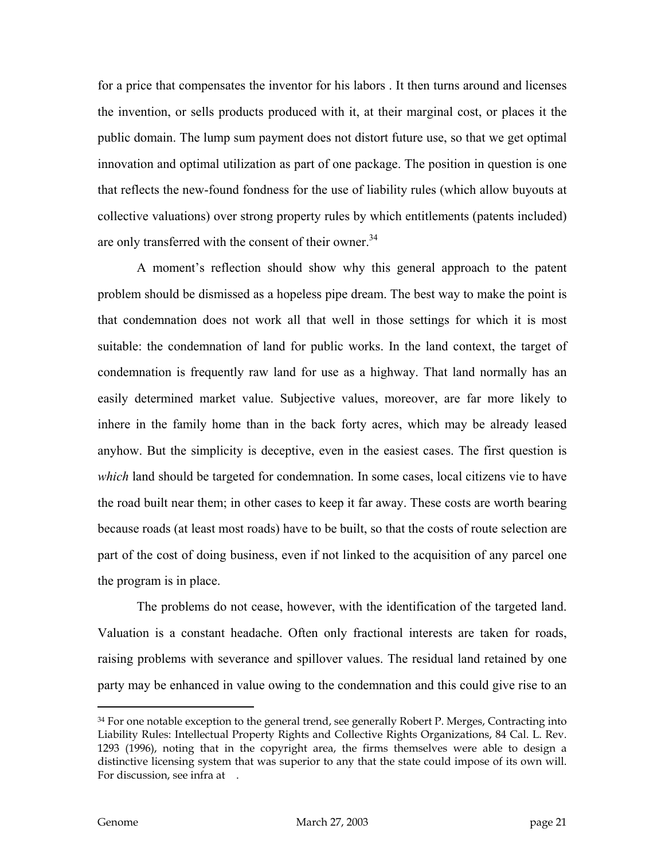for a price that compensates the inventor for his labors . It then turns around and licenses the invention, or sells products produced with it, at their marginal cost, or places it the public domain. The lump sum payment does not distort future use, so that we get optimal innovation and optimal utilization as part of one package. The position in question is one that reflects the new-found fondness for the use of liability rules (which allow buyouts at collective valuations) over strong property rules by which entitlements (patents included) are only transferred with the consent of their owner. $34$ 

A moment's reflection should show why this general approach to the patent problem should be dismissed as a hopeless pipe dream. The best way to make the point is that condemnation does not work all that well in those settings for which it is most suitable: the condemnation of land for public works. In the land context, the target of condemnation is frequently raw land for use as a highway. That land normally has an easily determined market value. Subjective values, moreover, are far more likely to inhere in the family home than in the back forty acres, which may be already leased anyhow. But the simplicity is deceptive, even in the easiest cases. The first question is *which* land should be targeted for condemnation. In some cases, local citizens vie to have the road built near them; in other cases to keep it far away. These costs are worth bearing because roads (at least most roads) have to be built, so that the costs of route selection are part of the cost of doing business, even if not linked to the acquisition of any parcel one the program is in place.

The problems do not cease, however, with the identification of the targeted land. Valuation is a constant headache. Often only fractional interests are taken for roads, raising problems with severance and spillover values. The residual land retained by one party may be enhanced in value owing to the condemnation and this could give rise to an

<span id="page-22-0"></span><sup>&</sup>lt;sup>34</sup> For one notable exception to the general trend, see generally Robert P. Merges, Contracting into Liability Rules: Intellectual Property Rights and Collective Rights Organizations, 84 Cal. L. Rev. 1293 (1996), noting that in the copyright area, the firms themselves were able to design a distinctive licensing system that was superior to any that the state could impose of its own will. For discussion, see infra at .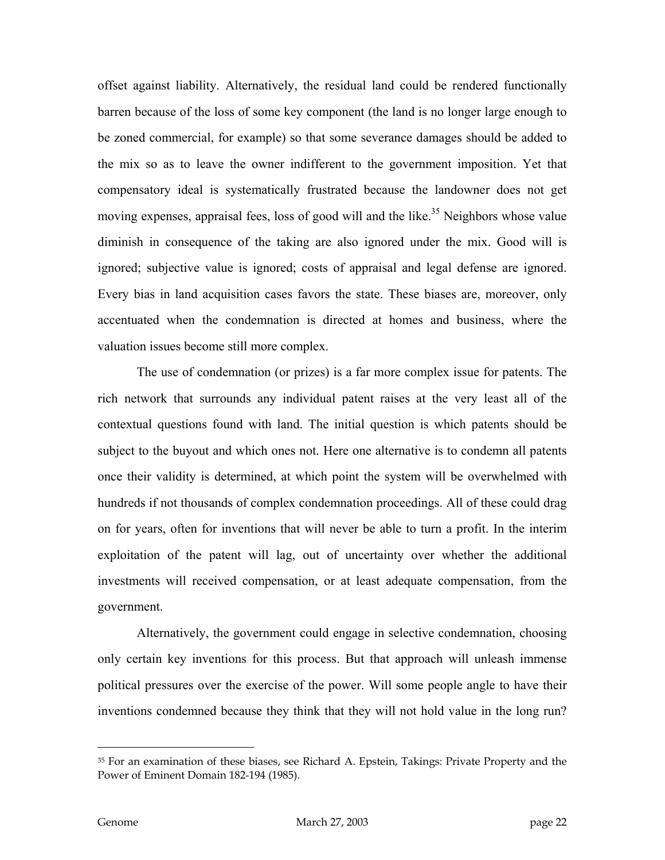offset against liability. Alternatively, the residual land could be rendered functionally barren because of the loss of some key component (the land is no longer large enough to be zoned commercial, for example) so that some severance damages should be added to the mix so as to leave the owner indifferent to the government imposition. Yet that compensatory ideal is systematically frustrated because the landowner does not get moving expenses, appraisal fees, loss of good will and the like.<sup>[35](#page-23-0)</sup> Neighbors whose value diminish in consequence of the taking are also ignored under the mix. Good will is ignored; subjective value is ignored; costs of appraisal and legal defense are ignored. Every bias in land acquisition cases favors the state. These biases are, moreover, only accentuated when the condemnation is directed at homes and business, where the valuation issues become still more complex.

The use of condemnation (or prizes) is a far more complex issue for patents. The rich network that surrounds any individual patent raises at the very least all of the contextual questions found with land. The initial question is which patents should be subject to the buyout and which ones not. Here one alternative is to condemn all patents once their validity is determined, at which point the system will be overwhelmed with hundreds if not thousands of complex condemnation proceedings. All of these could drag on for years, often for inventions that will never be able to turn a profit. In the interim exploitation of the patent will lag, out of uncertainty over whether the additional investments will received compensation, or at least adequate compensation, from the government.

Alternatively, the government could engage in selective condemnation, choosing only certain key inventions for this process. But that approach will unleash immense political pressures over the exercise of the power. Will some people angle to have their inventions condemned because they think that they will not hold value in the long run?

<span id="page-23-0"></span><sup>&</sup>lt;sup>35</sup> For an examination of these biases, see Richard A. Epstein, Takings: Private Property and the Power of Eminent Domain 182-194 (1985).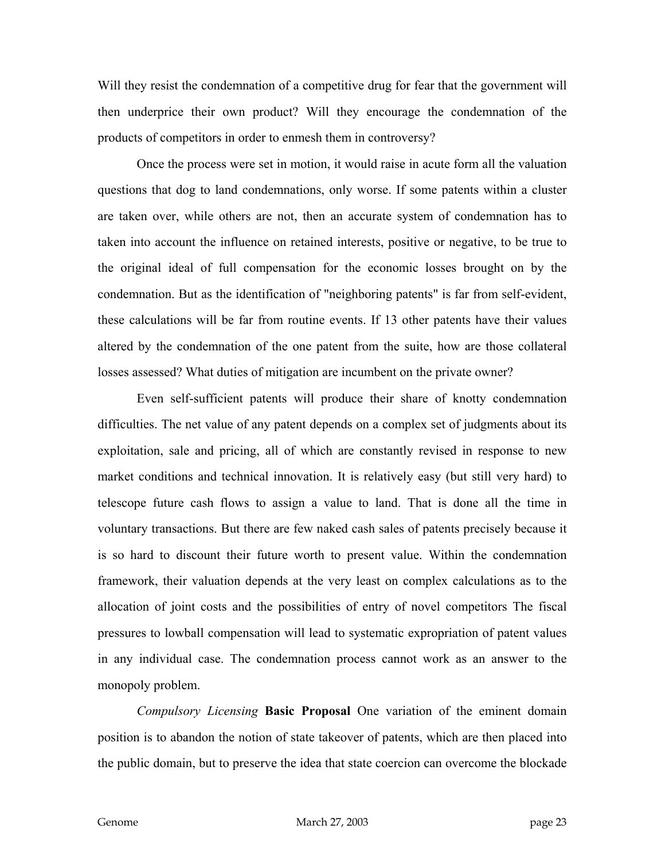Will they resist the condemnation of a competitive drug for fear that the government will then underprice their own product? Will they encourage the condemnation of the products of competitors in order to enmesh them in controversy?

Once the process were set in motion, it would raise in acute form all the valuation questions that dog to land condemnations, only worse. If some patents within a cluster are taken over, while others are not, then an accurate system of condemnation has to taken into account the influence on retained interests, positive or negative, to be true to the original ideal of full compensation for the economic losses brought on by the condemnation. But as the identification of "neighboring patents" is far from self-evident, these calculations will be far from routine events. If 13 other patents have their values altered by the condemnation of the one patent from the suite, how are those collateral losses assessed? What duties of mitigation are incumbent on the private owner?

Even self-sufficient patents will produce their share of knotty condemnation difficulties. The net value of any patent depends on a complex set of judgments about its exploitation, sale and pricing, all of which are constantly revised in response to new market conditions and technical innovation. It is relatively easy (but still very hard) to telescope future cash flows to assign a value to land. That is done all the time in voluntary transactions. But there are few naked cash sales of patents precisely because it is so hard to discount their future worth to present value. Within the condemnation framework, their valuation depends at the very least on complex calculations as to the allocation of joint costs and the possibilities of entry of novel competitors The fiscal pressures to lowball compensation will lead to systematic expropriation of patent values in any individual case. The condemnation process cannot work as an answer to the monopoly problem.

*Compulsory Licensing* **Basic Proposal** One variation of the eminent domain position is to abandon the notion of state takeover of patents, which are then placed into the public domain, but to preserve the idea that state coercion can overcome the blockade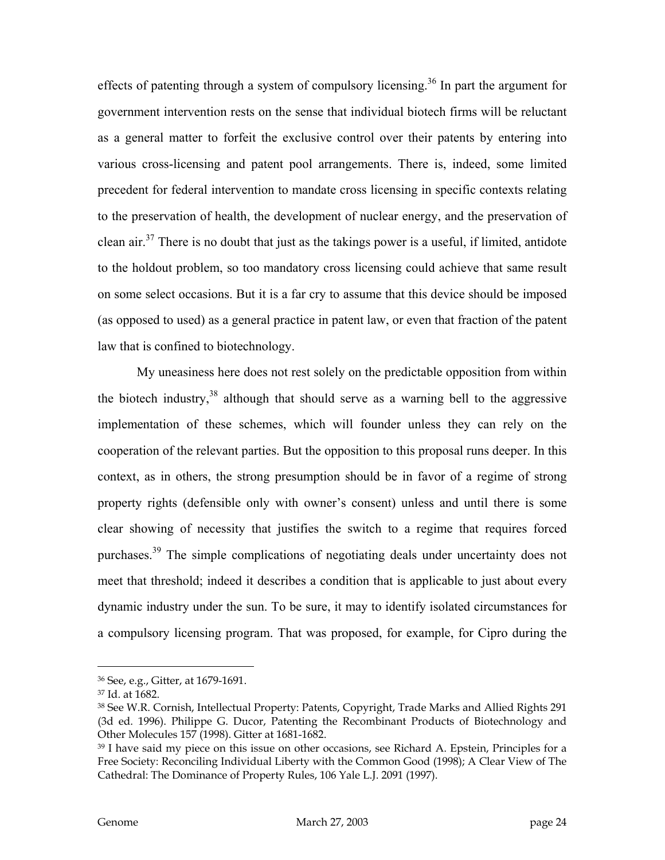effects of patenting through a system of compulsory licensing.<sup>[36](#page-25-0)</sup> In part the argument for government intervention rests on the sense that individual biotech firms will be reluctant as a general matter to forfeit the exclusive control over their patents by entering into various cross-licensing and patent pool arrangements. There is, indeed, some limited precedent for federal intervention to mandate cross licensing in specific contexts relating to the preservation of health, the development of nuclear energy, and the preservation of clean air.<sup>[37](#page-25-1)</sup> There is no doubt that just as the takings power is a useful, if limited, antidote to the holdout problem, so too mandatory cross licensing could achieve that same result on some select occasions. But it is a far cry to assume that this device should be imposed (as opposed to used) as a general practice in patent law, or even that fraction of the patent law that is confined to biotechnology.

My uneasiness here does not rest solely on the predictable opposition from within the biotech industry,  $38$  although that should serve as a warning bell to the aggressive implementation of these schemes, which will founder unless they can rely on the cooperation of the relevant parties. But the opposition to this proposal runs deeper. In this context, as in others, the strong presumption should be in favor of a regime of strong property rights (defensible only with owner's consent) unless and until there is some clear showing of necessity that justifies the switch to a regime that requires forced purchases.<sup>[39](#page-25-3)</sup> The simple complications of negotiating deals under uncertainty does not meet that threshold; indeed it describes a condition that is applicable to just about every dynamic industry under the sun. To be sure, it may to identify isolated circumstances for a compulsory licensing program. That was proposed, for example, for Cipro during the

<span id="page-25-0"></span><sup>36</sup> See, e.g., Gitter, at 1679-1691.

<span id="page-25-1"></span><sup>37</sup> Id. at 1682.

<span id="page-25-2"></span><sup>38</sup> See W.R. Cornish, Intellectual Property: Patents, Copyright, Trade Marks and Allied Rights 291 (3d ed. 1996). Philippe G. Ducor, Patenting the Recombinant Products of Biotechnology and Other Molecules 157 (1998). Gitter at 1681-1682.

<span id="page-25-3"></span><sup>39</sup> I have said my piece on this issue on other occasions, see Richard A. Epstein, Principles for a Free Society: Reconciling Individual Liberty with the Common Good (1998); A Clear View of The Cathedral: The Dominance of Property Rules, 106 Yale L.J. 2091 (1997).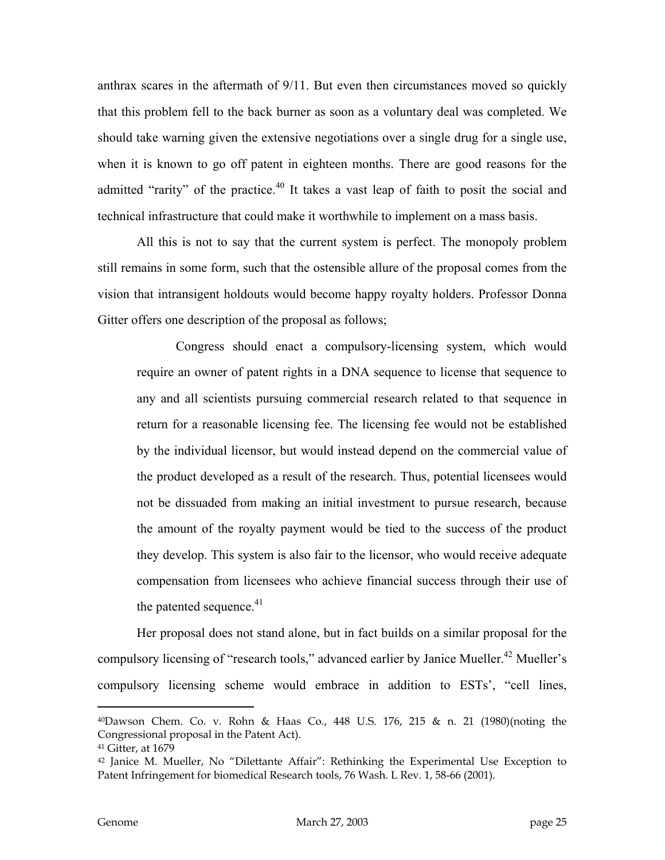anthrax scares in the aftermath of 9/11. But even then circumstances moved so quickly that this problem fell to the back burner as soon as a voluntary deal was completed. We should take warning given the extensive negotiations over a single drug for a single use, when it is known to go off patent in eighteen months. There are good reasons for the admitted "rarity" of the practice.<sup>[40](#page-26-0)</sup> It takes a vast leap of faith to posit the social and technical infrastructure that could make it worthwhile to implement on a mass basis.

All this is not to say that the current system is perfect. The monopoly problem still remains in some form, such that the ostensible allure of the proposal comes from the vision that intransigent holdouts would become happy royalty holders. Professor Donna Gitter offers one description of the proposal as follows;

Congress should enact a compulsory-licensing system, which would require an owner of patent rights in a DNA sequence to license that sequence to any and all scientists pursuing commercial research related to that sequence in return for a reasonable licensing fee. The licensing fee would not be established by the individual licensor, but would instead depend on the commercial value of the product developed as a result of the research. Thus, potential licensees would not be dissuaded from making an initial investment to pursue research, because the amount of the royalty payment would be tied to the success of the product they develop. This system is also fair to the licensor, who would receive adequate compensation from licensees who achieve financial success through their use of the patented sequence. $41$ 

Her proposal does not stand alone, but in fact builds on a similar proposal for the compulsory licensing of "research tools," advanced earlier by Janice Mueller.<sup>[42](#page-26-2)</sup> Mueller's compulsory licensing scheme would embrace in addition to ESTs', "cell lines,

<span id="page-26-0"></span><sup>40</sup>Dawson Chem. Co. v. Rohn & Haas Co., 448 U.S. 176, 215 & n. 21 (1980)(noting the Congressional proposal in the Patent Act).

<span id="page-26-1"></span><sup>41</sup> Gitter, at 1679

<span id="page-26-2"></span><sup>42</sup> Janice M. Mueller, No "Dilettante Affair": Rethinking the Experimental Use Exception to Patent Infringement for biomedical Research tools, 76 Wash. L Rev. 1, 58-66 (2001).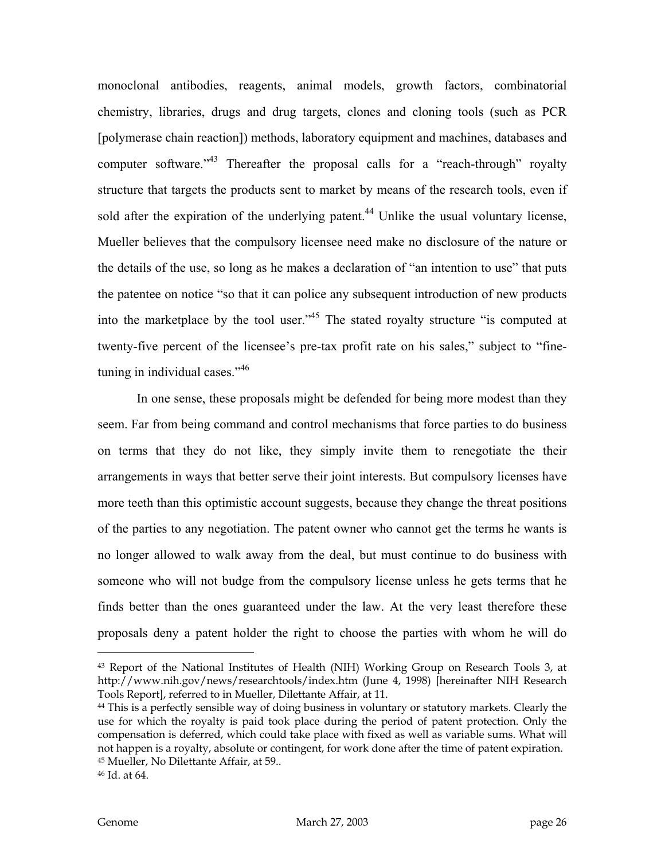monoclonal antibodies, reagents, animal models, growth factors, combinatorial chemistry, libraries, drugs and drug targets, clones and cloning tools (such as PCR [polymerase chain reaction]) methods, laboratory equipment and machines, databases and computer software.<sup> $143$  $143$ </sup> Thereafter the proposal calls for a "reach-through" royalty structure that targets the products sent to market by means of the research tools, even if sold after the expiration of the underlying patent.<sup>[44](#page-27-1)</sup> Unlike the usual voluntary license, Mueller believes that the compulsory licensee need make no disclosure of the nature or the details of the use, so long as he makes a declaration of "an intention to use" that puts the patentee on notice "so that it can police any subsequent introduction of new products into the marketplace by the tool user.<sup> $145$  $145$ </sup> The stated royalty structure "is computed at twenty-five percent of the licensee's pre-tax profit rate on his sales," subject to "finetuning in individual cases."[46](#page-27-3)

In one sense, these proposals might be defended for being more modest than they seem. Far from being command and control mechanisms that force parties to do business on terms that they do not like, they simply invite them to renegotiate the their arrangements in ways that better serve their joint interests. But compulsory licenses have more teeth than this optimistic account suggests, because they change the threat positions of the parties to any negotiation. The patent owner who cannot get the terms he wants is no longer allowed to walk away from the deal, but must continue to do business with someone who will not budge from the compulsory license unless he gets terms that he finds better than the ones guaranteed under the law. At the very least therefore these proposals deny a patent holder the right to choose the parties with whom he will do

<span id="page-27-0"></span><sup>43</sup> Report of the National Institutes of Health (NIH) Working Group on Research Tools 3, at http://www.nih.gov/news/researchtools/index.htm (June 4, 1998) [hereinafter NIH Research Tools Report], referred to in Mueller, Dilettante Affair, at 11.

<span id="page-27-1"></span><sup>&</sup>lt;sup>44</sup> This is a perfectly sensible way of doing business in voluntary or statutory markets. Clearly the use for which the royalty is paid took place during the period of patent protection. Only the compensation is deferred, which could take place with fixed as well as variable sums. What will not happen is a royalty, absolute or contingent, for work done after the time of patent expiration. 45 Mueller, No Dilettante Affair, at 59..

<span id="page-27-3"></span><span id="page-27-2"></span><sup>46</sup> Id. at 64.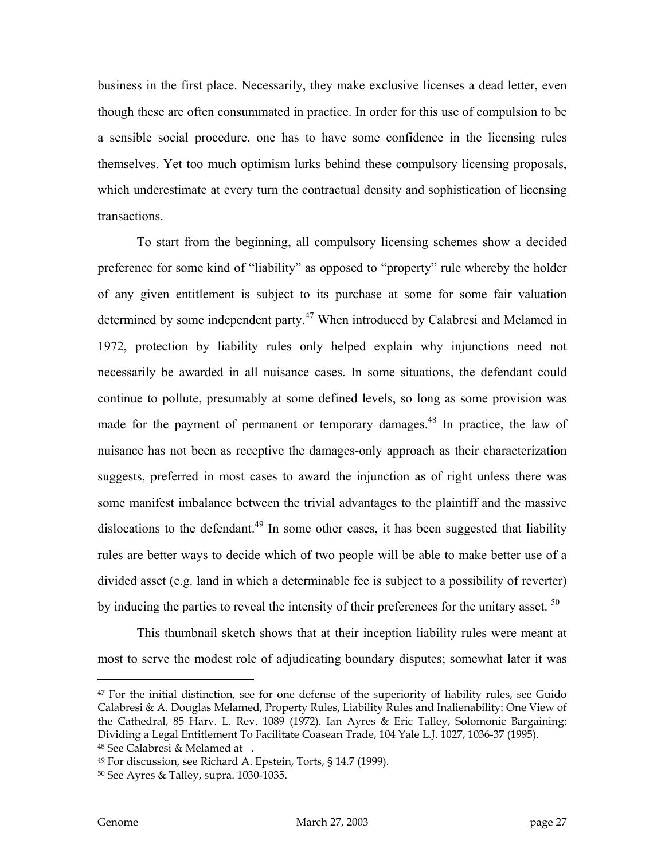business in the first place. Necessarily, they make exclusive licenses a dead letter, even though these are often consummated in practice. In order for this use of compulsion to be a sensible social procedure, one has to have some confidence in the licensing rules themselves. Yet too much optimism lurks behind these compulsory licensing proposals, which underestimate at every turn the contractual density and sophistication of licensing transactions.

To start from the beginning, all compulsory licensing schemes show a decided preference for some kind of "liability" as opposed to "property" rule whereby the holder of any given entitlement is subject to its purchase at some for some fair valuation determined by some independent party.<sup>[47](#page-28-0)</sup> When introduced by Calabresi and Melamed in 1972, protection by liability rules only helped explain why injunctions need not necessarily be awarded in all nuisance cases. In some situations, the defendant could continue to pollute, presumably at some defined levels, so long as some provision was made for the payment of permanent or temporary damages.<sup>[48](#page-28-1)</sup> In practice, the law of nuisance has not been as receptive the damages-only approach as their characterization suggests, preferred in most cases to award the injunction as of right unless there was some manifest imbalance between the trivial advantages to the plaintiff and the massive dislocations to the defendant.<sup>[49](#page-28-2)</sup> In some other cases, it has been suggested that liability rules are better ways to decide which of two people will be able to make better use of a divided asset (e.g. land in which a determinable fee is subject to a possibility of reverter) by inducing the parties to reveal the intensity of their preferences for the unitary asset.<sup>[50](#page-28-3)</sup>

This thumbnail sketch shows that at their inception liability rules were meant at most to serve the modest role of adjudicating boundary disputes; somewhat later it was

<span id="page-28-0"></span> $47$  For the initial distinction, see for one defense of the superiority of liability rules, see Guido Calabresi & A. Douglas Melamed, Property Rules, Liability Rules and Inalienability: One View of the Cathedral, 85 Harv. L. Rev. 1089 (1972). Ian Ayres & Eric Talley, Solomonic Bargaining: Dividing a Legal Entitlement To Facilitate Coasean Trade, 104 Yale L.J. 1027, 1036-37 (1995).

<span id="page-28-2"></span><span id="page-28-1"></span><sup>&</sup>lt;sup>48</sup> See Calabresi & Melamed at  $\cdot$ .<br><sup>49</sup> For discussion, see Richard A. Epstein, Torts, § 14.7 (1999).

<span id="page-28-3"></span><sup>50</sup> See Ayres & Talley, supra. 1030-1035.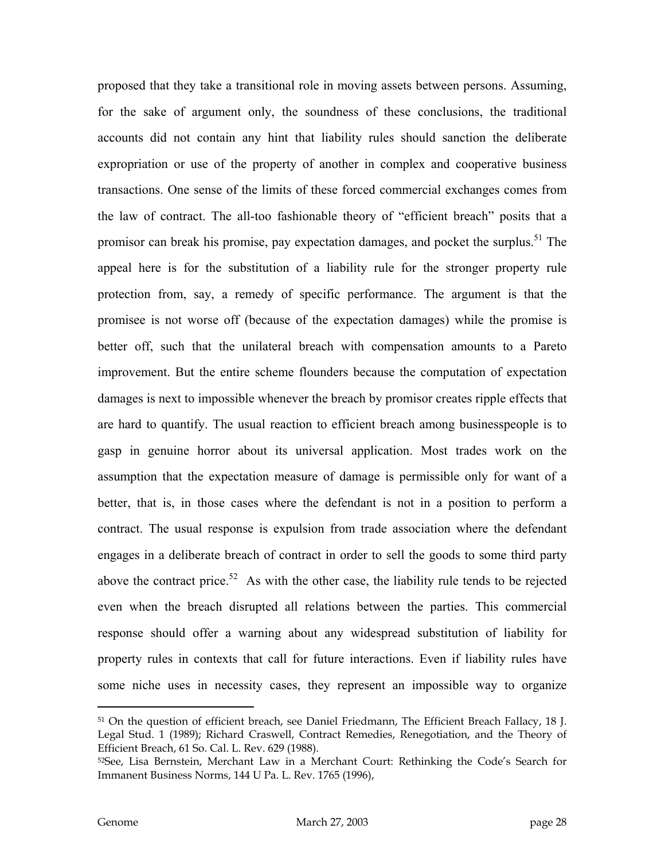proposed that they take a transitional role in moving assets between persons. Assuming, for the sake of argument only, the soundness of these conclusions, the traditional accounts did not contain any hint that liability rules should sanction the deliberate expropriation or use of the property of another in complex and cooperative business transactions. One sense of the limits of these forced commercial exchanges comes from the law of contract. The all-too fashionable theory of "efficient breach" posits that a promisor can break his promise, pay expectation damages, and pocket the surplus.<sup>[51](#page-29-0)</sup> The appeal here is for the substitution of a liability rule for the stronger property rule protection from, say, a remedy of specific performance. The argument is that the promisee is not worse off (because of the expectation damages) while the promise is better off, such that the unilateral breach with compensation amounts to a Pareto improvement. But the entire scheme flounders because the computation of expectation damages is next to impossible whenever the breach by promisor creates ripple effects that are hard to quantify. The usual reaction to efficient breach among businesspeople is to gasp in genuine horror about its universal application. Most trades work on the assumption that the expectation measure of damage is permissible only for want of a better, that is, in those cases where the defendant is not in a position to perform a contract. The usual response is expulsion from trade association where the defendant engages in a deliberate breach of contract in order to sell the goods to some third party above the contract price.<sup>[52](#page-29-1)</sup> As with the other case, the liability rule tends to be rejected even when the breach disrupted all relations between the parties. This commercial response should offer a warning about any widespread substitution of liability for property rules in contexts that call for future interactions. Even if liability rules have some niche uses in necessity cases, they represent an impossible way to organize

<span id="page-29-0"></span><sup>&</sup>lt;sup>51</sup> On the question of efficient breach, see Daniel Friedmann, The Efficient Breach Fallacy, 18 J. Legal Stud. 1 (1989); Richard Craswell, Contract Remedies, Renegotiation, and the Theory of Efficient Breach, 61 So. Cal. L. Rev. 629 (1988).

<span id="page-29-1"></span><sup>52</sup>See, Lisa Bernstein, Merchant Law in a Merchant Court: Rethinking the Code's Search for Immanent Business Norms, 144 U Pa. L. Rev. 1765 (1996),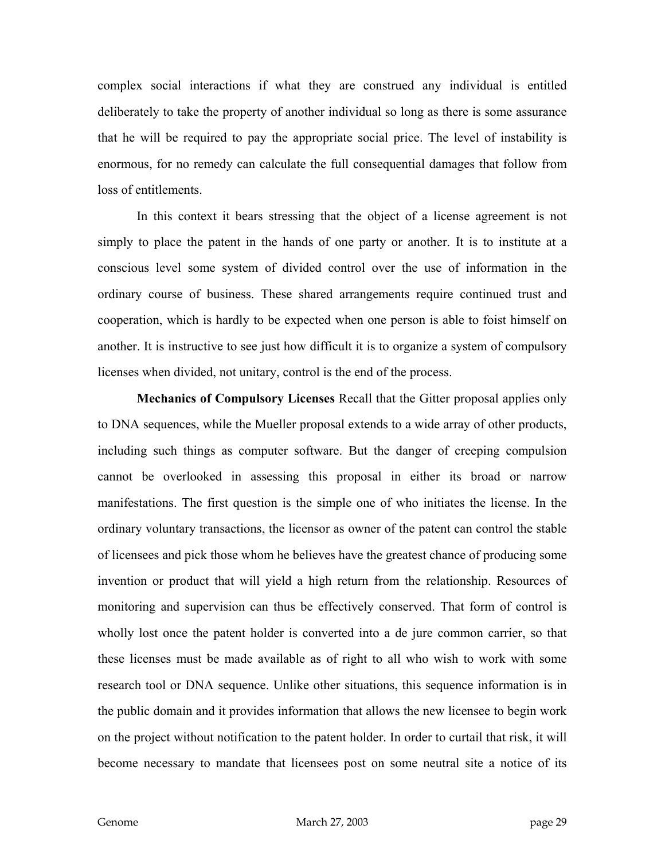complex social interactions if what they are construed any individual is entitled deliberately to take the property of another individual so long as there is some assurance that he will be required to pay the appropriate social price. The level of instability is enormous, for no remedy can calculate the full consequential damages that follow from loss of entitlements.

In this context it bears stressing that the object of a license agreement is not simply to place the patent in the hands of one party or another. It is to institute at a conscious level some system of divided control over the use of information in the ordinary course of business. These shared arrangements require continued trust and cooperation, which is hardly to be expected when one person is able to foist himself on another. It is instructive to see just how difficult it is to organize a system of compulsory licenses when divided, not unitary, control is the end of the process.

**Mechanics of Compulsory Licenses** Recall that the Gitter proposal applies only to DNA sequences, while the Mueller proposal extends to a wide array of other products, including such things as computer software. But the danger of creeping compulsion cannot be overlooked in assessing this proposal in either its broad or narrow manifestations. The first question is the simple one of who initiates the license. In the ordinary voluntary transactions, the licensor as owner of the patent can control the stable of licensees and pick those whom he believes have the greatest chance of producing some invention or product that will yield a high return from the relationship. Resources of monitoring and supervision can thus be effectively conserved. That form of control is wholly lost once the patent holder is converted into a de jure common carrier, so that these licenses must be made available as of right to all who wish to work with some research tool or DNA sequence. Unlike other situations, this sequence information is in the public domain and it provides information that allows the new licensee to begin work on the project without notification to the patent holder. In order to curtail that risk, it will become necessary to mandate that licensees post on some neutral site a notice of its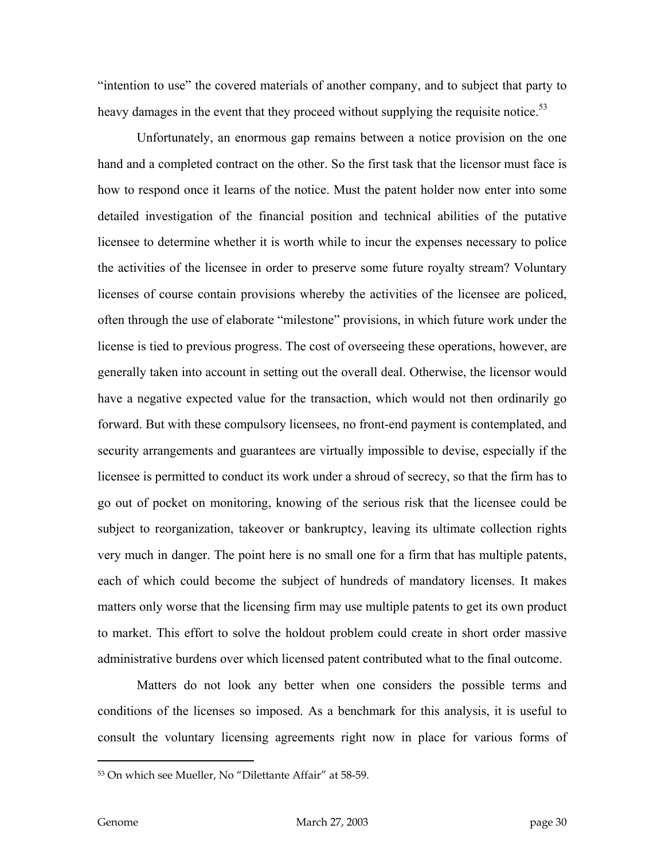"intention to use" the covered materials of another company, and to subject that party to heavy damages in the event that they proceed without supplying the requisite notice.<sup>[53](#page-31-0)</sup>

Unfortunately, an enormous gap remains between a notice provision on the one hand and a completed contract on the other. So the first task that the licensor must face is how to respond once it learns of the notice. Must the patent holder now enter into some detailed investigation of the financial position and technical abilities of the putative licensee to determine whether it is worth while to incur the expenses necessary to police the activities of the licensee in order to preserve some future royalty stream? Voluntary licenses of course contain provisions whereby the activities of the licensee are policed, often through the use of elaborate "milestone" provisions, in which future work under the license is tied to previous progress. The cost of overseeing these operations, however, are generally taken into account in setting out the overall deal. Otherwise, the licensor would have a negative expected value for the transaction, which would not then ordinarily go forward. But with these compulsory licensees, no front-end payment is contemplated, and security arrangements and guarantees are virtually impossible to devise, especially if the licensee is permitted to conduct its work under a shroud of secrecy, so that the firm has to go out of pocket on monitoring, knowing of the serious risk that the licensee could be subject to reorganization, takeover or bankruptcy, leaving its ultimate collection rights very much in danger. The point here is no small one for a firm that has multiple patents, each of which could become the subject of hundreds of mandatory licenses. It makes matters only worse that the licensing firm may use multiple patents to get its own product to market. This effort to solve the holdout problem could create in short order massive administrative burdens over which licensed patent contributed what to the final outcome.

Matters do not look any better when one considers the possible terms and conditions of the licenses so imposed. As a benchmark for this analysis, it is useful to consult the voluntary licensing agreements right now in place for various forms of

-

<span id="page-31-0"></span><sup>53</sup> On which see Mueller, No "Dilettante Affair" at 58-59.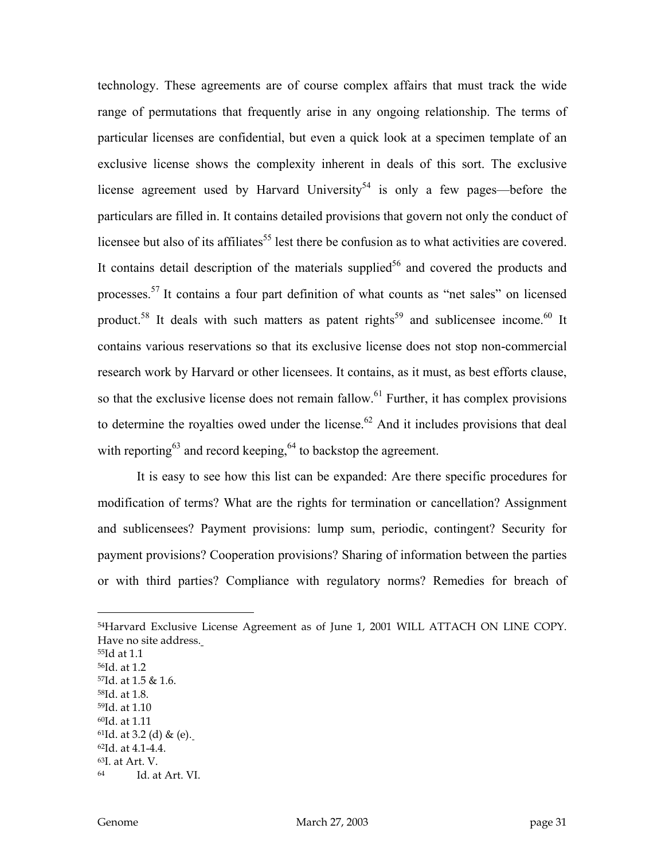technology. These agreements are of course complex affairs that must track the wide range of permutations that frequently arise in any ongoing relationship. The terms of particular licenses are confidential, but even a quick look at a specimen template of an exclusive license shows the complexity inherent in deals of this sort. The exclusive license agreement used by Harvard University<sup>[54](#page-32-0)</sup> is only a few pages—before the particulars are filled in. It contains detailed provisions that govern not only the conduct of licensee but also of its affiliates<sup>[55](#page-32-1)</sup> lest there be confusion as to what activities are covered. It contains detail description of the materials supplied<sup>[56](#page-32-2)</sup> and covered the products and processes.[57](#page-32-3) It contains a four part definition of what counts as "net sales" on licensed product.<sup>[58](#page-32-4)</sup> It deals with such matters as patent rights<sup>[59](#page-32-5)</sup> and sublicensee income.<sup>[60](#page-32-6)</sup> It contains various reservations so that its exclusive license does not stop non-commercial research work by Harvard or other licensees. It contains, as it must, as best efforts clause, so that the exclusive license does not remain fallow.<sup>[61](#page-32-7)</sup> Further, it has complex provisions to determine the royalties owed under the license.<sup> $62$ </sup> And it includes provisions that deal with reporting<sup>[63](#page-32-9)</sup> and record keeping,  $64$  to backstop the agreement.

It is easy to see how this list can be expanded: Are there specific procedures for modification of terms? What are the rights for termination or cancellation? Assignment and sublicensees? Payment provisions: lump sum, periodic, contingent? Security for payment provisions? Cooperation provisions? Sharing of information between the parties or with third parties? Compliance with regulatory norms? Remedies for breach of

<span id="page-32-1"></span>55Id at 1.1

 $\overline{a}$ 

<span id="page-32-2"></span>56Id. at 1.2

- <span id="page-32-3"></span>57Id. at 1.5 & 1.6. 58Id. at 1.8.
- <span id="page-32-4"></span>59Id. at 1.10
- <span id="page-32-6"></span><span id="page-32-5"></span>60Id. at 1.11
- <span id="page-32-7"></span> $61$ Id. at 3.2 (d) & (e).
- <span id="page-32-8"></span>62Id. at 4.1-4.4.
- <span id="page-32-9"></span>63I. at Art. V.

<span id="page-32-0"></span><sup>54</sup>Harvard Exclusive License Agreement as of June 1, 2001 WILL ATTACH ON LINE COPY. Have no site address.

<span id="page-32-10"></span><sup>64</sup> Id. at Art. VI.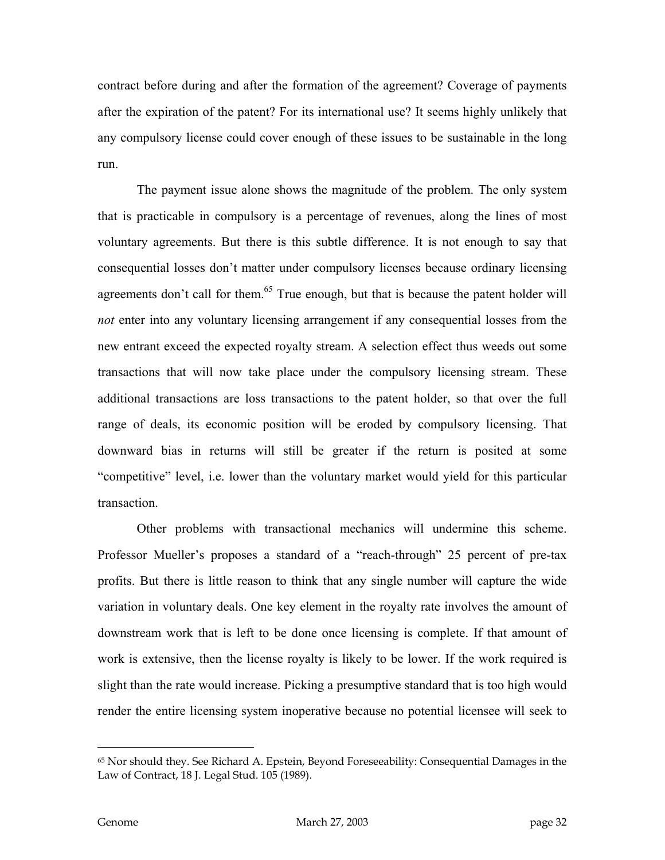contract before during and after the formation of the agreement? Coverage of payments after the expiration of the patent? For its international use? It seems highly unlikely that any compulsory license could cover enough of these issues to be sustainable in the long run.

The payment issue alone shows the magnitude of the problem. The only system that is practicable in compulsory is a percentage of revenues, along the lines of most voluntary agreements. But there is this subtle difference. It is not enough to say that consequential losses don't matter under compulsory licenses because ordinary licensing agreements don't call for them.<sup>[65](#page-33-0)</sup> True enough, but that is because the patent holder will *not* enter into any voluntary licensing arrangement if any consequential losses from the new entrant exceed the expected royalty stream. A selection effect thus weeds out some transactions that will now take place under the compulsory licensing stream. These additional transactions are loss transactions to the patent holder, so that over the full range of deals, its economic position will be eroded by compulsory licensing. That downward bias in returns will still be greater if the return is posited at some "competitive" level, i.e. lower than the voluntary market would yield for this particular transaction.

Other problems with transactional mechanics will undermine this scheme. Professor Mueller's proposes a standard of a "reach-through" 25 percent of pre-tax profits. But there is little reason to think that any single number will capture the wide variation in voluntary deals. One key element in the royalty rate involves the amount of downstream work that is left to be done once licensing is complete. If that amount of work is extensive, then the license royalty is likely to be lower. If the work required is slight than the rate would increase. Picking a presumptive standard that is too high would render the entire licensing system inoperative because no potential licensee will seek to

<span id="page-33-0"></span><sup>65</sup> Nor should they. See Richard A. Epstein, Beyond Foreseeability: Consequential Damages in the Law of Contract, 18 J. Legal Stud. 105 (1989).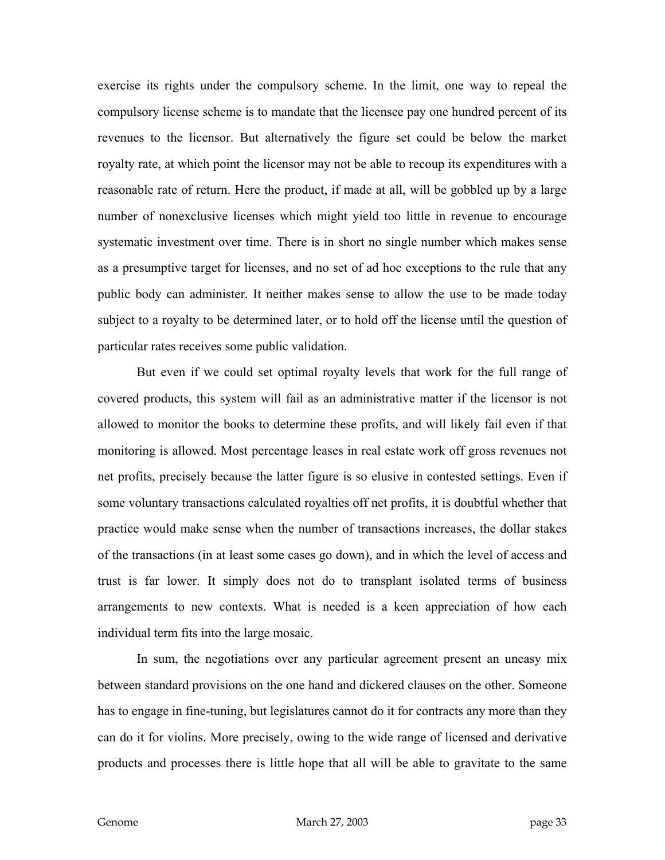exercise its rights under the compulsory scheme. In the limit, one way to repeal the compulsory license scheme is to mandate that the licensee pay one hundred percent of its revenues to the licensor. But alternatively the figure set could be below the market royalty rate, at which point the licensor may not be able to recoup its expenditures with a reasonable rate of return. Here the product, if made at all, will be gobbled up by a large number of nonexclusive licenses which might yield too little in revenue to encourage systematic investment over time. There is in short no single number which makes sense as a presumptive target for licenses, and no set of ad hoc exceptions to the rule that any public body can administer. It neither makes sense to allow the use to be made today subject to a royalty to be determined later, or to hold off the license until the question of particular rates receives some public validation.

But even if we could set optimal royalty levels that work for the full range of covered products, this system will fail as an administrative matter if the licensor is not allowed to monitor the books to determine these profits, and will likely fail even if that monitoring is allowed. Most percentage leases in real estate work off gross revenues not net profits, precisely because the latter figure is so elusive in contested settings. Even if some voluntary transactions calculated royalties off net profits, it is doubtful whether that practice would make sense when the number of transactions increases, the dollar stakes of the transactions (in at least some cases go down), and in which the level of access and trust is far lower. It simply does not do to transplant isolated terms of business arrangements to new contexts. What is needed is a keen appreciation of how each individual term fits into the large mosaic.

In sum, the negotiations over any particular agreement present an uneasy mix between standard provisions on the one hand and dickered clauses on the other. Someone has to engage in fine-tuning, but legislatures cannot do it for contracts any more than they can do it for violins. More precisely, owing to the wide range of licensed and derivative products and processes there is little hope that all will be able to gravitate to the same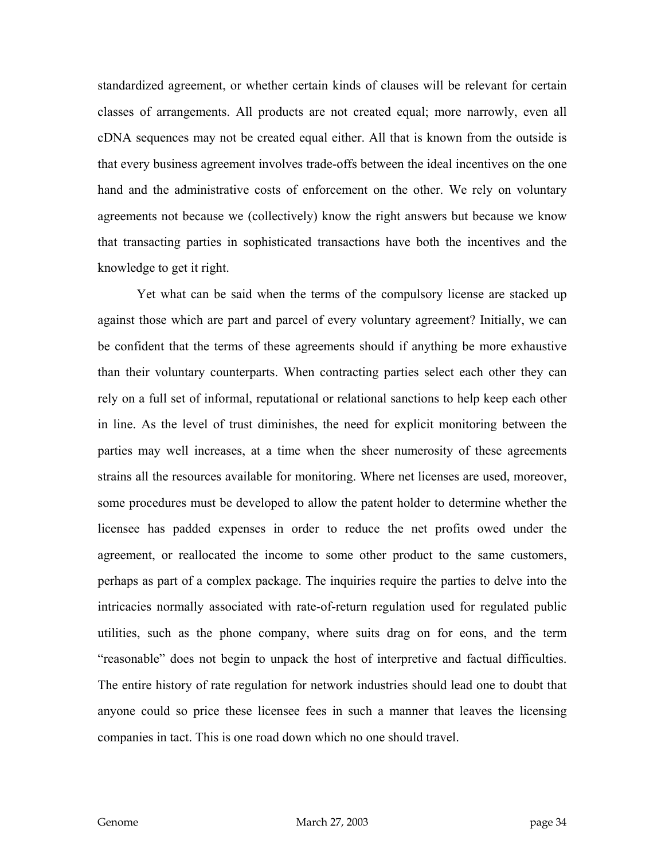standardized agreement, or whether certain kinds of clauses will be relevant for certain classes of arrangements. All products are not created equal; more narrowly, even all cDNA sequences may not be created equal either. All that is known from the outside is that every business agreement involves trade-offs between the ideal incentives on the one hand and the administrative costs of enforcement on the other. We rely on voluntary agreements not because we (collectively) know the right answers but because we know that transacting parties in sophisticated transactions have both the incentives and the knowledge to get it right.

Yet what can be said when the terms of the compulsory license are stacked up against those which are part and parcel of every voluntary agreement? Initially, we can be confident that the terms of these agreements should if anything be more exhaustive than their voluntary counterparts. When contracting parties select each other they can rely on a full set of informal, reputational or relational sanctions to help keep each other in line. As the level of trust diminishes, the need for explicit monitoring between the parties may well increases, at a time when the sheer numerosity of these agreements strains all the resources available for monitoring. Where net licenses are used, moreover, some procedures must be developed to allow the patent holder to determine whether the licensee has padded expenses in order to reduce the net profits owed under the agreement, or reallocated the income to some other product to the same customers, perhaps as part of a complex package. The inquiries require the parties to delve into the intricacies normally associated with rate-of-return regulation used for regulated public utilities, such as the phone company, where suits drag on for eons, and the term "reasonable" does not begin to unpack the host of interpretive and factual difficulties. The entire history of rate regulation for network industries should lead one to doubt that anyone could so price these licensee fees in such a manner that leaves the licensing companies in tact. This is one road down which no one should travel.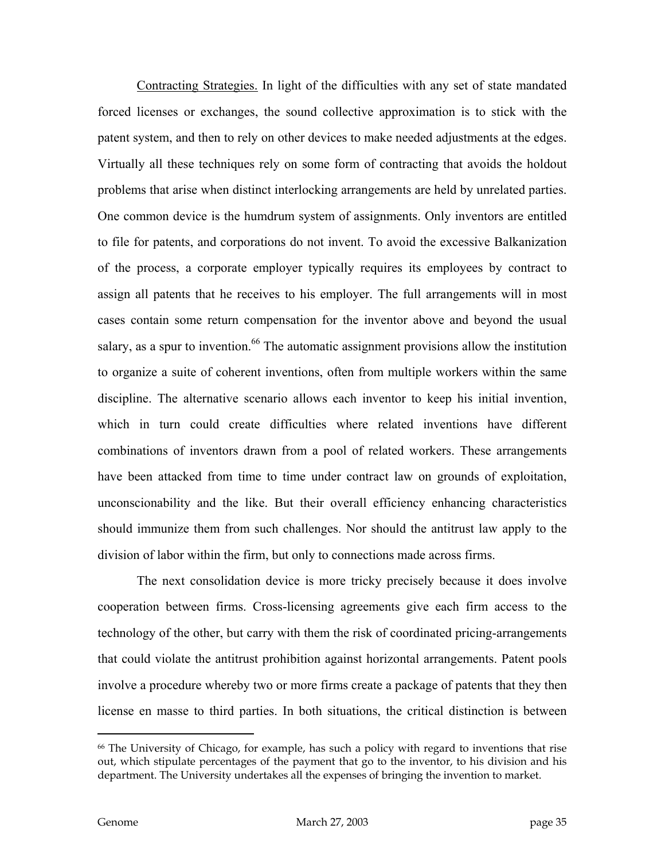Contracting Strategies. In light of the difficulties with any set of state mandated forced licenses or exchanges, the sound collective approximation is to stick with the patent system, and then to rely on other devices to make needed adjustments at the edges. Virtually all these techniques rely on some form of contracting that avoids the holdout problems that arise when distinct interlocking arrangements are held by unrelated parties. One common device is the humdrum system of assignments. Only inventors are entitled to file for patents, and corporations do not invent. To avoid the excessive Balkanization of the process, a corporate employer typically requires its employees by contract to assign all patents that he receives to his employer. The full arrangements will in most cases contain some return compensation for the inventor above and beyond the usual salary, as a spur to invention.<sup>[66](#page-36-0)</sup> The automatic assignment provisions allow the institution to organize a suite of coherent inventions, often from multiple workers within the same discipline. The alternative scenario allows each inventor to keep his initial invention, which in turn could create difficulties where related inventions have different combinations of inventors drawn from a pool of related workers. These arrangements have been attacked from time to time under contract law on grounds of exploitation, unconscionability and the like. But their overall efficiency enhancing characteristics should immunize them from such challenges. Nor should the antitrust law apply to the division of labor within the firm, but only to connections made across firms.

The next consolidation device is more tricky precisely because it does involve cooperation between firms. Cross-licensing agreements give each firm access to the technology of the other, but carry with them the risk of coordinated pricing-arrangements that could violate the antitrust prohibition against horizontal arrangements. Patent pools involve a procedure whereby two or more firms create a package of patents that they then license en masse to third parties. In both situations, the critical distinction is between

-

<span id="page-36-0"></span><sup>66</sup> The University of Chicago, for example, has such a policy with regard to inventions that rise out, which stipulate percentages of the payment that go to the inventor, to his division and his department. The University undertakes all the expenses of bringing the invention to market.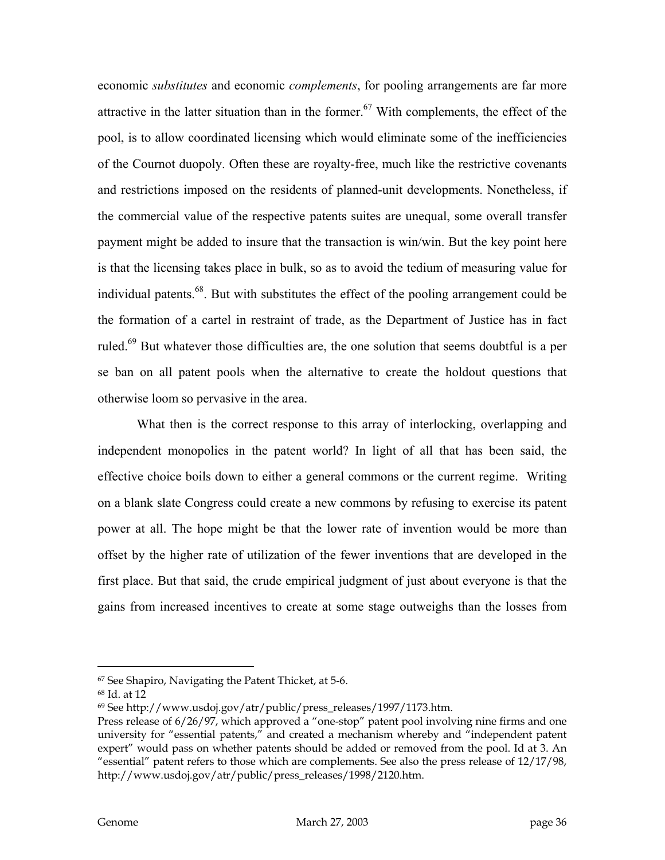economic *substitutes* and economic *complements*, for pooling arrangements are far more attractive in the latter situation than in the former.<sup>[67](#page-37-0)</sup> With complements, the effect of the pool, is to allow coordinated licensing which would eliminate some of the inefficiencies of the Cournot duopoly. Often these are royalty-free, much like the restrictive covenants and restrictions imposed on the residents of planned-unit developments. Nonetheless, if the commercial value of the respective patents suites are unequal, some overall transfer payment might be added to insure that the transaction is win/win. But the key point here is that the licensing takes place in bulk, so as to avoid the tedium of measuring value for individual patents. $68$ . But with substitutes the effect of the pooling arrangement could be the formation of a cartel in restraint of trade, as the Department of Justice has in fact ruled.<sup>[69](#page-37-2)</sup> But whatever those difficulties are, the one solution that seems doubtful is a per se ban on all patent pools when the alternative to create the holdout questions that otherwise loom so pervasive in the area.

What then is the correct response to this array of interlocking, overlapping and independent monopolies in the patent world? In light of all that has been said, the effective choice boils down to either a general commons or the current regime. Writing on a blank slate Congress could create a new commons by refusing to exercise its patent power at all. The hope might be that the lower rate of invention would be more than offset by the higher rate of utilization of the fewer inventions that are developed in the first place. But that said, the crude empirical judgment of just about everyone is that the gains from increased incentives to create at some stage outweighs than the losses from

<span id="page-37-0"></span><sup>67</sup> See Shapiro, Navigating the Patent Thicket, at 5-6.

<span id="page-37-1"></span><sup>68</sup> Id. at 12

<span id="page-37-2"></span><sup>69</sup> See http://www.usdoj.gov/atr/public/press\_releases/1997/1173.htm.

Press release of 6/26/97, which approved a "one-stop" patent pool involving nine firms and one university for "essential patents," and created a mechanism whereby and "independent patent expert" would pass on whether patents should be added or removed from the pool. Id at 3. An "essential" patent refers to those which are complements. See also the press release of 12/17/98, http://www.usdoj.gov/atr/public/press\_releases/1998/2120.htm.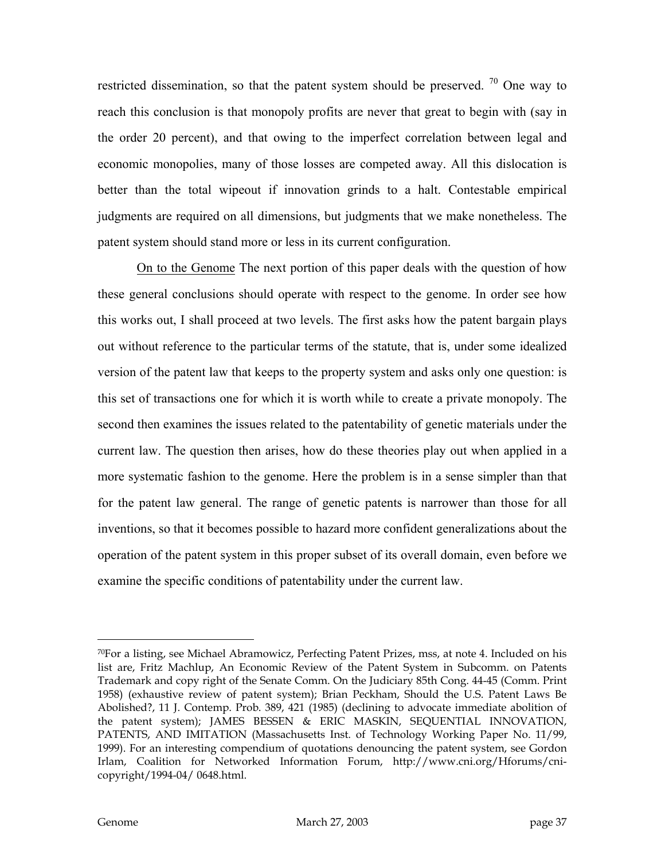restricted dissemination, so that the patent system should be preserved. <sup>[70](#page-38-0)</sup> One way to reach this conclusion is that monopoly profits are never that great to begin with (say in the order 20 percent), and that owing to the imperfect correlation between legal and economic monopolies, many of those losses are competed away. All this dislocation is better than the total wipeout if innovation grinds to a halt. Contestable empirical judgments are required on all dimensions, but judgments that we make nonetheless. The patent system should stand more or less in its current configuration.

On to the Genome The next portion of this paper deals with the question of how these general conclusions should operate with respect to the genome. In order see how this works out, I shall proceed at two levels. The first asks how the patent bargain plays out without reference to the particular terms of the statute, that is, under some idealized version of the patent law that keeps to the property system and asks only one question: is this set of transactions one for which it is worth while to create a private monopoly. The second then examines the issues related to the patentability of genetic materials under the current law. The question then arises, how do these theories play out when applied in a more systematic fashion to the genome. Here the problem is in a sense simpler than that for the patent law general. The range of genetic patents is narrower than those for all inventions, so that it becomes possible to hazard more confident generalizations about the operation of the patent system in this proper subset of its overall domain, even before we examine the specific conditions of patentability under the current law.

<span id="page-38-0"></span><sup>70</sup>For a listing, see Michael Abramowicz, Perfecting Patent Prizes, mss, at note 4. Included on his list are, Fritz Machlup, An Economic Review of the Patent System in Subcomm. on Patents Trademark and copy right of the Senate Comm. On the Judiciary 85th Cong. 44-45 (Comm. Print 1958) (exhaustive review of patent system); Brian Peckham, Should the U.S. Patent Laws Be Abolished?, 11 J. Contemp. Prob. 389, 421 (1985) (declining to advocate immediate abolition of the patent system); JAMES BESSEN & ERIC MASKIN, SEQUENTIAL INNOVATION, PATENTS, AND IMITATION (Massachusetts Inst. of Technology Working Paper No. 11/99, 1999). For an interesting compendium of quotations denouncing the patent system, see Gordon Irlam, Coalition for Networked Information Forum, http://www.cni.org/Hforums/cnicopyright/1994-04/ 0648.html.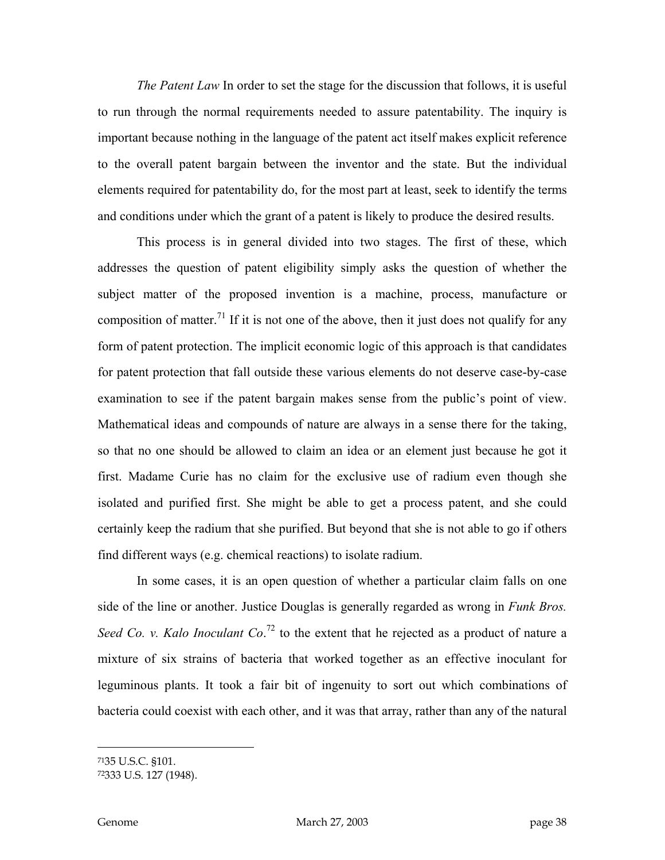*The Patent Law* In order to set the stage for the discussion that follows, it is useful to run through the normal requirements needed to assure patentability. The inquiry is important because nothing in the language of the patent act itself makes explicit reference to the overall patent bargain between the inventor and the state. But the individual elements required for patentability do, for the most part at least, seek to identify the terms and conditions under which the grant of a patent is likely to produce the desired results.

This process is in general divided into two stages. The first of these, which addresses the question of patent eligibility simply asks the question of whether the subject matter of the proposed invention is a machine, process, manufacture or composition of matter.<sup>[71](#page-39-0)</sup> If it is not one of the above, then it just does not qualify for any form of patent protection. The implicit economic logic of this approach is that candidates for patent protection that fall outside these various elements do not deserve case-by-case examination to see if the patent bargain makes sense from the public's point of view. Mathematical ideas and compounds of nature are always in a sense there for the taking, so that no one should be allowed to claim an idea or an element just because he got it first. Madame Curie has no claim for the exclusive use of radium even though she isolated and purified first. She might be able to get a process patent, and she could certainly keep the radium that she purified. But beyond that she is not able to go if others find different ways (e.g. chemical reactions) to isolate radium.

In some cases, it is an open question of whether a particular claim falls on one side of the line or another. Justice Douglas is generally regarded as wrong in *Funk Bros.*  Seed Co. v. Kalo Inoculant Co.<sup>[72](#page-39-1)</sup> to the extent that he rejected as a product of nature a mixture of six strains of bacteria that worked together as an effective inoculant for leguminous plants. It took a fair bit of ingenuity to sort out which combinations of bacteria could coexist with each other, and it was that array, rather than any of the natural

<span id="page-39-0"></span><sup>7135</sup> U.S.C. §101.

<span id="page-39-1"></span><sup>72333</sup> U.S. 127 (1948).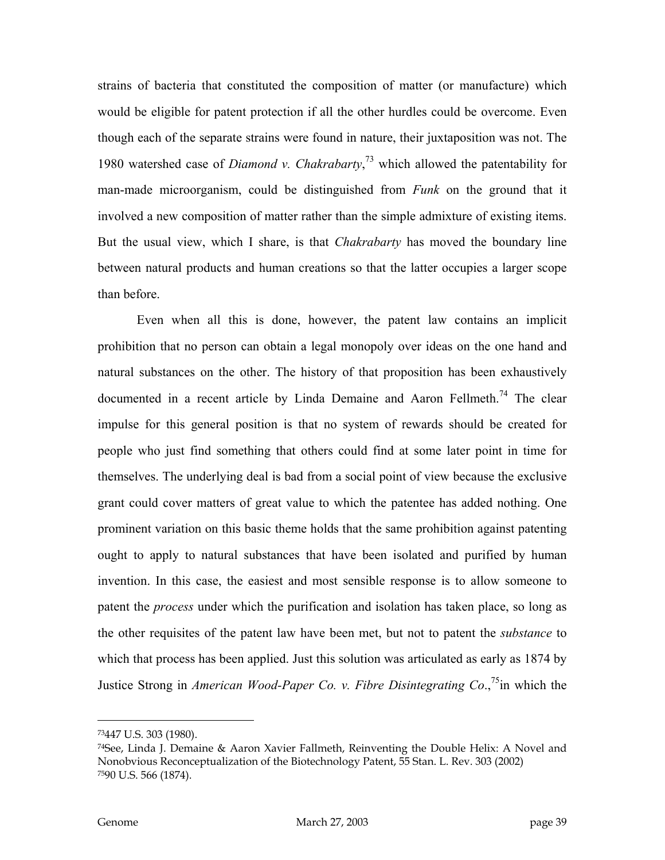strains of bacteria that constituted the composition of matter (or manufacture) which would be eligible for patent protection if all the other hurdles could be overcome. Even though each of the separate strains were found in nature, their juxtaposition was not. The 1980 watershed case of *Diamond v. Chakrabarty*, [73](#page-40-0) which allowed the patentability for man-made microorganism, could be distinguished from *Funk* on the ground that it involved a new composition of matter rather than the simple admixture of existing items. But the usual view, which I share, is that *Chakrabarty* has moved the boundary line between natural products and human creations so that the latter occupies a larger scope than before.

Even when all this is done, however, the patent law contains an implicit prohibition that no person can obtain a legal monopoly over ideas on the one hand and natural substances on the other. The history of that proposition has been exhaustively documented in a recent article by Linda Demaine and Aaron Fellmeth.<sup>[74](#page-40-1)</sup> The clear impulse for this general position is that no system of rewards should be created for people who just find something that others could find at some later point in time for themselves. The underlying deal is bad from a social point of view because the exclusive grant could cover matters of great value to which the patentee has added nothing. One prominent variation on this basic theme holds that the same prohibition against patenting ought to apply to natural substances that have been isolated and purified by human invention. In this case, the easiest and most sensible response is to allow someone to patent the *process* under which the purification and isolation has taken place, so long as the other requisites of the patent law have been met, but not to patent the *substance* to which that process has been applied. Just this solution was articulated as early as 1874 by Justice Strong in *American Wood-Paper Co. v. Fibre Disintegrating Co.*<sup>[75](#page-40-2)</sup>in which the

-

<span id="page-40-0"></span><sup>73447</sup> U.S. 303 (1980).

<span id="page-40-2"></span><span id="page-40-1"></span><sup>74</sup>See, Linda J. Demaine & Aaron Xavier Fallmeth, Reinventing the Double Helix: A Novel and Nonobvious Reconceptualization of the Biotechnology Patent, 55 Stan. L. Rev. 303 (2002) 7590 U.S. 566 (1874).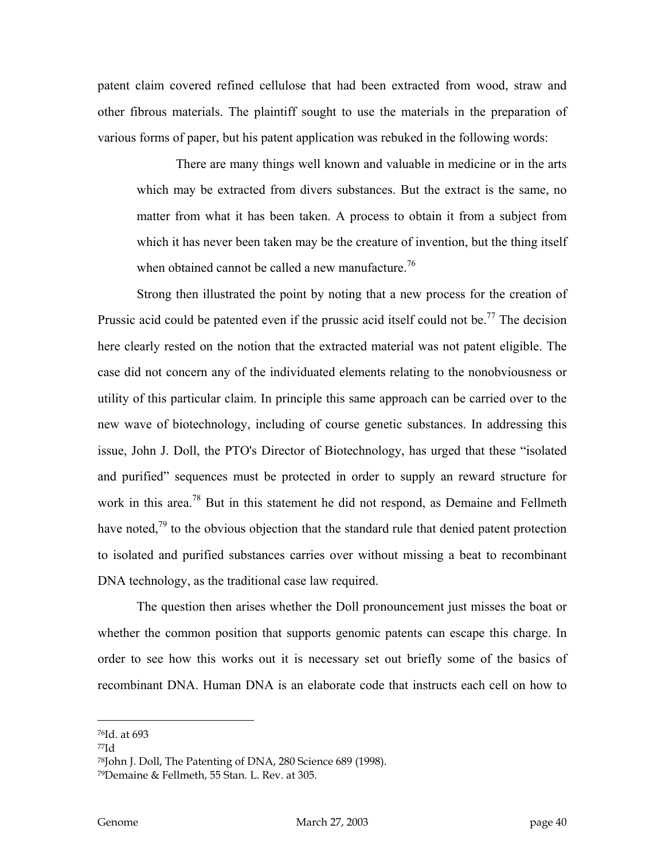patent claim covered refined cellulose that had been extracted from wood, straw and other fibrous materials. The plaintiff sought to use the materials in the preparation of various forms of paper, but his patent application was rebuked in the following words:

There are many things well known and valuable in medicine or in the arts which may be extracted from divers substances. But the extract is the same, no matter from what it has been taken. A process to obtain it from a subject from which it has never been taken may be the creature of invention, but the thing itself when obtained cannot be called a new manufacture.<sup>[76](#page-41-0)</sup>

Strong then illustrated the point by noting that a new process for the creation of Prussic acid could be patented even if the prussic acid itself could not be.<sup>[77](#page-41-1)</sup> The decision here clearly rested on the notion that the extracted material was not patent eligible. The case did not concern any of the individuated elements relating to the nonobviousness or utility of this particular claim. In principle this same approach can be carried over to the new wave of biotechnology, including of course genetic substances. In addressing this issue, John J. Doll, the PTO's Director of Biotechnology, has urged that these "isolated and purified" sequences must be protected in order to supply an reward structure for work in this area.<sup>[78](#page-41-2)</sup> But in this statement he did not respond, as Demaine and Fellmeth have noted, $79$  to the obvious objection that the standard rule that denied patent protection to isolated and purified substances carries over without missing a beat to recombinant DNA technology, as the traditional case law required.

The question then arises whether the Doll pronouncement just misses the boat or whether the common position that supports genomic patents can escape this charge. In order to see how this works out it is necessary set out briefly some of the basics of recombinant DNA. Human DNA is an elaborate code that instructs each cell on how to

-

<span id="page-41-0"></span><sup>76</sup>Id. at 693

<span id="page-41-1"></span><sup>77</sup>Id

<span id="page-41-2"></span><sup>78</sup>John J. Doll, The Patenting of DNA, 280 Science 689 (1998).

<span id="page-41-3"></span><sup>79</sup>Demaine & Fellmeth, 55 Stan. L. Rev. at 305.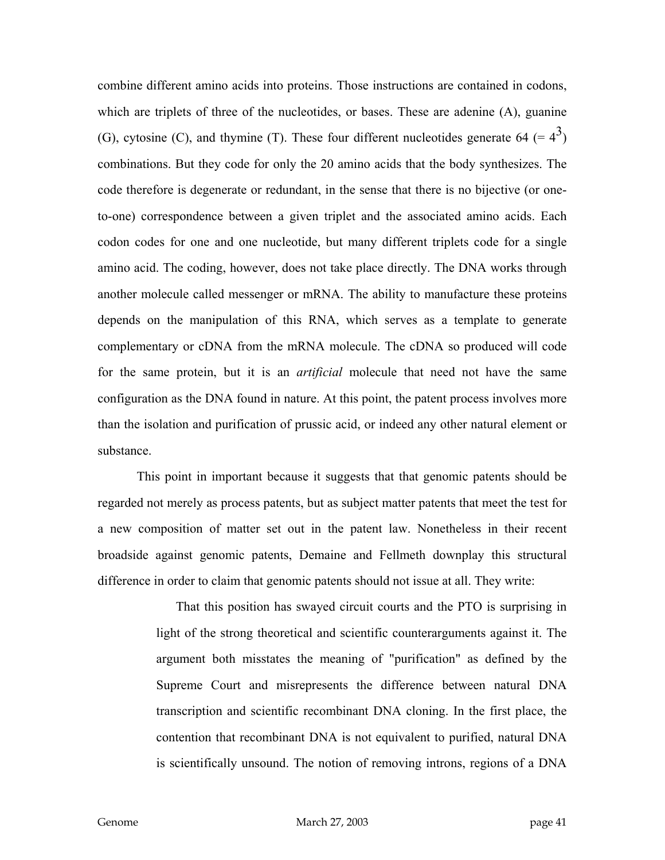combine different amino acids into proteins. Those instructions are contained in codons, which are triplets of three of the nucleotides, or bases. These are adenine (A), guanine (G), cytosine (C), and thymine (T). These four different nucleotides generate 64 (=  $4^3$ ) combinations. But they code for only the 20 amino acids that the body synthesizes. The code therefore is degenerate or redundant, in the sense that there is no bijective (or oneto-one) correspondence between a given triplet and the associated amino acids. Each codon codes for one and one nucleotide, but many different triplets code for a single amino acid. The coding, however, does not take place directly. The DNA works through another molecule called messenger or mRNA. The ability to manufacture these proteins depends on the manipulation of this RNA, which serves as a template to generate complementary or cDNA from the mRNA molecule. The cDNA so produced will code for the same protein, but it is an *artificial* molecule that need not have the same configuration as the DNA found in nature. At this point, the patent process involves more than the isolation and purification of prussic acid, or indeed any other natural element or substance.

This point in important because it suggests that that genomic patents should be regarded not merely as process patents, but as subject matter patents that meet the test for a new composition of matter set out in the patent law. Nonetheless in their recent broadside against genomic patents, Demaine and Fellmeth downplay this structural difference in order to claim that genomic patents should not issue at all. They write:

> That this position has swayed circuit courts and the PTO is surprising in light of the strong theoretical and scientific counterarguments against it. The argument both misstates the meaning of "purification" as defined by the Supreme Court and misrepresents the difference between natural DNA transcription and scientific recombinant DNA cloning. In the first place, the contention that recombinant DNA is not equivalent to purified, natural DNA is scientifically unsound. The notion of removing introns, regions of a DNA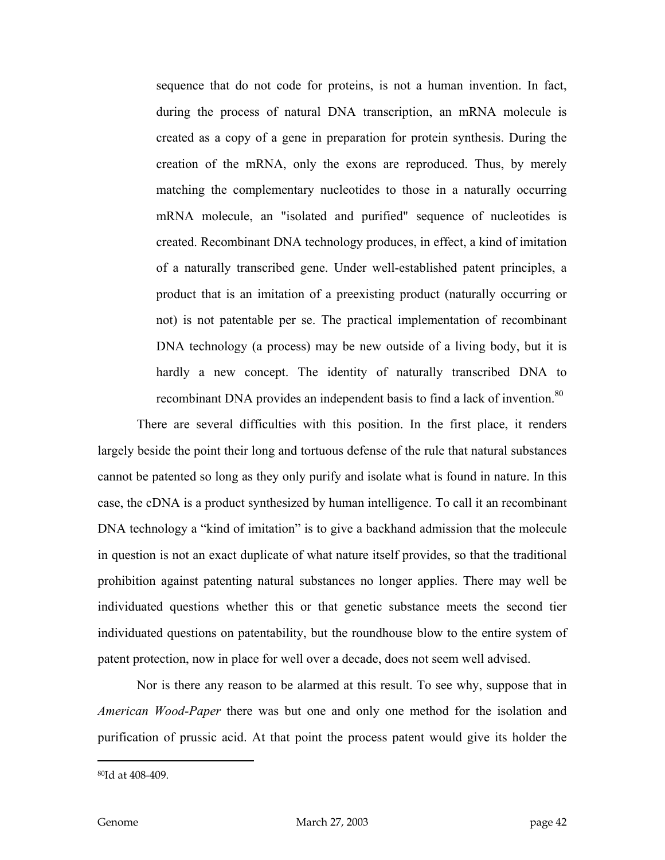sequence that do not code for proteins, is not a human invention. In fact, during the process of natural DNA transcription, an mRNA molecule is created as a copy of a gene in preparation for protein synthesis. During the creation of the mRNA, only the exons are reproduced. Thus, by merely matching the complementary nucleotides to those in a naturally occurring mRNA molecule, an "isolated and purified" sequence of nucleotides is created. Recombinant DNA technology produces, in effect, a kind of imitation of a naturally transcribed gene. Under well-established patent principles, a product that is an imitation of a preexisting product (naturally occurring or not) is not patentable per se. The practical implementation of recombinant DNA technology (a process) may be new outside of a living body, but it is hardly a new concept. The identity of naturally transcribed DNA to recombinant DNA provides an independent basis to find a lack of invention.<sup>[80](#page-43-0)</sup>

There are several difficulties with this position. In the first place, it renders largely beside the point their long and tortuous defense of the rule that natural substances cannot be patented so long as they only purify and isolate what is found in nature. In this case, the cDNA is a product synthesized by human intelligence. To call it an recombinant DNA technology a "kind of imitation" is to give a backhand admission that the molecule in question is not an exact duplicate of what nature itself provides, so that the traditional prohibition against patenting natural substances no longer applies. There may well be individuated questions whether this or that genetic substance meets the second tier individuated questions on patentability, but the roundhouse blow to the entire system of patent protection, now in place for well over a decade, does not seem well advised.

Nor is there any reason to be alarmed at this result. To see why, suppose that in *American Wood-Paper* there was but one and only one method for the isolation and purification of prussic acid. At that point the process patent would give its holder the

<span id="page-43-0"></span><sup>80</sup>Id at 408-409.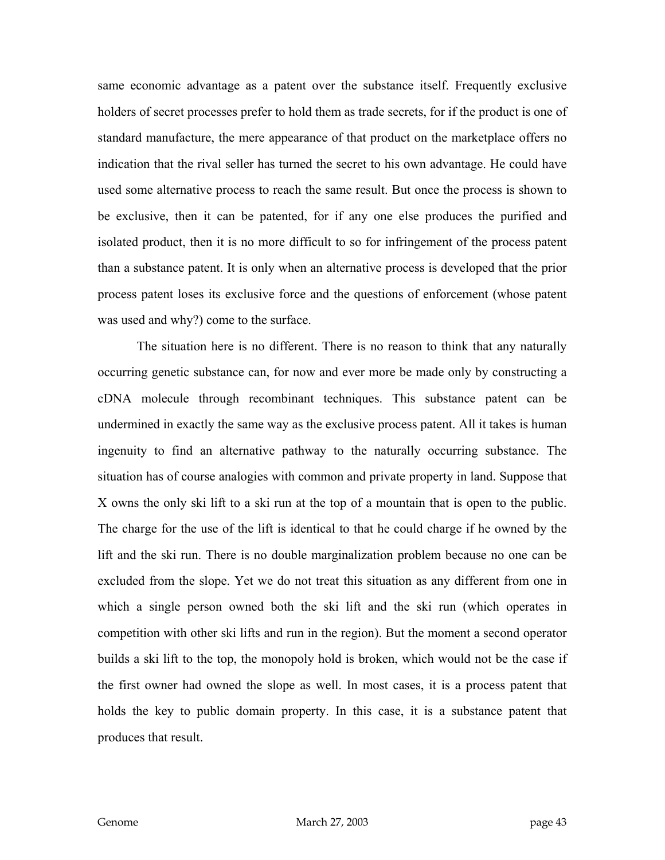same economic advantage as a patent over the substance itself. Frequently exclusive holders of secret processes prefer to hold them as trade secrets, for if the product is one of standard manufacture, the mere appearance of that product on the marketplace offers no indication that the rival seller has turned the secret to his own advantage. He could have used some alternative process to reach the same result. But once the process is shown to be exclusive, then it can be patented, for if any one else produces the purified and isolated product, then it is no more difficult to so for infringement of the process patent than a substance patent. It is only when an alternative process is developed that the prior process patent loses its exclusive force and the questions of enforcement (whose patent was used and why?) come to the surface.

The situation here is no different. There is no reason to think that any naturally occurring genetic substance can, for now and ever more be made only by constructing a cDNA molecule through recombinant techniques. This substance patent can be undermined in exactly the same way as the exclusive process patent. All it takes is human ingenuity to find an alternative pathway to the naturally occurring substance. The situation has of course analogies with common and private property in land. Suppose that X owns the only ski lift to a ski run at the top of a mountain that is open to the public. The charge for the use of the lift is identical to that he could charge if he owned by the lift and the ski run. There is no double marginalization problem because no one can be excluded from the slope. Yet we do not treat this situation as any different from one in which a single person owned both the ski lift and the ski run (which operates in competition with other ski lifts and run in the region). But the moment a second operator builds a ski lift to the top, the monopoly hold is broken, which would not be the case if the first owner had owned the slope as well. In most cases, it is a process patent that holds the key to public domain property. In this case, it is a substance patent that produces that result.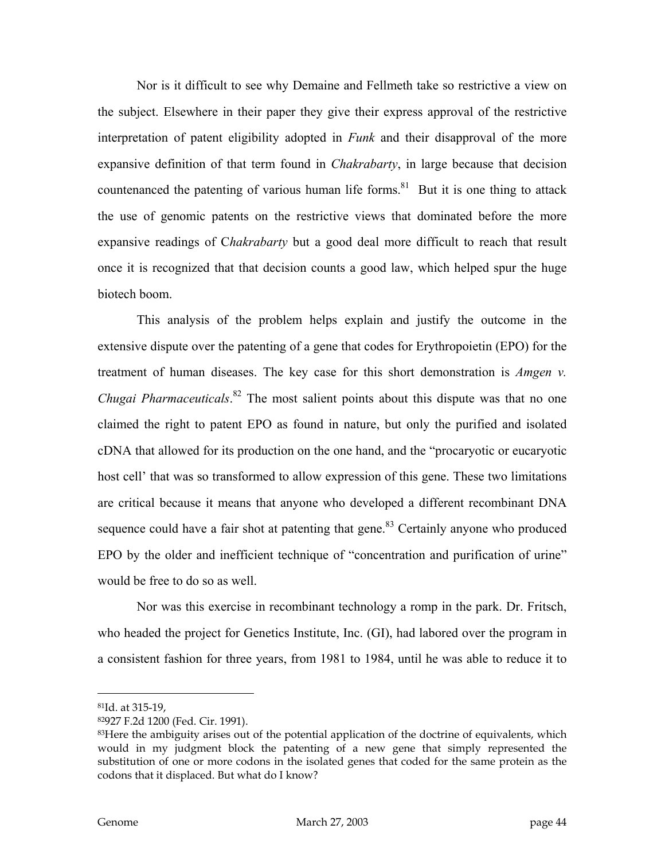Nor is it difficult to see why Demaine and Fellmeth take so restrictive a view on the subject. Elsewhere in their paper they give their express approval of the restrictive interpretation of patent eligibility adopted in *Funk* and their disapproval of the more expansive definition of that term found in *Chakrabarty*, in large because that decision countenanced the patenting of various human life forms.<sup>[81](#page-45-0)</sup> But it is one thing to attack the use of genomic patents on the restrictive views that dominated before the more expansive readings of C*hakrabarty* but a good deal more difficult to reach that result once it is recognized that that decision counts a good law, which helped spur the huge biotech boom.

This analysis of the problem helps explain and justify the outcome in the extensive dispute over the patenting of a gene that codes for Erythropoietin (EPO) for the treatment of human diseases. The key case for this short demonstration is *Amgen v. Chugai Pharmaceuticals*.<sup>[82](#page-45-1)</sup> The most salient points about this dispute was that no one claimed the right to patent EPO as found in nature, but only the purified and isolated cDNA that allowed for its production on the one hand, and the "procaryotic or eucaryotic host cell' that was so transformed to allow expression of this gene. These two limitations are critical because it means that anyone who developed a different recombinant DNA sequence could have a fair shot at patenting that gene.<sup>[83](#page-45-2)</sup> Certainly anyone who produced EPO by the older and inefficient technique of "concentration and purification of urine" would be free to do so as well.

Nor was this exercise in recombinant technology a romp in the park. Dr. Fritsch, who headed the project for Genetics Institute, Inc. (GI), had labored over the program in a consistent fashion for three years, from 1981 to 1984, until he was able to reduce it to

-

<span id="page-45-0"></span><sup>81</sup>Id. at 315-19,

<span id="page-45-1"></span><sup>82927</sup> F.2d 1200 (Fed. Cir. 1991).

<span id="page-45-2"></span><sup>&</sup>lt;sup>83</sup>Here the ambiguity arises out of the potential application of the doctrine of equivalents, which would in my judgment block the patenting of a new gene that simply represented the substitution of one or more codons in the isolated genes that coded for the same protein as the codons that it displaced. But what do I know?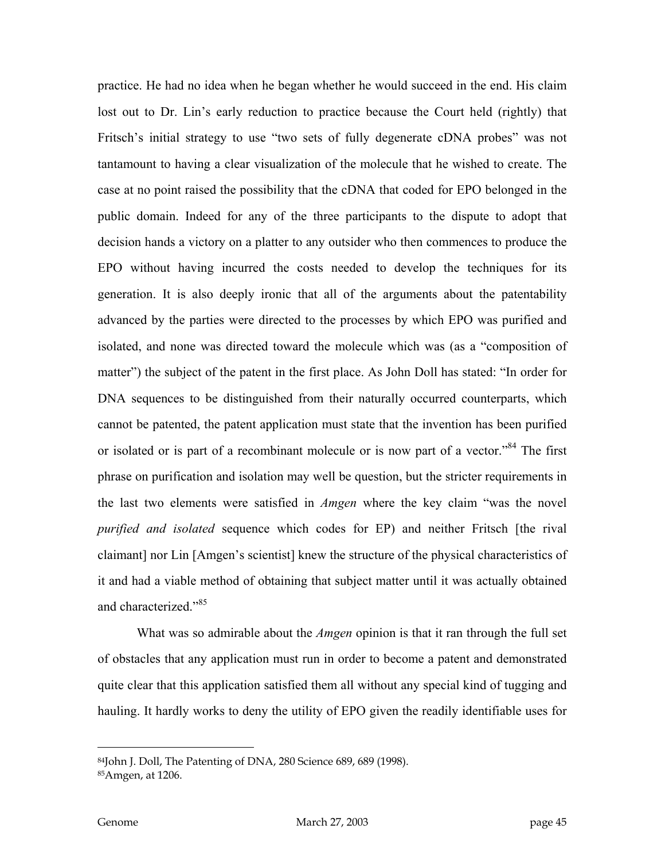practice. He had no idea when he began whether he would succeed in the end. His claim lost out to Dr. Lin's early reduction to practice because the Court held (rightly) that Fritsch's initial strategy to use "two sets of fully degenerate cDNA probes" was not tantamount to having a clear visualization of the molecule that he wished to create. The case at no point raised the possibility that the cDNA that coded for EPO belonged in the public domain. Indeed for any of the three participants to the dispute to adopt that decision hands a victory on a platter to any outsider who then commences to produce the EPO without having incurred the costs needed to develop the techniques for its generation. It is also deeply ironic that all of the arguments about the patentability advanced by the parties were directed to the processes by which EPO was purified and isolated, and none was directed toward the molecule which was (as a "composition of matter") the subject of the patent in the first place. As John Doll has stated: "In order for DNA sequences to be distinguished from their naturally occurred counterparts, which cannot be patented, the patent application must state that the invention has been purified or isolated or is part of a recombinant molecule or is now part of a vector."<sup>[84](#page-46-0)</sup> The first phrase on purification and isolation may well be question, but the stricter requirements in the last two elements were satisfied in *Amgen* where the key claim "was the novel *purified and isolated* sequence which codes for EP) and neither Fritsch [the rival claimant] nor Lin [Amgen's scientist] knew the structure of the physical characteristics of it and had a viable method of obtaining that subject matter until it was actually obtained and characterized."<sup>[85](#page-46-1)</sup>

What was so admirable about the *Amgen* opinion is that it ran through the full set of obstacles that any application must run in order to become a patent and demonstrated quite clear that this application satisfied them all without any special kind of tugging and hauling. It hardly works to deny the utility of EPO given the readily identifiable uses for

<span id="page-46-0"></span><sup>84</sup>John J. Doll, The Patenting of DNA, 280 Science 689, 689 (1998).

<span id="page-46-1"></span><sup>85</sup>Amgen, at 1206.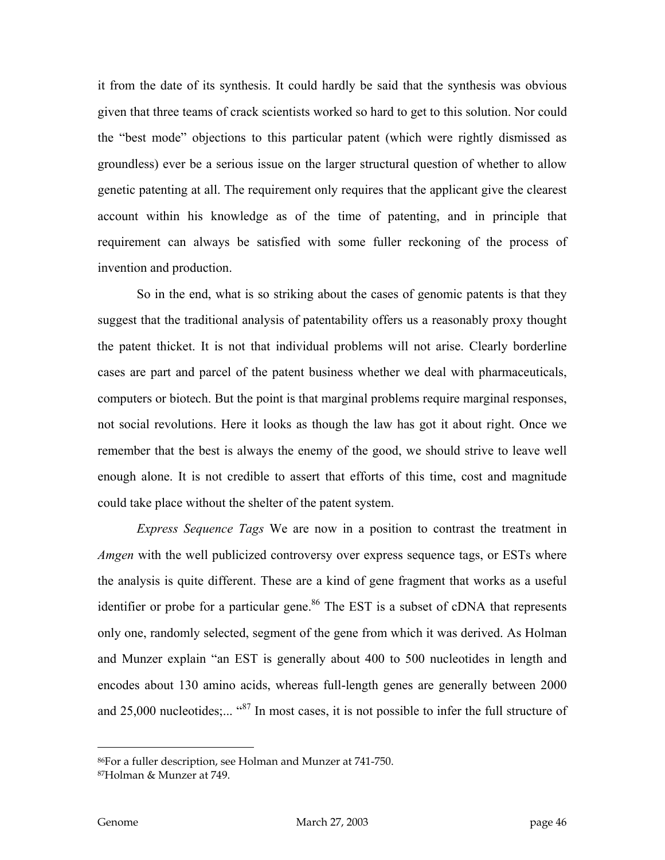it from the date of its synthesis. It could hardly be said that the synthesis was obvious given that three teams of crack scientists worked so hard to get to this solution. Nor could the "best mode" objections to this particular patent (which were rightly dismissed as groundless) ever be a serious issue on the larger structural question of whether to allow genetic patenting at all. The requirement only requires that the applicant give the clearest account within his knowledge as of the time of patenting, and in principle that requirement can always be satisfied with some fuller reckoning of the process of invention and production.

So in the end, what is so striking about the cases of genomic patents is that they suggest that the traditional analysis of patentability offers us a reasonably proxy thought the patent thicket. It is not that individual problems will not arise. Clearly borderline cases are part and parcel of the patent business whether we deal with pharmaceuticals, computers or biotech. But the point is that marginal problems require marginal responses, not social revolutions. Here it looks as though the law has got it about right. Once we remember that the best is always the enemy of the good, we should strive to leave well enough alone. It is not credible to assert that efforts of this time, cost and magnitude could take place without the shelter of the patent system.

*Express Sequence Tags* We are now in a position to contrast the treatment in *Amgen* with the well publicized controversy over express sequence tags, or ESTs where the analysis is quite different. These are a kind of gene fragment that works as a useful identifier or probe for a particular gene.<sup>[86](#page-47-0)</sup> The EST is a subset of cDNA that represents only one, randomly selected, segment of the gene from which it was derived. As Holman and Munzer explain "an EST is generally about 400 to 500 nucleotides in length and encodes about 130 amino acids, whereas full-length genes are generally between 2000 and  $25,000$  nucleotides;...  $487$  $487$  In most cases, it is not possible to infer the full structure of

<span id="page-47-0"></span><sup>86</sup>For a fuller description, see Holman and Munzer at 741-750.

<span id="page-47-1"></span><sup>87</sup>Holman & Munzer at 749.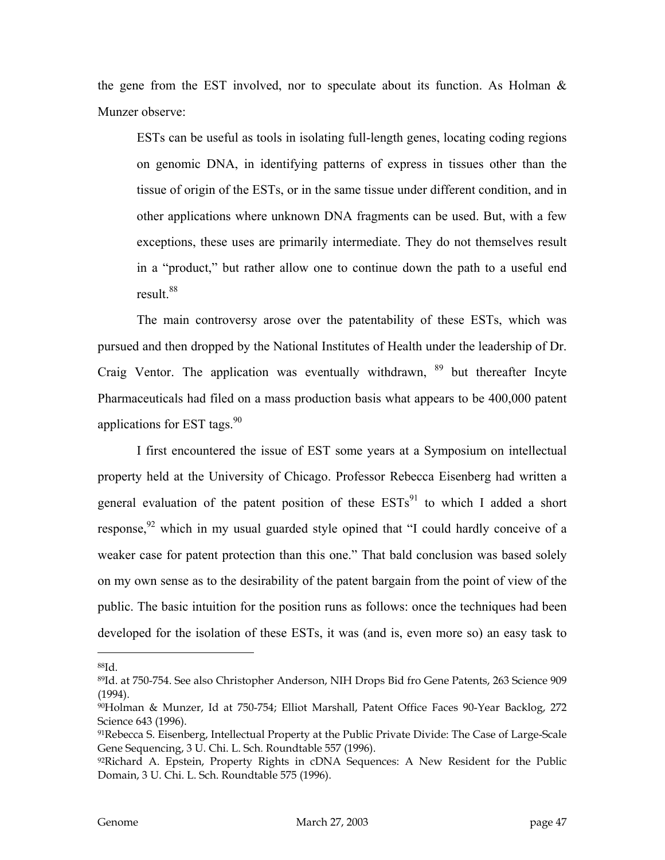the gene from the EST involved, nor to speculate about its function. As Holman  $\&$ Munzer observe:

ESTs can be useful as tools in isolating full-length genes, locating coding regions on genomic DNA, in identifying patterns of express in tissues other than the tissue of origin of the ESTs, or in the same tissue under different condition, and in other applications where unknown DNA fragments can be used. But, with a few exceptions, these uses are primarily intermediate. They do not themselves result in a "product," but rather allow one to continue down the path to a useful end result $88$ 

The main controversy arose over the patentability of these ESTs, which was pursued and then dropped by the National Institutes of Health under the leadership of Dr. Craig Ventor. The application was eventually withdrawn,  $89$  but thereafter Incyte Pharmaceuticals had filed on a mass production basis what appears to be 400,000 patent applications for EST tags.  $90^\circ$  $90^\circ$ 

I first encountered the issue of EST some years at a Symposium on intellectual property held at the University of Chicago. Professor Rebecca Eisenberg had written a general evaluation of the patent position of these  $ESTs<sup>91</sup>$  $ESTs<sup>91</sup>$  $ESTs<sup>91</sup>$  to which I added a short response,  $^{92}$  $^{92}$  $^{92}$  which in my usual guarded style opined that "I could hardly conceive of a weaker case for patent protection than this one." That bald conclusion was based solely on my own sense as to the desirability of the patent bargain from the point of view of the public. The basic intuition for the position runs as follows: once the techniques had been developed for the isolation of these ESTs, it was (and is, even more so) an easy task to

<span id="page-48-0"></span> $\overline{a}$ 88Id.

<span id="page-48-1"></span><sup>89</sup>Id. at 750-754. See also Christopher Anderson, NIH Drops Bid fro Gene Patents, 263 Science 909 (1994).

<span id="page-48-2"></span><sup>90</sup>Holman & Munzer, Id at 750-754; Elliot Marshall, Patent Office Faces 90-Year Backlog, 272 Science 643 (1996).

<span id="page-48-3"></span><sup>91</sup>Rebecca S. Eisenberg, Intellectual Property at the Public Private Divide: The Case of Large-Scale Gene Sequencing, 3 U. Chi. L. Sch. Roundtable 557 (1996).

<span id="page-48-4"></span> $92$ Richard A. Epstein, Property Rights in cDNA Sequences: A New Resident for the Public Domain, 3 U. Chi. L. Sch. Roundtable 575 (1996).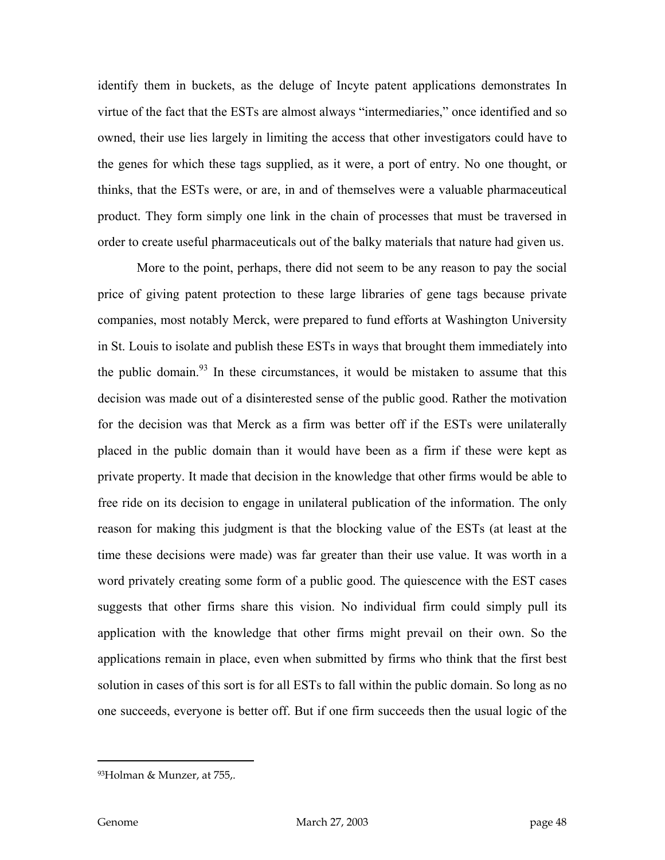identify them in buckets, as the deluge of Incyte patent applications demonstrates In virtue of the fact that the ESTs are almost always "intermediaries," once identified and so owned, their use lies largely in limiting the access that other investigators could have to the genes for which these tags supplied, as it were, a port of entry. No one thought, or thinks, that the ESTs were, or are, in and of themselves were a valuable pharmaceutical product. They form simply one link in the chain of processes that must be traversed in order to create useful pharmaceuticals out of the balky materials that nature had given us.

More to the point, perhaps, there did not seem to be any reason to pay the social price of giving patent protection to these large libraries of gene tags because private companies, most notably Merck, were prepared to fund efforts at Washington University in St. Louis to isolate and publish these ESTs in ways that brought them immediately into the public domain.<sup>[93](#page-49-0)</sup> In these circumstances, it would be mistaken to assume that this decision was made out of a disinterested sense of the public good. Rather the motivation for the decision was that Merck as a firm was better off if the ESTs were unilaterally placed in the public domain than it would have been as a firm if these were kept as private property. It made that decision in the knowledge that other firms would be able to free ride on its decision to engage in unilateral publication of the information. The only reason for making this judgment is that the blocking value of the ESTs (at least at the time these decisions were made) was far greater than their use value. It was worth in a word privately creating some form of a public good. The quiescence with the EST cases suggests that other firms share this vision. No individual firm could simply pull its application with the knowledge that other firms might prevail on their own. So the applications remain in place, even when submitted by firms who think that the first best solution in cases of this sort is for all ESTs to fall within the public domain. So long as no one succeeds, everyone is better off. But if one firm succeeds then the usual logic of the

<span id="page-49-0"></span><sup>93</sup>Holman & Munzer, at 755,.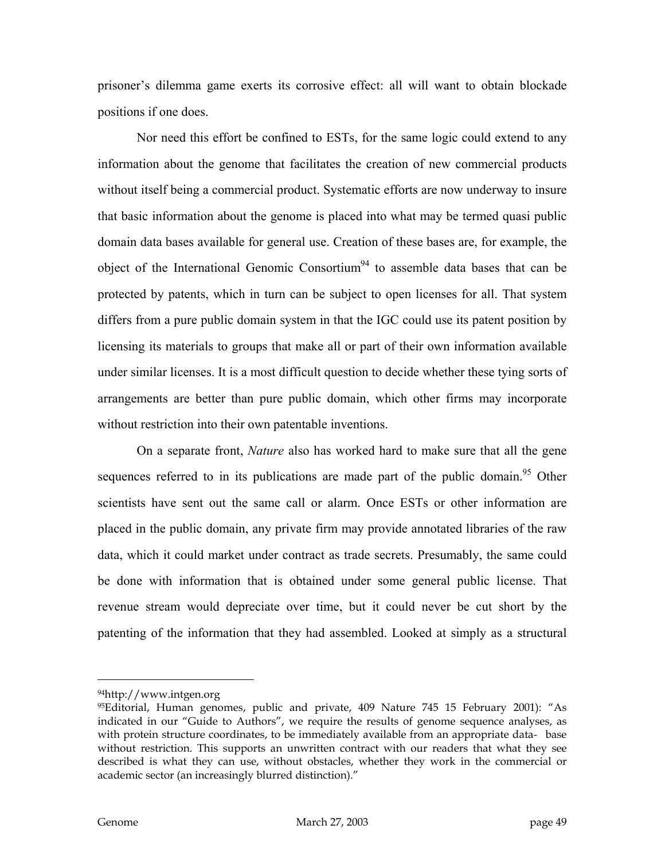prisoner's dilemma game exerts its corrosive effect: all will want to obtain blockade positions if one does.

Nor need this effort be confined to ESTs, for the same logic could extend to any information about the genome that facilitates the creation of new commercial products without itself being a commercial product. Systematic efforts are now underway to insure that basic information about the genome is placed into what may be termed quasi public domain data bases available for general use. Creation of these bases are, for example, the object of the International Genomic Consortium<sup>[94](#page-50-0)</sup> to assemble data bases that can be protected by patents, which in turn can be subject to open licenses for all. That system differs from a pure public domain system in that the IGC could use its patent position by licensing its materials to groups that make all or part of their own information available under similar licenses. It is a most difficult question to decide whether these tying sorts of arrangements are better than pure public domain, which other firms may incorporate without restriction into their own patentable inventions.

On a separate front, *Nature* also has worked hard to make sure that all the gene sequences referred to in its publications are made part of the public domain.<sup>[95](#page-50-1)</sup> Other scientists have sent out the same call or alarm. Once ESTs or other information are placed in the public domain, any private firm may provide annotated libraries of the raw data, which it could market under contract as trade secrets. Presumably, the same could be done with information that is obtained under some general public license. That revenue stream would depreciate over time, but it could never be cut short by the patenting of the information that they had assembled. Looked at simply as a structural

<span id="page-50-0"></span><sup>94</sup>http://www.intgen.org

<span id="page-50-1"></span><sup>95</sup>Editorial, Human genomes, public and private, 409 Nature 745 15 February 2001): "As indicated in our "Guide to Authors", we require the results of genome sequence analyses, as with protein structure coordinates, to be immediately available from an appropriate data-base without restriction. This supports an unwritten contract with our readers that what they see described is what they can use, without obstacles, whether they work in the commercial or academic sector (an increasingly blurred distinction)."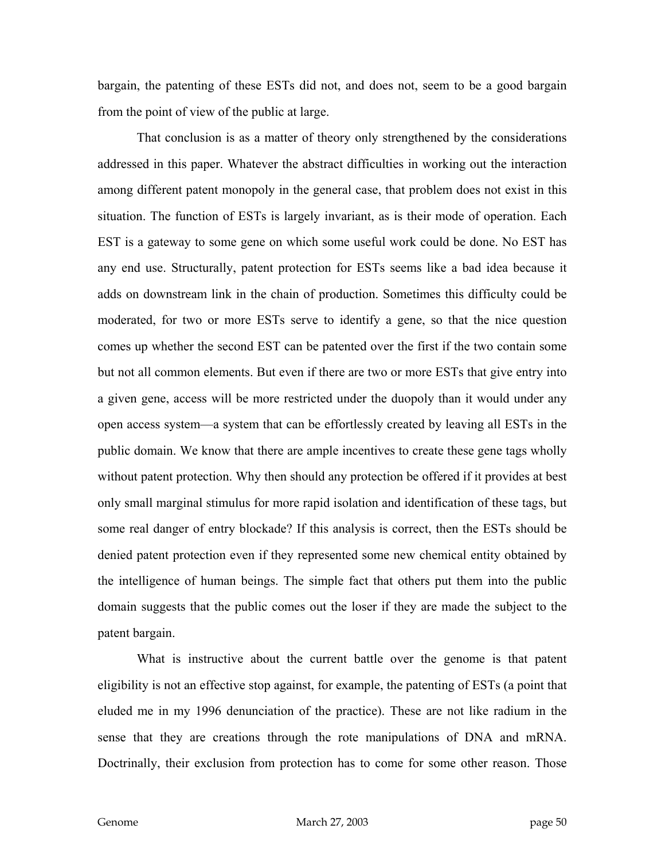bargain, the patenting of these ESTs did not, and does not, seem to be a good bargain from the point of view of the public at large.

That conclusion is as a matter of theory only strengthened by the considerations addressed in this paper. Whatever the abstract difficulties in working out the interaction among different patent monopoly in the general case, that problem does not exist in this situation. The function of ESTs is largely invariant, as is their mode of operation. Each EST is a gateway to some gene on which some useful work could be done. No EST has any end use. Structurally, patent protection for ESTs seems like a bad idea because it adds on downstream link in the chain of production. Sometimes this difficulty could be moderated, for two or more ESTs serve to identify a gene, so that the nice question comes up whether the second EST can be patented over the first if the two contain some but not all common elements. But even if there are two or more ESTs that give entry into a given gene, access will be more restricted under the duopoly than it would under any open access system—a system that can be effortlessly created by leaving all ESTs in the public domain. We know that there are ample incentives to create these gene tags wholly without patent protection. Why then should any protection be offered if it provides at best only small marginal stimulus for more rapid isolation and identification of these tags, but some real danger of entry blockade? If this analysis is correct, then the ESTs should be denied patent protection even if they represented some new chemical entity obtained by the intelligence of human beings. The simple fact that others put them into the public domain suggests that the public comes out the loser if they are made the subject to the patent bargain.

What is instructive about the current battle over the genome is that patent eligibility is not an effective stop against, for example, the patenting of ESTs (a point that eluded me in my 1996 denunciation of the practice). These are not like radium in the sense that they are creations through the rote manipulations of DNA and mRNA. Doctrinally, their exclusion from protection has to come for some other reason. Those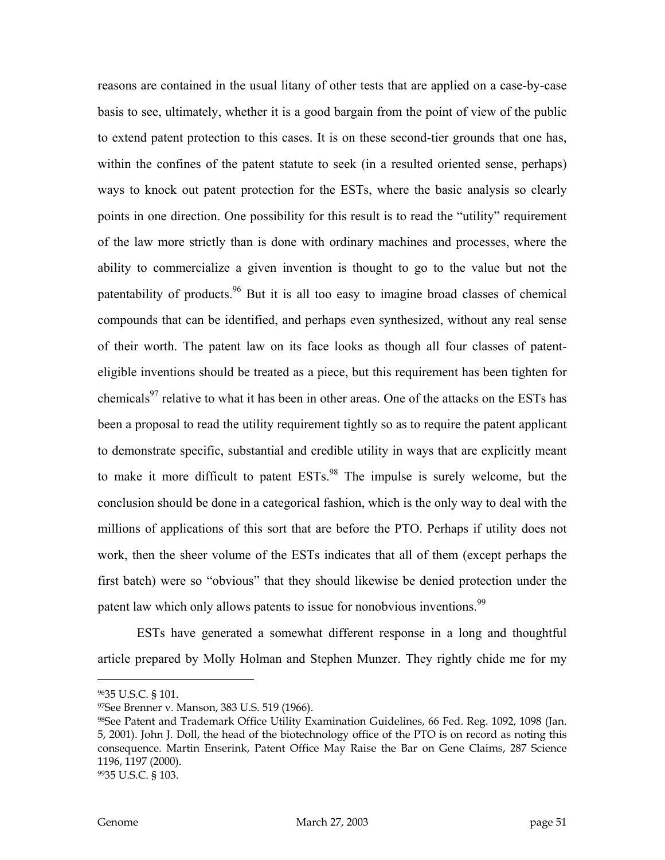reasons are contained in the usual litany of other tests that are applied on a case-by-case basis to see, ultimately, whether it is a good bargain from the point of view of the public to extend patent protection to this cases. It is on these second-tier grounds that one has, within the confines of the patent statute to seek (in a resulted oriented sense, perhaps) ways to knock out patent protection for the ESTs, where the basic analysis so clearly points in one direction. One possibility for this result is to read the "utility" requirement of the law more strictly than is done with ordinary machines and processes, where the ability to commercialize a given invention is thought to go to the value but not the patentability of products. <sup>[96](#page-52-0)</sup> But it is all too easy to imagine broad classes of chemical compounds that can be identified, and perhaps even synthesized, without any real sense of their worth. The patent law on its face looks as though all four classes of patenteligible inventions should be treated as a piece, but this requirement has been tighten for chemicals<sup>[97](#page-52-1)</sup> relative to what it has been in other areas. One of the attacks on the ESTs has been a proposal to read the utility requirement tightly so as to require the patent applicant to demonstrate specific, substantial and credible utility in ways that are explicitly meant to make it more difficult to patent  $ESTs<sup>98</sup>$  $ESTs<sup>98</sup>$  $ESTs<sup>98</sup>$ . The impulse is surely welcome, but the conclusion should be done in a categorical fashion, which is the only way to deal with the millions of applications of this sort that are before the PTO. Perhaps if utility does not work, then the sheer volume of the ESTs indicates that all of them (except perhaps the first batch) were so "obvious" that they should likewise be denied protection under the patent law which only allows patents to issue for nonobvious inventions.<sup>[99](#page-52-3)</sup>

ESTs have generated a somewhat different response in a long and thoughtful article prepared by Molly Holman and Stephen Munzer. They rightly chide me for my

<span id="page-52-0"></span><sup>9635</sup> U.S.C. § 101.

<span id="page-52-1"></span><sup>97</sup>See Brenner v. Manson, 383 U.S. 519 (1966).

<span id="page-52-2"></span><sup>98</sup>See Patent and Trademark Office Utility Examination Guidelines, 66 Fed. Reg. 1092, 1098 (Jan. 5, 2001). John J. Doll, the head of the biotechnology office of the PTO is on record as noting this consequence. Martin Enserink, Patent Office May Raise the Bar on Gene Claims, 287 Science 1196, 1197 (2000).

<span id="page-52-3"></span><sup>9935</sup> U.S.C. § 103.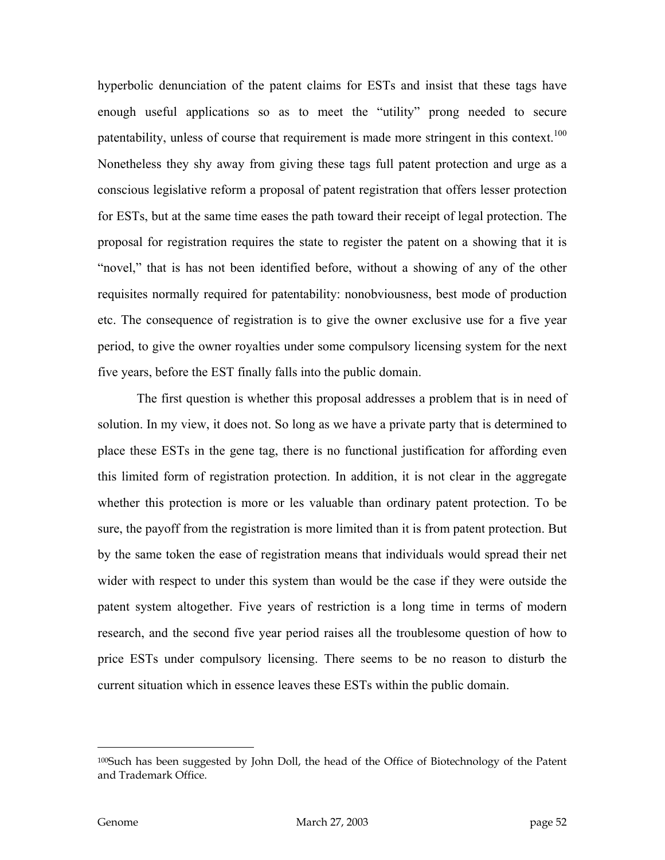hyperbolic denunciation of the patent claims for ESTs and insist that these tags have enough useful applications so as to meet the "utility" prong needed to secure patentability, unless of course that requirement is made more stringent in this context.<sup>[100](#page-53-0)</sup> Nonetheless they shy away from giving these tags full patent protection and urge as a conscious legislative reform a proposal of patent registration that offers lesser protection for ESTs, but at the same time eases the path toward their receipt of legal protection. The proposal for registration requires the state to register the patent on a showing that it is "novel," that is has not been identified before, without a showing of any of the other requisites normally required for patentability: nonobviousness, best mode of production etc. The consequence of registration is to give the owner exclusive use for a five year period, to give the owner royalties under some compulsory licensing system for the next five years, before the EST finally falls into the public domain.

The first question is whether this proposal addresses a problem that is in need of solution. In my view, it does not. So long as we have a private party that is determined to place these ESTs in the gene tag, there is no functional justification for affording even this limited form of registration protection. In addition, it is not clear in the aggregate whether this protection is more or les valuable than ordinary patent protection. To be sure, the payoff from the registration is more limited than it is from patent protection. But by the same token the ease of registration means that individuals would spread their net wider with respect to under this system than would be the case if they were outside the patent system altogether. Five years of restriction is a long time in terms of modern research, and the second five year period raises all the troublesome question of how to price ESTs under compulsory licensing. There seems to be no reason to disturb the current situation which in essence leaves these ESTs within the public domain.

-

<span id="page-53-0"></span><sup>100</sup>Such has been suggested by John Doll, the head of the Office of Biotechnology of the Patent and Trademark Office.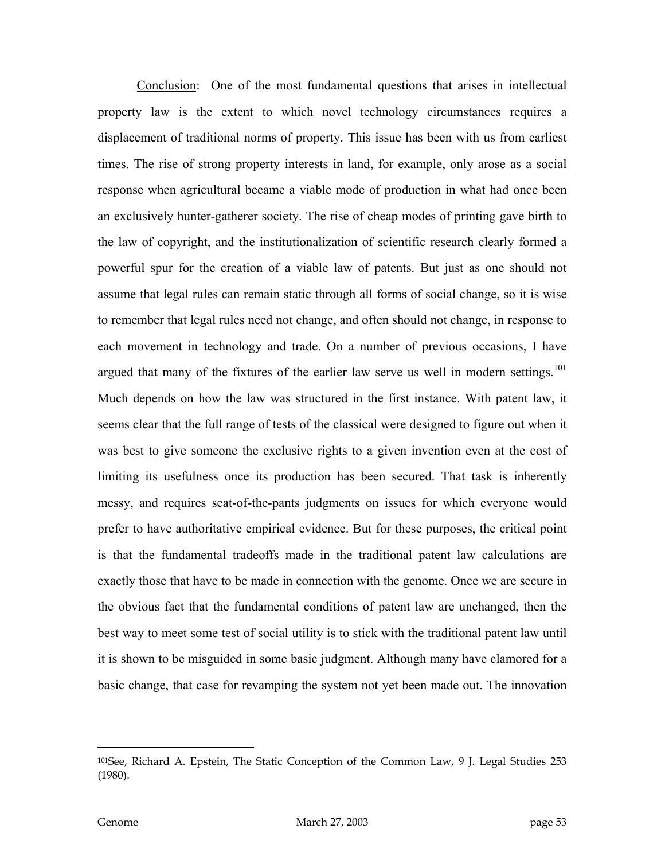Conclusion: One of the most fundamental questions that arises in intellectual property law is the extent to which novel technology circumstances requires a displacement of traditional norms of property. This issue has been with us from earliest times. The rise of strong property interests in land, for example, only arose as a social response when agricultural became a viable mode of production in what had once been an exclusively hunter-gatherer society. The rise of cheap modes of printing gave birth to the law of copyright, and the institutionalization of scientific research clearly formed a powerful spur for the creation of a viable law of patents. But just as one should not assume that legal rules can remain static through all forms of social change, so it is wise to remember that legal rules need not change, and often should not change, in response to each movement in technology and trade. On a number of previous occasions, I have argued that many of the fixtures of the earlier law serve us well in modern settings.<sup>[101](#page-54-0)</sup> Much depends on how the law was structured in the first instance. With patent law, it seems clear that the full range of tests of the classical were designed to figure out when it was best to give someone the exclusive rights to a given invention even at the cost of limiting its usefulness once its production has been secured. That task is inherently messy, and requires seat-of-the-pants judgments on issues for which everyone would prefer to have authoritative empirical evidence. But for these purposes, the critical point is that the fundamental tradeoffs made in the traditional patent law calculations are exactly those that have to be made in connection with the genome. Once we are secure in the obvious fact that the fundamental conditions of patent law are unchanged, then the best way to meet some test of social utility is to stick with the traditional patent law until it is shown to be misguided in some basic judgment. Although many have clamored for a basic change, that case for revamping the system not yet been made out. The innovation

-

<span id="page-54-0"></span><sup>101</sup>See, Richard A. Epstein, The Static Conception of the Common Law, 9 J. Legal Studies 253 (1980).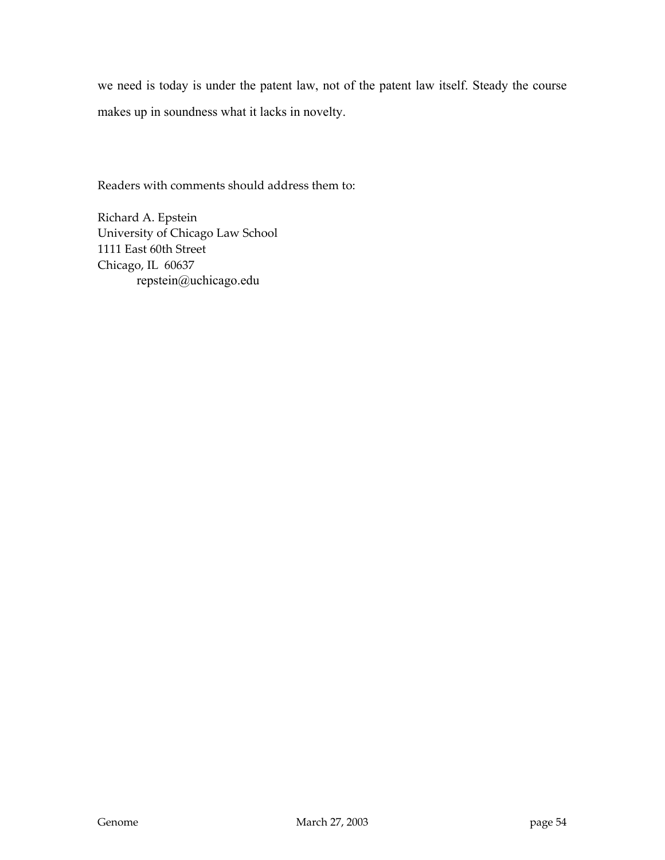we need is today is under the patent law, not of the patent law itself. Steady the course makes up in soundness what it lacks in novelty.

Readers with comments should address them to:

Richard A. Epstein University of Chicago Law School 1111 East 60th Street Chicago, IL 60637 repstein@uchicago.edu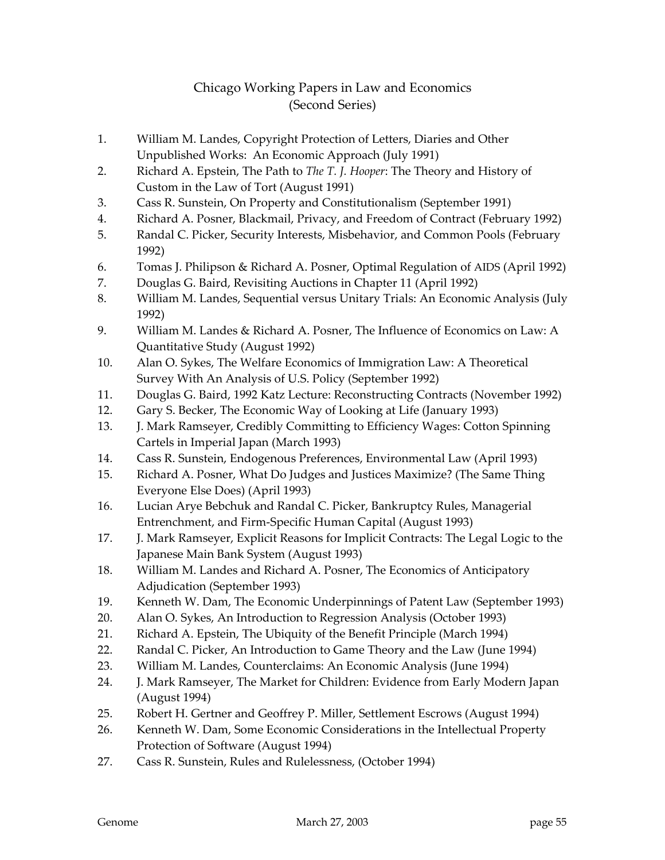#### Chicago Working Papers in Law and Economics (Second Series)

- 1. William M. Landes, Copyright Protection of Letters, Diaries and Other Unpublished Works: An Economic Approach (July 1991)
- 2. Richard A. Epstein, The Path to *The T. J. Hooper*: The Theory and History of Custom in the Law of Tort (August 1991)
- 3. Cass R. Sunstein, On Property and Constitutionalism (September 1991)
- 4. Richard A. Posner, Blackmail, Privacy, and Freedom of Contract (February 1992)
- 5. Randal C. Picker, Security Interests, Misbehavior, and Common Pools (February 1992)
- 6. Tomas J. Philipson & Richard A. Posner, Optimal Regulation of AIDS (April 1992)
- 7. Douglas G. Baird, Revisiting Auctions in Chapter 11 (April 1992)
- 8. William M. Landes, Sequential versus Unitary Trials: An Economic Analysis (July 1992)
- 9. William M. Landes & Richard A. Posner, The Influence of Economics on Law: A Quantitative Study (August 1992)
- 10. Alan O. Sykes, The Welfare Economics of Immigration Law: A Theoretical Survey With An Analysis of U.S. Policy (September 1992)
- 11. Douglas G. Baird, 1992 Katz Lecture: Reconstructing Contracts (November 1992)
- 12. Gary S. Becker, The Economic Way of Looking at Life (January 1993)
- 13. J. Mark Ramseyer, Credibly Committing to Efficiency Wages: Cotton Spinning Cartels in Imperial Japan (March 1993)
- 14. Cass R. Sunstein, Endogenous Preferences, Environmental Law (April 1993)
- 15. Richard A. Posner, What Do Judges and Justices Maximize? (The Same Thing Everyone Else Does) (April 1993)
- 16. Lucian Arye Bebchuk and Randal C. Picker, Bankruptcy Rules, Managerial Entrenchment, and Firm-Specific Human Capital (August 1993)
- 17. J. Mark Ramseyer, Explicit Reasons for Implicit Contracts: The Legal Logic to the Japanese Main Bank System (August 1993)
- 18. William M. Landes and Richard A. Posner, The Economics of Anticipatory Adjudication (September 1993)
- 19. Kenneth W. Dam, The Economic Underpinnings of Patent Law (September 1993)
- 20. Alan O. Sykes, An Introduction to Regression Analysis (October 1993)
- 21. Richard A. Epstein, The Ubiquity of the Benefit Principle (March 1994)
- 22. Randal C. Picker, An Introduction to Game Theory and the Law (June 1994)
- 23. William M. Landes, Counterclaims: An Economic Analysis (June 1994)
- 24. J. Mark Ramseyer, The Market for Children: Evidence from Early Modern Japan (August 1994)
- 25. Robert H. Gertner and Geoffrey P. Miller, Settlement Escrows (August 1994)
- 26. Kenneth W. Dam, Some Economic Considerations in the Intellectual Property Protection of Software (August 1994)
- 27. Cass R. Sunstein, Rules and Rulelessness, (October 1994)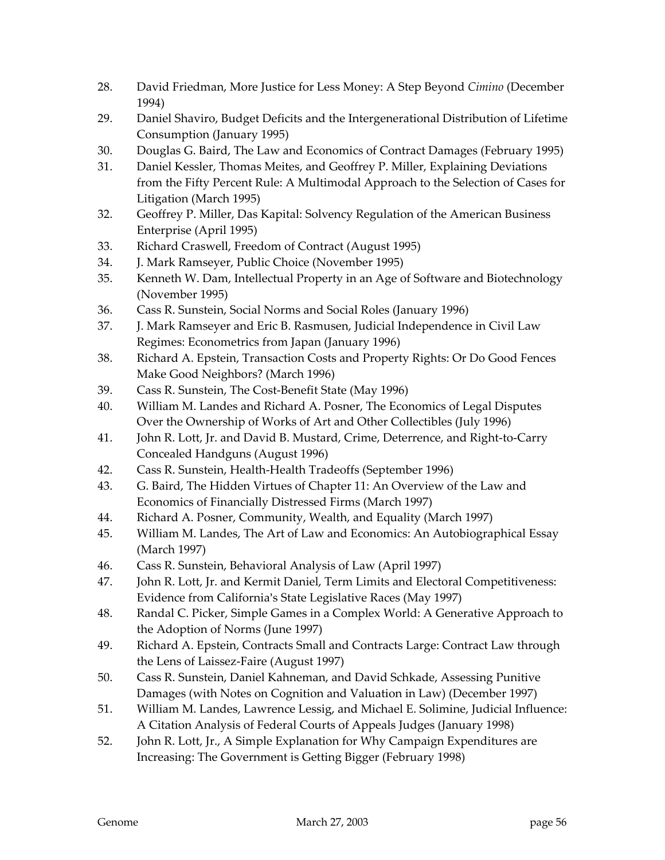- 28. David Friedman, More Justice for Less Money: A Step Beyond *Cimino* (December 1994)
- 29. Daniel Shaviro, Budget Deficits and the Intergenerational Distribution of Lifetime Consumption (January 1995)
- 30. Douglas G. Baird, The Law and Economics of Contract Damages (February 1995)
- 31. Daniel Kessler, Thomas Meites, and Geoffrey P. Miller, Explaining Deviations from the Fifty Percent Rule: A Multimodal Approach to the Selection of Cases for Litigation (March 1995)
- 32. Geoffrey P. Miller, Das Kapital: Solvency Regulation of the American Business Enterprise (April 1995)
- 33. Richard Craswell, Freedom of Contract (August 1995)
- 34. J. Mark Ramseyer, Public Choice (November 1995)
- 35. Kenneth W. Dam, Intellectual Property in an Age of Software and Biotechnology (November 1995)
- 36. Cass R. Sunstein, Social Norms and Social Roles (January 1996)
- 37. J. Mark Ramseyer and Eric B. Rasmusen, Judicial Independence in Civil Law Regimes: Econometrics from Japan (January 1996)
- 38. Richard A. Epstein, Transaction Costs and Property Rights: Or Do Good Fences Make Good Neighbors? (March 1996)
- 39. Cass R. Sunstein, The Cost-Benefit State (May 1996)
- 40. William M. Landes and Richard A. Posner, The Economics of Legal Disputes Over the Ownership of Works of Art and Other Collectibles (July 1996)
- 41. John R. Lott, Jr. and David B. Mustard, Crime, Deterrence, and Right-to-Carry Concealed Handguns (August 1996)
- 42. Cass R. Sunstein, Health-Health Tradeoffs (September 1996)
- 43. G. Baird, The Hidden Virtues of Chapter 11: An Overview of the Law and Economics of Financially Distressed Firms (March 1997)
- 44. Richard A. Posner, Community, Wealth, and Equality (March 1997)
- 45. William M. Landes, The Art of Law and Economics: An Autobiographical Essay (March 1997)
- 46. Cass R. Sunstein, Behavioral Analysis of Law (April 1997)
- 47. John R. Lott, Jr. and Kermit Daniel, Term Limits and Electoral Competitiveness: Evidence from California's State Legislative Races (May 1997)
- 48. Randal C. Picker, Simple Games in a Complex World: A Generative Approach to the Adoption of Norms (June 1997)
- 49. Richard A. Epstein, Contracts Small and Contracts Large: Contract Law through the Lens of Laissez-Faire (August 1997)
- 50. Cass R. Sunstein, Daniel Kahneman, and David Schkade, Assessing Punitive Damages (with Notes on Cognition and Valuation in Law) (December 1997)
- 51. William M. Landes, Lawrence Lessig, and Michael E. Solimine, Judicial Influence: A Citation Analysis of Federal Courts of Appeals Judges (January 1998)
- 52. John R. Lott, Jr., A Simple Explanation for Why Campaign Expenditures are Increasing: The Government is Getting Bigger (February 1998)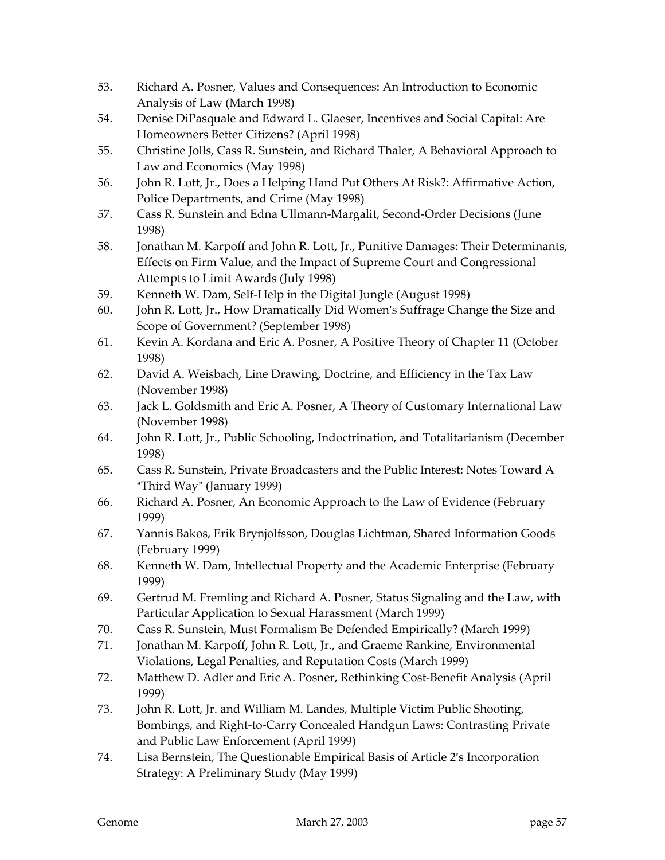- 53. Richard A. Posner, Values and Consequences: An Introduction to Economic Analysis of Law (March 1998)
- 54. Denise DiPasquale and Edward L. Glaeser, Incentives and Social Capital: Are Homeowners Better Citizens? (April 1998)
- 55. Christine Jolls, Cass R. Sunstein, and Richard Thaler, A Behavioral Approach to Law and Economics (May 1998)
- 56. John R. Lott, Jr., Does a Helping Hand Put Others At Risk?: Affirmative Action, Police Departments, and Crime (May 1998)
- 57. Cass R. Sunstein and Edna Ullmann-Margalit, Second-Order Decisions (June 1998)
- 58. Jonathan M. Karpoff and John R. Lott, Jr., Punitive Damages: Their Determinants, Effects on Firm Value, and the Impact of Supreme Court and Congressional Attempts to Limit Awards (July 1998)
- 59. Kenneth W. Dam, Self-Help in the Digital Jungle (August 1998)
- 60. John R. Lott, Jr., How Dramatically Did Women's Suffrage Change the Size and Scope of Government? (September 1998)
- 61. Kevin A. Kordana and Eric A. Posner, A Positive Theory of Chapter 11 (October 1998)
- 62. David A. Weisbach, Line Drawing, Doctrine, and Efficiency in the Tax Law (November 1998)
- 63. Jack L. Goldsmith and Eric A. Posner, A Theory of Customary International Law (November 1998)
- 64. John R. Lott, Jr., Public Schooling, Indoctrination, and Totalitarianism (December 1998)
- 65. Cass R. Sunstein, Private Broadcasters and the Public Interest: Notes Toward A "Third Way" (January 1999)
- 66. Richard A. Posner, An Economic Approach to the Law of Evidence (February 1999)
- 67. Yannis Bakos, Erik Brynjolfsson, Douglas Lichtman, Shared Information Goods (February 1999)
- 68. Kenneth W. Dam, Intellectual Property and the Academic Enterprise (February 1999)
- 69. Gertrud M. Fremling and Richard A. Posner, Status Signaling and the Law, with Particular Application to Sexual Harassment (March 1999)
- 70. Cass R. Sunstein, Must Formalism Be Defended Empirically? (March 1999)
- 71. Jonathan M. Karpoff, John R. Lott, Jr., and Graeme Rankine, Environmental Violations, Legal Penalties, and Reputation Costs (March 1999)
- 72. Matthew D. Adler and Eric A. Posner, Rethinking Cost-Benefit Analysis (April 1999)
- 73. John R. Lott, Jr. and William M. Landes, Multiple Victim Public Shooting, Bombings, and Right-to-Carry Concealed Handgun Laws: Contrasting Private and Public Law Enforcement (April 1999)
- 74. Lisa Bernstein, The Questionable Empirical Basis of Article 2's Incorporation Strategy: A Preliminary Study (May 1999)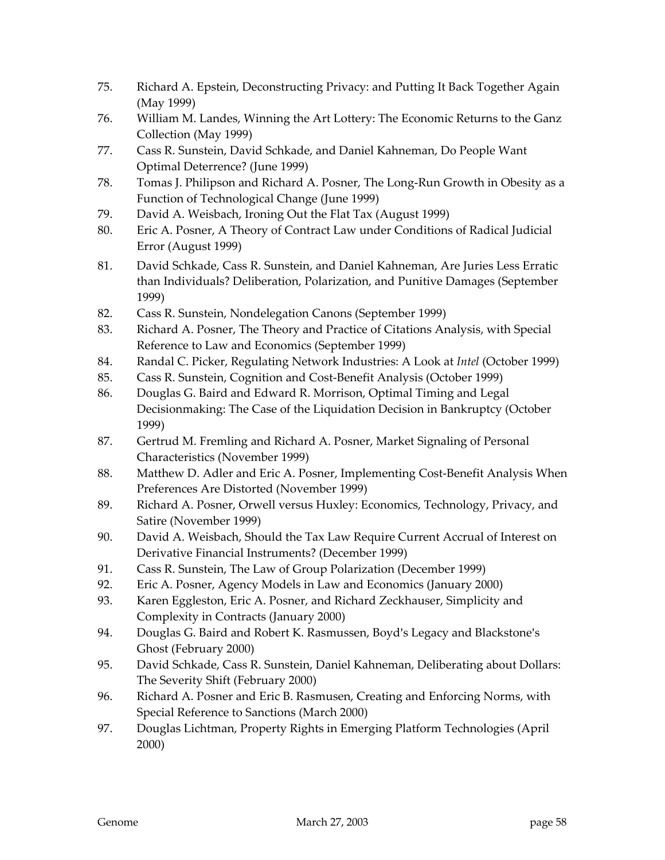- 75. Richard A. Epstein, Deconstructing Privacy: and Putting It Back Together Again (May 1999)
- 76. William M. Landes, Winning the Art Lottery: The Economic Returns to the Ganz Collection (May 1999)
- 77. Cass R. Sunstein, David Schkade, and Daniel Kahneman, Do People Want Optimal Deterrence? (June 1999)
- 78. Tomas J. Philipson and Richard A. Posner, The Long-Run Growth in Obesity as a Function of Technological Change (June 1999)
- 79. David A. Weisbach, Ironing Out the Flat Tax (August 1999)
- 80. Eric A. Posner, A Theory of Contract Law under Conditions of Radical Judicial Error (August 1999)
- 81. David Schkade, Cass R. Sunstein, and Daniel Kahneman, Are Juries Less Erratic than Individuals? Deliberation, Polarization, and Punitive Damages (September 1999)
- 82. Cass R. Sunstein, Nondelegation Canons (September 1999)
- 83. Richard A. Posner, The Theory and Practice of Citations Analysis, with Special Reference to Law and Economics (September 1999)
- 84. Randal C. Picker, Regulating Network Industries: A Look at *Intel* (October 1999)
- 85. Cass R. Sunstein, Cognition and Cost-Benefit Analysis (October 1999)
- 86. Douglas G. Baird and Edward R. Morrison, Optimal Timing and Legal Decisionmaking: The Case of the Liquidation Decision in Bankruptcy (October 1999)
- 87. Gertrud M. Fremling and Richard A. Posner, Market Signaling of Personal Characteristics (November 1999)
- 88. Matthew D. Adler and Eric A. Posner, Implementing Cost-Benefit Analysis When Preferences Are Distorted (November 1999)
- 89. Richard A. Posner, Orwell versus Huxley: Economics, Technology, Privacy, and Satire (November 1999)
- 90. David A. Weisbach, Should the Tax Law Require Current Accrual of Interest on Derivative Financial Instruments? (December 1999)
- 91. Cass R. Sunstein, The Law of Group Polarization (December 1999)
- 92. Eric A. Posner, Agency Models in Law and Economics (January 2000)
- 93. Karen Eggleston, Eric A. Posner, and Richard Zeckhauser, Simplicity and Complexity in Contracts (January 2000)
- 94. Douglas G. Baird and Robert K. Rasmussen, Boyd's Legacy and Blackstone's Ghost (February 2000)
- 95. David Schkade, Cass R. Sunstein, Daniel Kahneman, Deliberating about Dollars: The Severity Shift (February 2000)
- 96. Richard A. Posner and Eric B. Rasmusen, Creating and Enforcing Norms, with Special Reference to Sanctions (March 2000)
- 97. Douglas Lichtman, Property Rights in Emerging Platform Technologies (April 2000)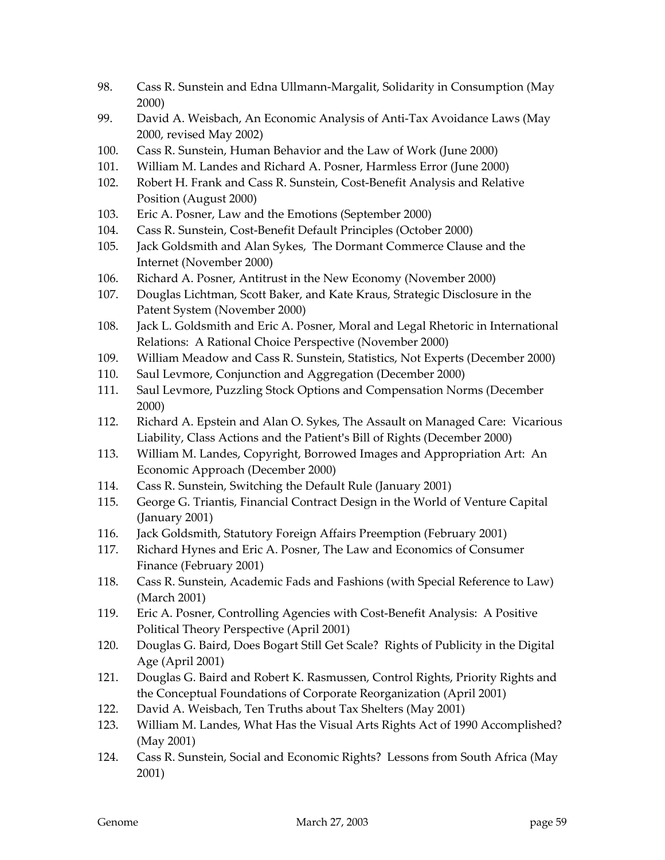- 98. Cass R. Sunstein and Edna Ullmann-Margalit, Solidarity in Consumption (May 2000)
- 99. David A. Weisbach, An Economic Analysis of Anti-Tax Avoidance Laws (May 2000, revised May 2002)
- 100. Cass R. Sunstein, Human Behavior and the Law of Work (June 2000)
- 101. William M. Landes and Richard A. Posner, Harmless Error (June 2000)
- 102. Robert H. Frank and Cass R. Sunstein, Cost-Benefit Analysis and Relative Position (August 2000)
- 103. Eric A. Posner, Law and the Emotions (September 2000)
- 104. Cass R. Sunstein, Cost-Benefit Default Principles (October 2000)
- 105. Jack Goldsmith and Alan Sykes, The Dormant Commerce Clause and the Internet (November 2000)
- 106. Richard A. Posner, Antitrust in the New Economy (November 2000)
- 107. Douglas Lichtman, Scott Baker, and Kate Kraus, Strategic Disclosure in the Patent System (November 2000)
- 108. Jack L. Goldsmith and Eric A. Posner, Moral and Legal Rhetoric in International Relations: A Rational Choice Perspective (November 2000)
- 109. William Meadow and Cass R. Sunstein, Statistics, Not Experts (December 2000)
- 110. Saul Levmore, Conjunction and Aggregation (December 2000)
- 111. Saul Levmore, Puzzling Stock Options and Compensation Norms (December 2000)
- 112. Richard A. Epstein and Alan O. Sykes, The Assault on Managed Care: Vicarious Liability, Class Actions and the Patient's Bill of Rights (December 2000)
- 113. William M. Landes, Copyright, Borrowed Images and Appropriation Art: An Economic Approach (December 2000)
- 114. Cass R. Sunstein, Switching the Default Rule (January 2001)
- 115. George G. Triantis, Financial Contract Design in the World of Venture Capital (January 2001)
- 116. Jack Goldsmith, Statutory Foreign Affairs Preemption (February 2001)
- 117. Richard Hynes and Eric A. Posner, The Law and Economics of Consumer Finance (February 2001)
- 118. Cass R. Sunstein, Academic Fads and Fashions (with Special Reference to Law) (March 2001)
- 119. Eric A. Posner, Controlling Agencies with Cost-Benefit Analysis: A Positive Political Theory Perspective (April 2001)
- 120. Douglas G. Baird, Does Bogart Still Get Scale? Rights of Publicity in the Digital Age (April 2001)
- 121. Douglas G. Baird and Robert K. Rasmussen, Control Rights, Priority Rights and the Conceptual Foundations of Corporate Reorganization (April 2001)
- 122. David A. Weisbach, Ten Truths about Tax Shelters (May 2001)
- 123. William M. Landes, What Has the Visual Arts Rights Act of 1990 Accomplished? (May 2001)
- 124. Cass R. Sunstein, Social and Economic Rights? Lessons from South Africa (May 2001)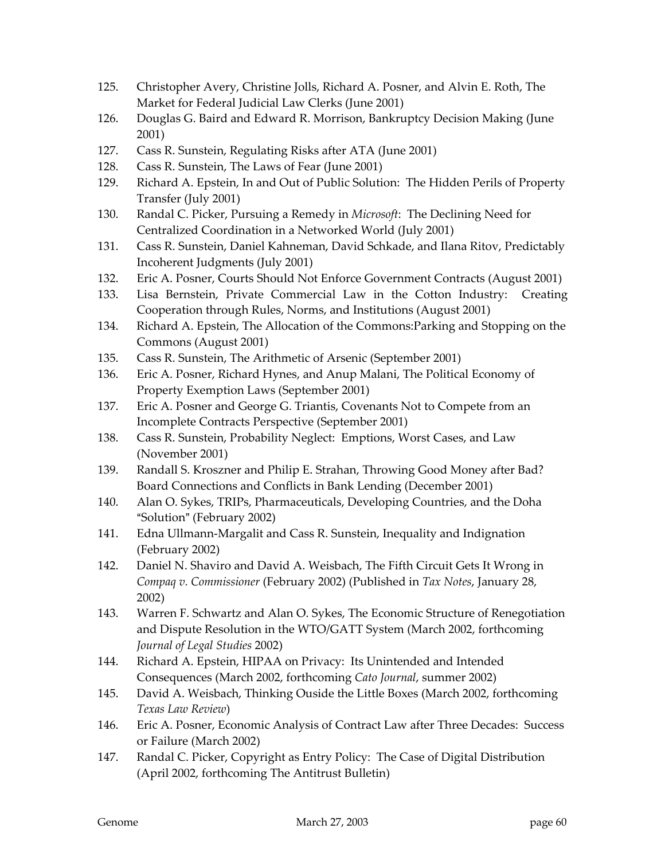- 125. Christopher Avery, Christine Jolls, Richard A. Posner, and Alvin E. Roth, The Market for Federal Judicial Law Clerks (June 2001)
- 126. Douglas G. Baird and Edward R. Morrison, Bankruptcy Decision Making (June 2001)
- 127. Cass R. Sunstein, Regulating Risks after ATA (June 2001)
- 128. Cass R. Sunstein, The Laws of Fear (June 2001)
- 129. Richard A. Epstein, In and Out of Public Solution: The Hidden Perils of Property Transfer (July 2001)
- 130. Randal C. Picker, Pursuing a Remedy in *Microsoft*: The Declining Need for Centralized Coordination in a Networked World (July 2001)
- 131. Cass R. Sunstein, Daniel Kahneman, David Schkade, and Ilana Ritov, Predictably Incoherent Judgments (July 2001)
- 132. Eric A. Posner, Courts Should Not Enforce Government Contracts (August 2001)
- 133. Lisa Bernstein, Private Commercial Law in the Cotton Industry: Creating Cooperation through Rules, Norms, and Institutions (August 2001)
- 134. Richard A. Epstein, The Allocation of the Commons:Parking and Stopping on the Commons (August 2001)
- 135. Cass R. Sunstein, The Arithmetic of Arsenic (September 2001)
- 136. Eric A. Posner, Richard Hynes, and Anup Malani, The Political Economy of Property Exemption Laws (September 2001)
- 137. Eric A. Posner and George G. Triantis, Covenants Not to Compete from an Incomplete Contracts Perspective (September 2001)
- 138. Cass R. Sunstein, Probability Neglect: Emptions, Worst Cases, and Law (November 2001)
- 139. Randall S. Kroszner and Philip E. Strahan, Throwing Good Money after Bad? Board Connections and Conflicts in Bank Lending (December 2001)
- 140. Alan O. Sykes, TRIPs, Pharmaceuticals, Developing Countries, and the Doha "Solution" (February 2002)
- 141. Edna Ullmann-Margalit and Cass R. Sunstein, Inequality and Indignation (February 2002)
- 142. Daniel N. Shaviro and David A. Weisbach, The Fifth Circuit Gets It Wrong in *Compaq v. Commissioner* (February 2002) (Published in *Tax Notes*, January 28, 2002)
- 143. Warren F. Schwartz and Alan O. Sykes, The Economic Structure of Renegotiation and Dispute Resolution in the WTO/GATT System (March 2002, forthcoming *Journal of Legal Studies* 2002)
- 144. Richard A. Epstein, HIPAA on Privacy: Its Unintended and Intended Consequences (March 2002, forthcoming *Cato Journal*, summer 2002)
- 145. David A. Weisbach, Thinking Ouside the Little Boxes (March 2002, forthcoming *Texas Law Review*)
- 146. Eric A. Posner, Economic Analysis of Contract Law after Three Decades: Success or Failure (March 2002)
- 147. Randal C. Picker, Copyright as Entry Policy: The Case of Digital Distribution (April 2002, forthcoming The Antitrust Bulletin)